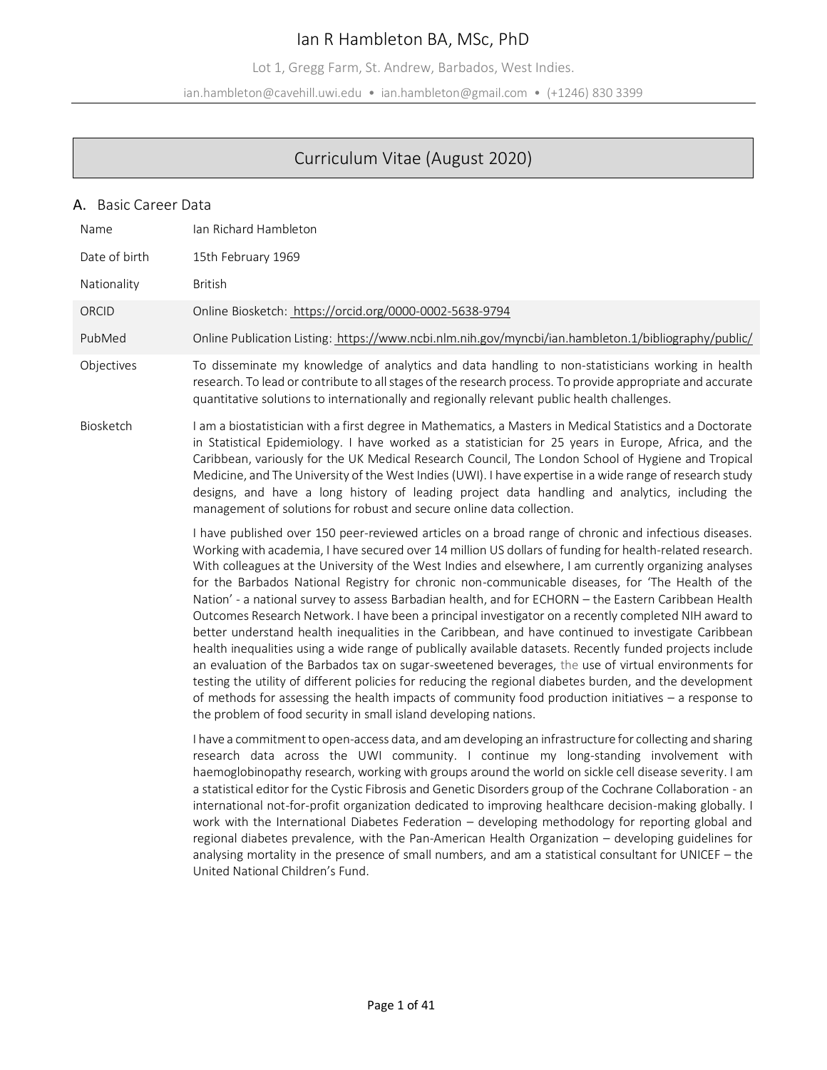# Ian R Hambleton BA, MSc, PhD

Lot 1, Gregg Farm, St. Andrew, Barbados, West Indies.

ian.hambleton@cavehill.uwi.edu • ian.hambleton@gmail.com • (+1246) 830 3399

# Curriculum Vitae (August 2020)

## A. Basic Career Data

| Name          | Ian Richard Hambleton                                                                                                                                                                                                                                                                                                                                                                                                                                                                                                                                                                                                                                                                                                                                                                                                                                                                                                                                                                                                                                                                                                                                                                                                                                                 |
|---------------|-----------------------------------------------------------------------------------------------------------------------------------------------------------------------------------------------------------------------------------------------------------------------------------------------------------------------------------------------------------------------------------------------------------------------------------------------------------------------------------------------------------------------------------------------------------------------------------------------------------------------------------------------------------------------------------------------------------------------------------------------------------------------------------------------------------------------------------------------------------------------------------------------------------------------------------------------------------------------------------------------------------------------------------------------------------------------------------------------------------------------------------------------------------------------------------------------------------------------------------------------------------------------|
| Date of birth | 15th February 1969                                                                                                                                                                                                                                                                                                                                                                                                                                                                                                                                                                                                                                                                                                                                                                                                                                                                                                                                                                                                                                                                                                                                                                                                                                                    |
| Nationality   | <b>British</b>                                                                                                                                                                                                                                                                                                                                                                                                                                                                                                                                                                                                                                                                                                                                                                                                                                                                                                                                                                                                                                                                                                                                                                                                                                                        |
| ORCID         | Online Biosketch: https://orcid.org/0000-0002-5638-9794                                                                                                                                                                                                                                                                                                                                                                                                                                                                                                                                                                                                                                                                                                                                                                                                                                                                                                                                                                                                                                                                                                                                                                                                               |
| PubMed        | Online Publication Listing: https://www.ncbi.nlm.nih.gov/myncbi/ian.hambleton.1/bibliography/public/                                                                                                                                                                                                                                                                                                                                                                                                                                                                                                                                                                                                                                                                                                                                                                                                                                                                                                                                                                                                                                                                                                                                                                  |
| Objectives    | To disseminate my knowledge of analytics and data handling to non-statisticians working in health<br>research. To lead or contribute to all stages of the research process. To provide appropriate and accurate<br>quantitative solutions to internationally and regionally relevant public health challenges.                                                                                                                                                                                                                                                                                                                                                                                                                                                                                                                                                                                                                                                                                                                                                                                                                                                                                                                                                        |
| Biosketch     | I am a biostatistician with a first degree in Mathematics, a Masters in Medical Statistics and a Doctorate<br>in Statistical Epidemiology. I have worked as a statistician for 25 years in Europe, Africa, and the<br>Caribbean, variously for the UK Medical Research Council, The London School of Hygiene and Tropical<br>Medicine, and The University of the West Indies (UWI). I have expertise in a wide range of research study<br>designs, and have a long history of leading project data handling and analytics, including the<br>management of solutions for robust and secure online data collection.                                                                                                                                                                                                                                                                                                                                                                                                                                                                                                                                                                                                                                                     |
|               | I have published over 150 peer-reviewed articles on a broad range of chronic and infectious diseases.<br>Working with academia, I have secured over 14 million US dollars of funding for health-related research.<br>With colleagues at the University of the West Indies and elsewhere, I am currently organizing analyses<br>for the Barbados National Registry for chronic non-communicable diseases, for 'The Health of the<br>Nation' - a national survey to assess Barbadian health, and for ECHORN - the Eastern Caribbean Health<br>Outcomes Research Network. I have been a principal investigator on a recently completed NIH award to<br>better understand health inequalities in the Caribbean, and have continued to investigate Caribbean<br>health inequalities using a wide range of publically available datasets. Recently funded projects include<br>an evaluation of the Barbados tax on sugar-sweetened beverages, the use of virtual environments for<br>testing the utility of different policies for reducing the regional diabetes burden, and the development<br>of methods for assessing the health impacts of community food production initiatives $-$ a response to<br>the problem of food security in small island developing nations. |
|               | I have a commitment to open-access data, and am developing an infrastructure for collecting and sharing<br>research data across the UWI community. I continue my long-standing involvement with<br>haemoglobinopathy research, working with groups around the world on sickle cell disease severity. I am<br>a statistical editor for the Cystic Fibrosis and Genetic Disorders group of the Cochrane Collaboration - an<br>international not-for-profit organization dedicated to improving healthcare decision-making globally. I<br>work with the International Diabetes Federation - developing methodology for reporting global and<br>regional diabetes prevalence, with the Pan-American Health Organization - developing guidelines for<br>analysing mortality in the presence of small numbers, and am a statistical consultant for UNICEF - the<br>United National Children's Fund.                                                                                                                                                                                                                                                                                                                                                                         |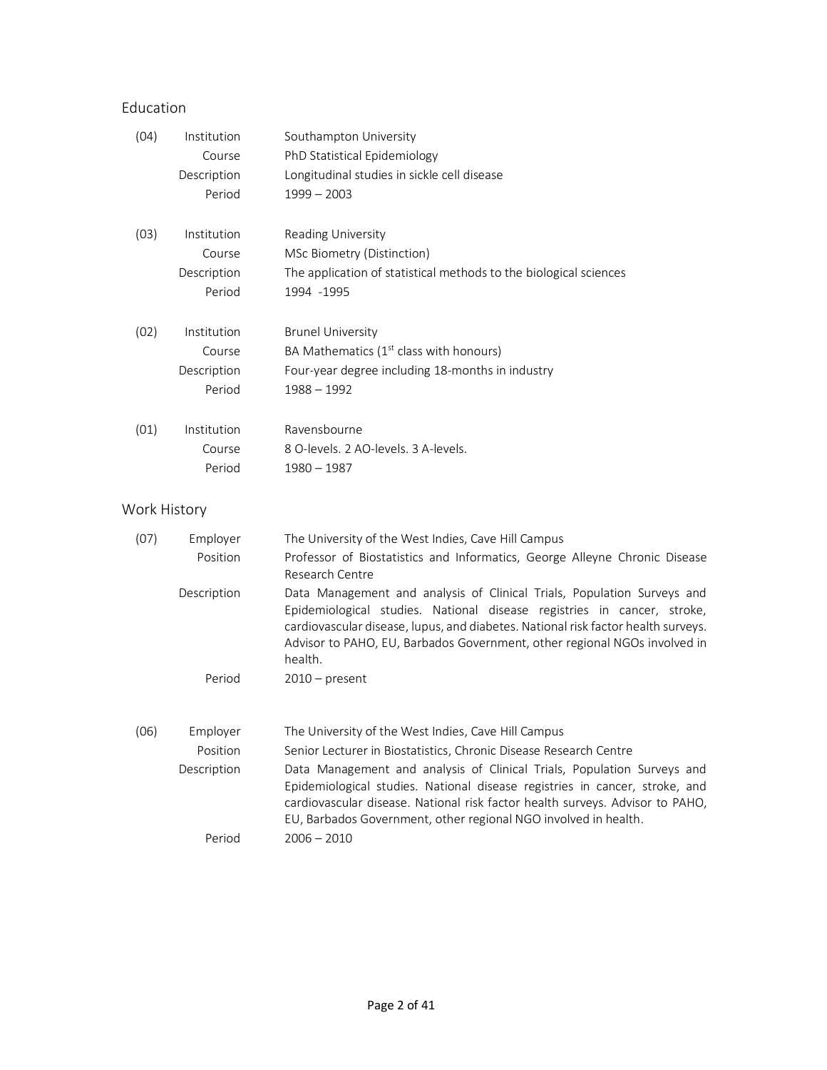# Education

| (04)         | Institution | Southampton University                                                                                                                                                                                                                                                                                                          |
|--------------|-------------|---------------------------------------------------------------------------------------------------------------------------------------------------------------------------------------------------------------------------------------------------------------------------------------------------------------------------------|
|              | Course      | PhD Statistical Epidemiology                                                                                                                                                                                                                                                                                                    |
|              | Description | Longitudinal studies in sickle cell disease                                                                                                                                                                                                                                                                                     |
|              | Period      | $1999 - 2003$                                                                                                                                                                                                                                                                                                                   |
| (03)         | Institution | Reading University                                                                                                                                                                                                                                                                                                              |
|              | Course      | MSc Biometry (Distinction)                                                                                                                                                                                                                                                                                                      |
|              | Description | The application of statistical methods to the biological sciences                                                                                                                                                                                                                                                               |
|              | Period      | 1994 - 1995                                                                                                                                                                                                                                                                                                                     |
| (02)         | Institution | <b>Brunel University</b>                                                                                                                                                                                                                                                                                                        |
|              | Course      | BA Mathematics $(1st$ class with honours)                                                                                                                                                                                                                                                                                       |
|              | Description | Four-year degree including 18-months in industry                                                                                                                                                                                                                                                                                |
|              | Period      | $1988 - 1992$                                                                                                                                                                                                                                                                                                                   |
| (01)         | Institution | Ravensbourne                                                                                                                                                                                                                                                                                                                    |
|              | Course      | 8 O-levels. 2 AO-levels. 3 A-levels.                                                                                                                                                                                                                                                                                            |
|              | Period      | $1980 - 1987$                                                                                                                                                                                                                                                                                                                   |
| Work History |             |                                                                                                                                                                                                                                                                                                                                 |
| (07)         | Employer    | The University of the West Indies, Cave Hill Campus                                                                                                                                                                                                                                                                             |
|              | Position    | Professor of Biostatistics and Informatics, George Alleyne Chronic Disease<br><b>Research Centre</b>                                                                                                                                                                                                                            |
|              | Description | Data Management and analysis of Clinical Trials, Population Surveys and<br>Epidemiological studies. National disease registries in cancer, stroke,<br>cardiovascular disease, lupus, and diabetes. National risk factor health surveys.<br>Advisor to PAHO, EU, Barbados Government, other regional NGOs involved in<br>health. |
|              | Period      | $2010$ – present                                                                                                                                                                                                                                                                                                                |
| (06)         | Employer    | The University of the West Indies, Cave Hill Campus                                                                                                                                                                                                                                                                             |
|              | Position    | Senior Lecturer in Biostatistics, Chronic Disease Research Centre                                                                                                                                                                                                                                                               |
|              | Description | Data Management and analysis of Clinical Trials, Population Surveys and<br>Epidemiological studies. National disease registries in cancer, stroke, and<br>cardiovascular disease. National risk factor health surveys. Advisor to PAHO,<br>EU, Barbados Government, other regional NGO involved in health.                      |
|              | Period      | $2006 - 2010$                                                                                                                                                                                                                                                                                                                   |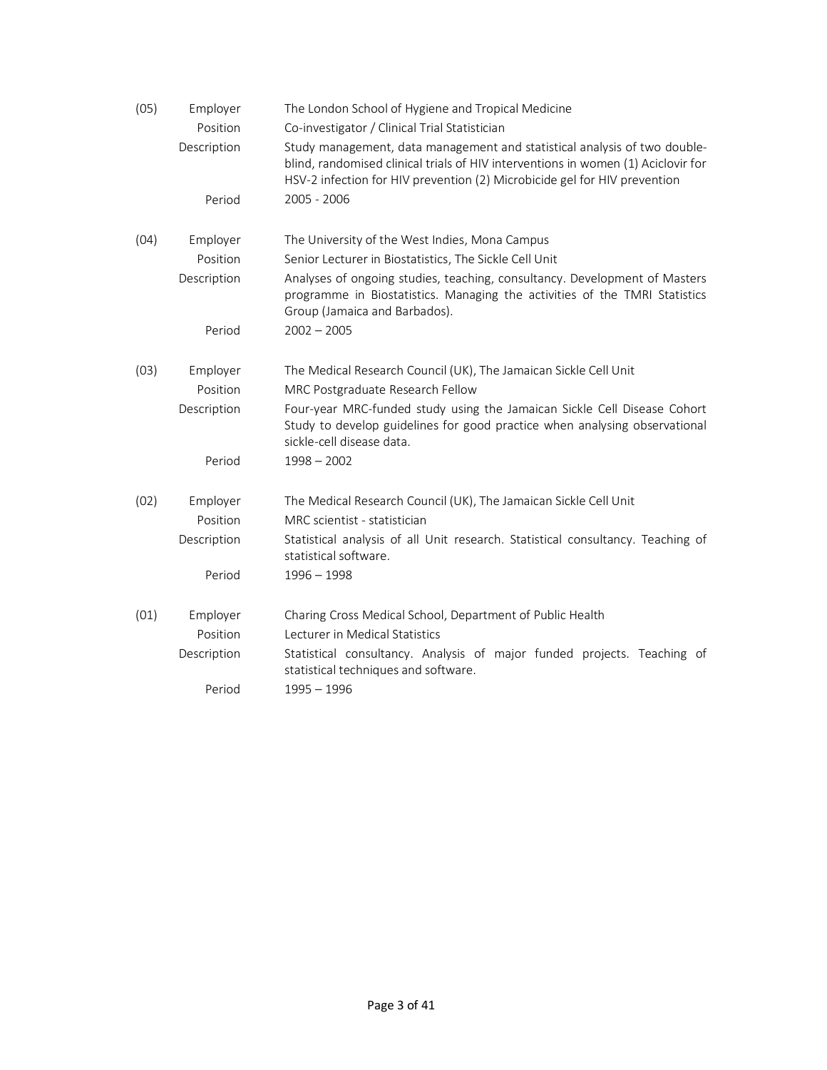| (05) | Employer<br>Position | The London School of Hygiene and Tropical Medicine<br>Co-investigator / Clinical Trial Statistician                                                                                                                                         |
|------|----------------------|---------------------------------------------------------------------------------------------------------------------------------------------------------------------------------------------------------------------------------------------|
|      | Description          | Study management, data management and statistical analysis of two double-<br>blind, randomised clinical trials of HIV interventions in women (1) Aciclovir for<br>HSV-2 infection for HIV prevention (2) Microbicide gel for HIV prevention |
|      | Period               | 2005 - 2006                                                                                                                                                                                                                                 |
| (04) | Employer             | The University of the West Indies, Mona Campus                                                                                                                                                                                              |
|      | Position             | Senior Lecturer in Biostatistics, The Sickle Cell Unit                                                                                                                                                                                      |
|      | Description          | Analyses of ongoing studies, teaching, consultancy. Development of Masters<br>programme in Biostatistics. Managing the activities of the TMRI Statistics<br>Group (Jamaica and Barbados).                                                   |
|      | Period               | $2002 - 2005$                                                                                                                                                                                                                               |
| (03) | Employer             | The Medical Research Council (UK), The Jamaican Sickle Cell Unit                                                                                                                                                                            |
|      | Position             | MRC Postgraduate Research Fellow                                                                                                                                                                                                            |
|      | Description          | Four-year MRC-funded study using the Jamaican Sickle Cell Disease Cohort<br>Study to develop guidelines for good practice when analysing observational<br>sickle-cell disease data.                                                         |
|      | Period               | $1998 - 2002$                                                                                                                                                                                                                               |
| (02) | Employer             | The Medical Research Council (UK), The Jamaican Sickle Cell Unit                                                                                                                                                                            |
|      | Position             | MRC scientist - statistician                                                                                                                                                                                                                |
|      | Description          | Statistical analysis of all Unit research. Statistical consultancy. Teaching of<br>statistical software.                                                                                                                                    |
|      | Period               | $1996 - 1998$                                                                                                                                                                                                                               |
| (01) | Employer             | Charing Cross Medical School, Department of Public Health                                                                                                                                                                                   |
|      | Position             | Lecturer in Medical Statistics                                                                                                                                                                                                              |
|      | Description          | Statistical consultancy. Analysis of major funded projects. Teaching of<br>statistical techniques and software.                                                                                                                             |
|      | Period               | $1995 - 1996$                                                                                                                                                                                                                               |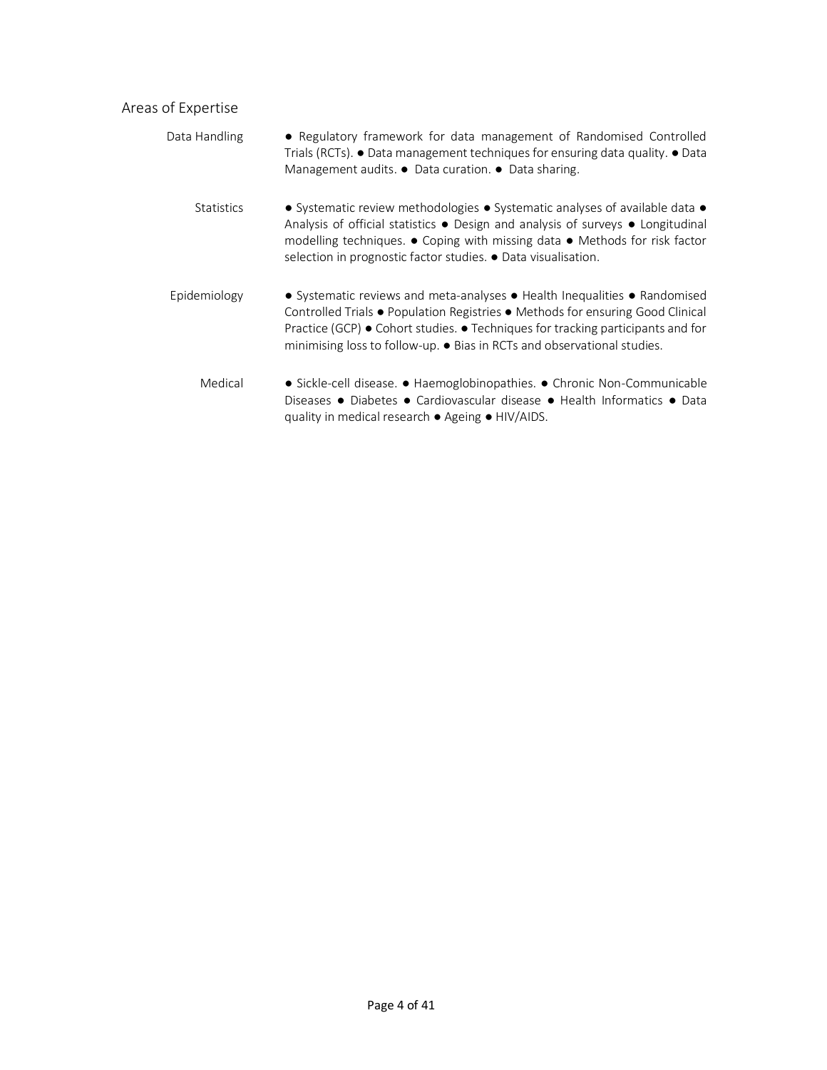# Areas of Expertise

| Data Handling     | • Regulatory framework for data management of Randomised Controlled<br>Trials (RCTs). • Data management techniques for ensuring data quality. • Data<br>Management audits. • Data curation. • Data sharing.                                                                                                               |
|-------------------|---------------------------------------------------------------------------------------------------------------------------------------------------------------------------------------------------------------------------------------------------------------------------------------------------------------------------|
| <b>Statistics</b> | • Systematic review methodologies • Systematic analyses of available data •<br>Analysis of official statistics . Design and analysis of surveys . Longitudinal<br>modelling techniques. • Coping with missing data • Methods for risk factor<br>selection in prognostic factor studies. • Data visualisation.             |
| Epidemiology      | • Systematic reviews and meta-analyses • Health Inequalities • Randomised<br>Controlled Trials • Population Registries • Methods for ensuring Good Clinical<br>Practice (GCP) • Cohort studies. • Techniques for tracking participants and for<br>minimising loss to follow-up. • Bias in RCTs and observational studies. |
| Medical           | • Sickle-cell disease. • Haemoglobinopathies. • Chronic Non-Communicable<br>Diseases • Diabetes • Cardiovascular disease • Health Informatics • Data<br>quality in medical research • Ageing • HIV/AIDS.                                                                                                                  |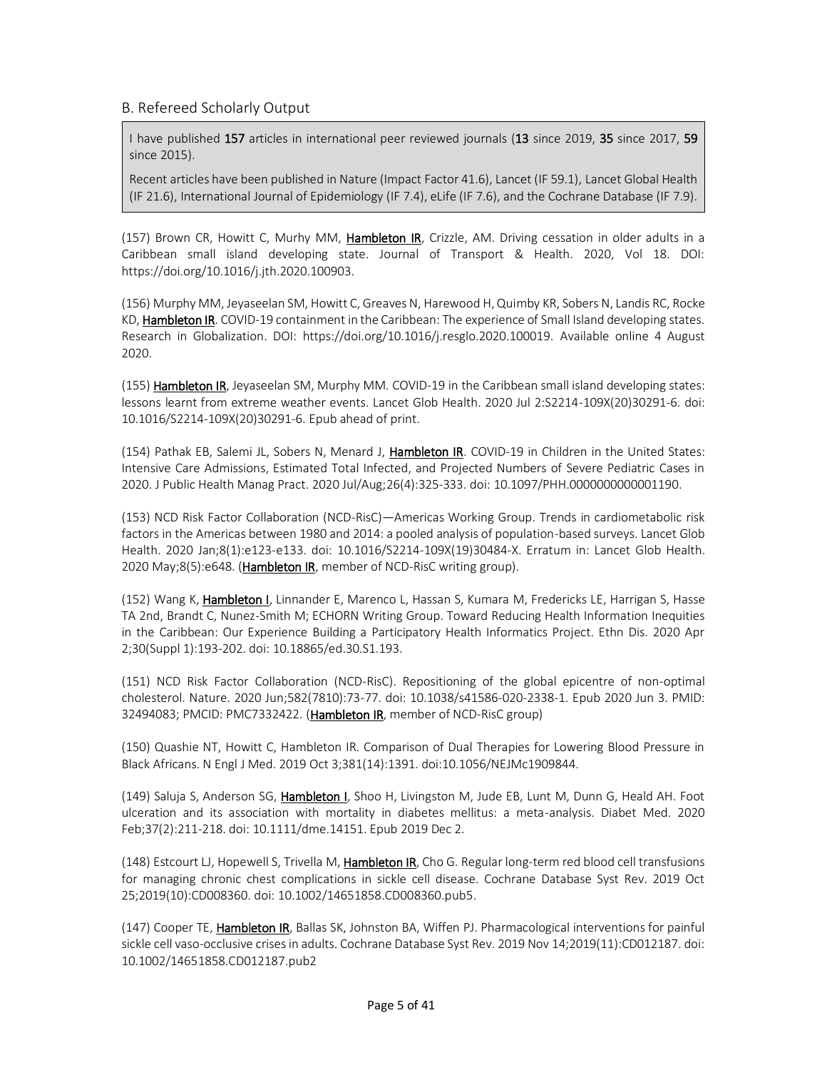## B. Refereed Scholarly Output

I have published 157 articles in international peer reviewed journals (13 since 2019, 35 since 2017, 59 since 2015).

Recent articles have been published in Nature (Impact Factor 41.6), Lancet (IF 59.1), Lancet Global Health (IF 21.6), International Journal of Epidemiology (IF 7.4), eLife (IF 7.6), and the Cochrane Database (IF 7.9).

(157) Brown CR, Howitt C, Murhy MM, Hambleton IR, Crizzle, AM. Driving cessation in older adults in a Caribbean small island developing state. Journal of Transport & Health. 2020, Vol 18. DOI: https://doi.org/10.1016/j.jth.2020.100903.

(156) Murphy MM, Jeyaseelan SM, Howitt C, Greaves N, Harewood H, Quimby KR, Sobers N, Landis RC, Rocke KD, Hambleton IR. COVID-19 containment in the Caribbean: The experience of Small Island developing states. Research in Globalization. DOI: https://doi.org/10.1016/j.resglo.2020.100019. Available online 4 August 2020.

(155) Hambleton IR, Jeyaseelan SM, Murphy MM. COVID-19 in the Caribbean small island developing states: lessons learnt from extreme weather events. Lancet Glob Health. 2020 Jul 2:S2214-109X(20)30291-6. doi: 10.1016/S2214-109X(20)30291-6. Epub ahead of print.

(154) Pathak EB, Salemi JL, Sobers N, Menard J, Hambleton IR. COVID-19 in Children in the United States: Intensive Care Admissions, Estimated Total Infected, and Projected Numbers of Severe Pediatric Cases in 2020. J Public Health Manag Pract. 2020 Jul/Aug;26(4):325-333. doi: 10.1097/PHH.0000000000001190.

(153) NCD Risk Factor Collaboration (NCD-RisC)—Americas Working Group. Trends in cardiometabolic risk factors in the Americas between 1980 and 2014: a pooled analysis of population-based surveys. Lancet Glob Health. 2020 Jan;8(1):e123-e133. doi: 10.1016/S2214-109X(19)30484-X. Erratum in: Lancet Glob Health. 2020 May;8(5):e648. (Hambleton IR, member of NCD-RisC writing group).

(152) Wang K, Hambleton I, Linnander E, Marenco L, Hassan S, Kumara M, Fredericks LE, Harrigan S, Hasse TA 2nd, Brandt C, Nunez-Smith M; ECHORN Writing Group. Toward Reducing Health Information Inequities in the Caribbean: Our Experience Building a Participatory Health Informatics Project. Ethn Dis. 2020 Apr 2;30(Suppl 1):193-202. doi: 10.18865/ed.30.S1.193.

(151) NCD Risk Factor Collaboration (NCD-RisC). Repositioning of the global epicentre of non-optimal cholesterol. Nature. 2020 Jun;582(7810):73-77. doi: 10.1038/s41586-020-2338-1. Epub 2020 Jun 3. PMID: 32494083; PMCID: PMC7332422. (Hambleton IR, member of NCD-RisC group)

(150) Quashie NT, Howitt C, Hambleton IR. Comparison of Dual Therapies for Lowering Blood Pressure in Black Africans. N Engl J Med. 2019 Oct 3;381(14):1391. doi:10.1056/NEJMc1909844.

(149) Saluja S, Anderson SG, Hambleton I, Shoo H, Livingston M, Jude EB, Lunt M, Dunn G, Heald AH. Foot ulceration and its association with mortality in diabetes mellitus: a meta-analysis. Diabet Med. 2020 Feb;37(2):211-218. doi: 10.1111/dme.14151. Epub 2019 Dec 2.

(148) Estcourt LJ, Hopewell S, Trivella M, Hambleton IR, Cho G. Regular long-term red blood cell transfusions for managing chronic chest complications in sickle cell disease. Cochrane Database Syst Rev. 2019 Oct 25;2019(10):CD008360. doi: 10.1002/14651858.CD008360.pub5.

(147) Cooper TE, Hambleton IR, Ballas SK, Johnston BA, Wiffen PJ. Pharmacological interventions for painful sickle cell vaso-occlusive crises in adults. Cochrane Database Syst Rev. 2019 Nov 14;2019(11):CD012187. doi: 10.1002/14651858.CD012187.pub2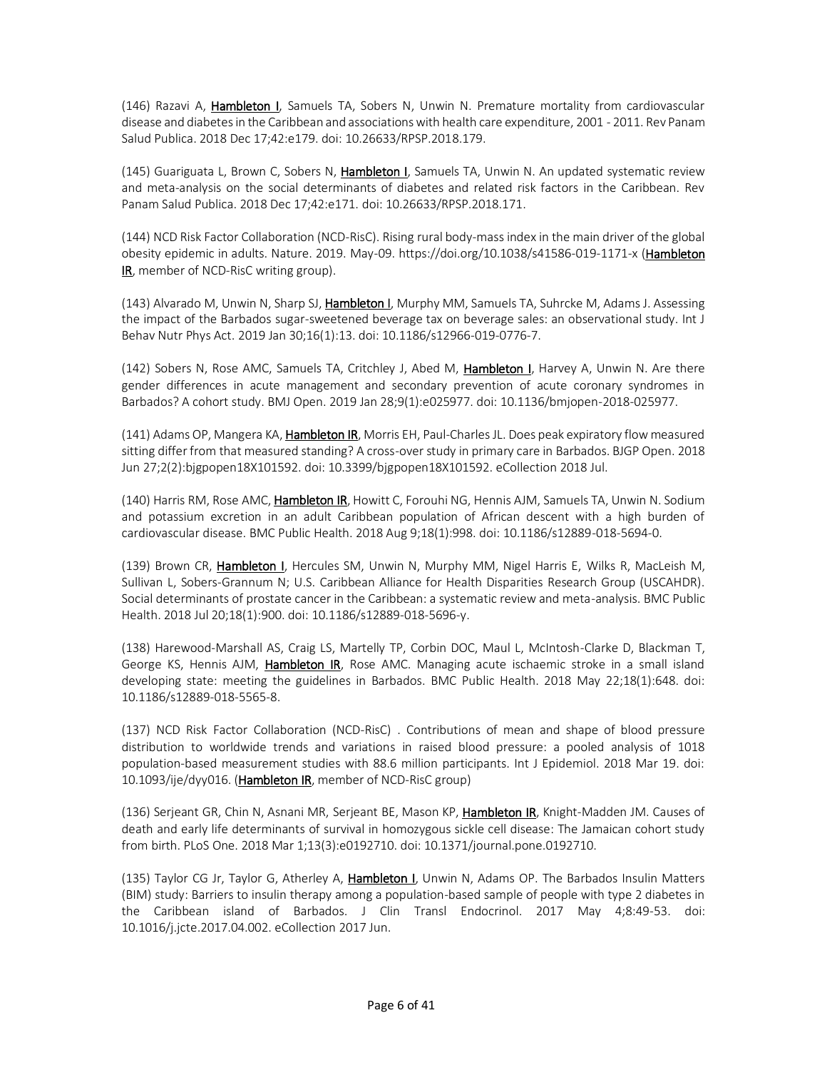(146) Razavi A, Hambleton I, Samuels TA, Sobers N, Unwin N. Premature mortality from cardiovascular disease and diabetes in the Caribbean and associations with health care expenditure, 2001 - 2011. Rev Panam Salud Publica. 2018 Dec 17;42:e179. doi: 10.26633/RPSP.2018.179.

(145) Guariguata L, Brown C, Sobers N, Hambleton I, Samuels TA, Unwin N. An updated systematic review and meta-analysis on the social determinants of diabetes and related risk factors in the Caribbean. Rev Panam Salud Publica. 2018 Dec 17;42:e171. doi: 10.26633/RPSP.2018.171.

(144) NCD Risk Factor Collaboration (NCD-RisC). Rising rural body-mass index in the main driver of the global obesity epidemic in adults. Nature. 2019. May-09. https://doi.org/10.1038/s41586-019-1171-x (Hambleton IR, member of NCD-RisC writing group).

(143) Alvarado M, Unwin N, Sharp SJ, Hambleton I, Murphy MM, Samuels TA, Suhrcke M, Adams J. Assessing the impact of the Barbados sugar-sweetened beverage tax on beverage sales: an observational study. Int J Behav Nutr Phys Act. 2019 Jan 30;16(1):13. doi: 10.1186/s12966-019-0776-7.

(142) Sobers N, Rose AMC, Samuels TA, Critchley J, Abed M, Hambleton I, Harvey A, Unwin N. Are there gender differences in acute management and secondary prevention of acute coronary syndromes in Barbados? A cohort study. BMJ Open. 2019 Jan 28;9(1):e025977. doi: 10.1136/bmjopen-2018-025977.

(141) Adams OP, Mangera KA, **Hambleton IR**, Morris EH, Paul-Charles JL. Does peak expiratory flow measured sitting differ from that measured standing? A cross-over study in primary care in Barbados. BJGP Open. 2018 Jun 27;2(2):bjgpopen18X101592. doi: 10.3399/bjgpopen18X101592. eCollection 2018 Jul.

(140) Harris RM, Rose AMC, Hambleton IR, Howitt C, Forouhi NG, Hennis AJM, Samuels TA, Unwin N. Sodium and potassium excretion in an adult Caribbean population of African descent with a high burden of cardiovascular disease. BMC Public Health. 2018 Aug 9;18(1):998. doi: 10.1186/s12889-018-5694-0.

(139) Brown CR, Hambleton I, Hercules SM, Unwin N, Murphy MM, Nigel Harris E, Wilks R, MacLeish M, Sullivan L, Sobers-Grannum N; U.S. Caribbean Alliance for Health Disparities Research Group (USCAHDR). Social determinants of prostate cancer in the Caribbean: a systematic review and meta-analysis. BMC Public Health. 2018 Jul 20;18(1):900. doi: 10.1186/s12889-018-5696-y.

(138) Harewood-Marshall AS, Craig LS, Martelly TP, Corbin DOC, Maul L, McIntosh-Clarke D, Blackman T, George KS, Hennis AJM, Hambleton IR, Rose AMC. Managing acute ischaemic stroke in a small island developing state: meeting the guidelines in Barbados. BMC Public Health. 2018 May 22;18(1):648. doi: 10.1186/s12889-018-5565-8.

(137) NCD Risk Factor Collaboration (NCD-RisC) . Contributions of mean and shape of blood pressure distribution to worldwide trends and variations in raised blood pressure: a pooled analysis of 1018 population-based measurement studies with 88.6 million participants. Int J Epidemiol. 2018 Mar 19. doi: 10.1093/ije/dyy016. (Hambleton IR, member of NCD-RisC group)

(136) Serjeant GR, Chin N, Asnani MR, Serjeant BE, Mason KP, Hambleton IR, Knight-Madden JM. Causes of death and early life determinants of survival in homozygous sickle cell disease: The Jamaican cohort study from birth. PLoS One. 2018 Mar 1;13(3):e0192710. doi: 10.1371/journal.pone.0192710.

(135) Taylor CG Jr, Taylor G, Atherley A, Hambleton I, Unwin N, Adams OP. The Barbados Insulin Matters (BIM) study: Barriers to insulin therapy among a population-based sample of people with type 2 diabetes in the Caribbean island of Barbados. J Clin Transl Endocrinol. 2017 May 4;8:49-53. doi: 10.1016/j.jcte.2017.04.002. eCollection 2017 Jun.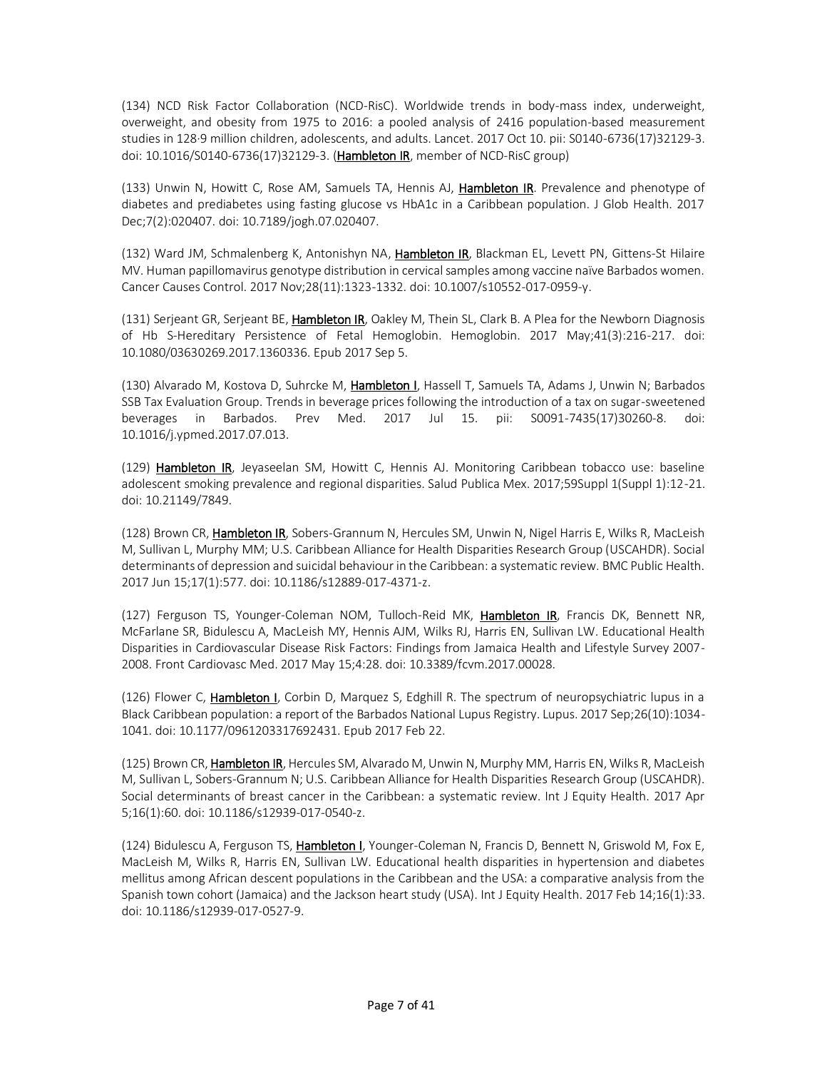(134) NCD Risk Factor Collaboration (NCD-RisC). Worldwide trends in body-mass index, underweight, overweight, and obesity from 1975 to 2016: a pooled analysis of 2416 population-based measurement studies in 128·9 million children, adolescents, and adults. Lancet. 2017 Oct 10. pii: S0140-6736(17)32129-3. doi: 10.1016/S0140-6736(17)32129-3. (Hambleton IR, member of NCD-RisC group)

(133) Unwin N, Howitt C, Rose AM, Samuels TA, Hennis AJ, Hambleton IR. Prevalence and phenotype of diabetes and prediabetes using fasting glucose vs HbA1c in a Caribbean population. J Glob Health. 2017 Dec;7(2):020407. doi: 10.7189/jogh.07.020407.

(132) Ward JM, Schmalenberg K, Antonishyn NA, Hambleton IR, Blackman EL, Levett PN, Gittens-St Hilaire MV. Human papillomavirus genotype distribution in cervical samples among vaccine naïve Barbados women. Cancer Causes Control. 2017 Nov;28(11):1323-1332. doi: 10.1007/s10552-017-0959-y.

(131) Serjeant GR, Serjeant BE, Hambleton IR, Oakley M, Thein SL, Clark B. A Plea for the Newborn Diagnosis of Hb S-Hereditary Persistence of Fetal Hemoglobin. Hemoglobin. 2017 May;41(3):216-217. doi: 10.1080/03630269.2017.1360336. Epub 2017 Sep 5.

(130) Alvarado M, Kostova D, Suhrcke M, Hambleton I, Hassell T, Samuels TA, Adams J, Unwin N; Barbados SSB Tax Evaluation Group. Trends in beverage prices following the introduction of a tax on sugar-sweetened beverages in Barbados. Prev Med. 2017 Jul 15. pii: S0091-7435(17)30260-8. doi: 10.1016/j.ypmed.2017.07.013.

(129) Hambleton IR, Jeyaseelan SM, Howitt C, Hennis AJ. Monitoring Caribbean tobacco use: baseline adolescent smoking prevalence and regional disparities. Salud Publica Mex. 2017;59Suppl 1(Suppl 1):12-21. doi: 10.21149/7849.

(128) Brown CR, Hambleton IR, Sobers-Grannum N, Hercules SM, Unwin N, Nigel Harris E, Wilks R, MacLeish M, Sullivan L, Murphy MM; U.S. Caribbean Alliance for Health Disparities Research Group (USCAHDR). Social determinants of depression and suicidal behaviour in the Caribbean: a systematic review. BMC Public Health. 2017 Jun 15;17(1):577. doi: 10.1186/s12889-017-4371-z.

(127) Ferguson TS, Younger-Coleman NOM, Tulloch-Reid MK, Hambleton IR, Francis DK, Bennett NR, McFarlane SR, Bidulescu A, MacLeish MY, Hennis AJM, Wilks RJ, Harris EN, Sullivan LW. Educational Health Disparities in Cardiovascular Disease Risk Factors: Findings from Jamaica Health and Lifestyle Survey 2007- 2008. Front Cardiovasc Med. 2017 May 15;4:28. doi: 10.3389/fcvm.2017.00028.

(126) Flower C, *Hambleton I*, Corbin D, Marquez S, Edghill R. The spectrum of neuropsychiatric lupus in a Black Caribbean population: a report of the Barbados National Lupus Registry. Lupus. 2017 Sep;26(10):1034- 1041. doi: 10.1177/0961203317692431. Epub 2017 Feb 22.

(125) Brown CR, Hambleton IR, Hercules SM, Alvarado M, Unwin N, Murphy MM, Harris EN, Wilks R, MacLeish M, Sullivan L, Sobers-Grannum N; U.S. Caribbean Alliance for Health Disparities Research Group (USCAHDR). Social determinants of breast cancer in the Caribbean: a systematic review. Int J Equity Health. 2017 Apr 5;16(1):60. doi: 10.1186/s12939-017-0540-z.

(124) Bidulescu A, Ferguson TS, *Hambleton I, Younger-Coleman N, Francis D, Bennett N, Griswold M, Fox E,* MacLeish M, Wilks R, Harris EN, Sullivan LW. Educational health disparities in hypertension and diabetes mellitus among African descent populations in the Caribbean and the USA: a comparative analysis from the Spanish town cohort (Jamaica) and the Jackson heart study (USA). Int J Equity Health. 2017 Feb 14;16(1):33. doi: 10.1186/s12939-017-0527-9.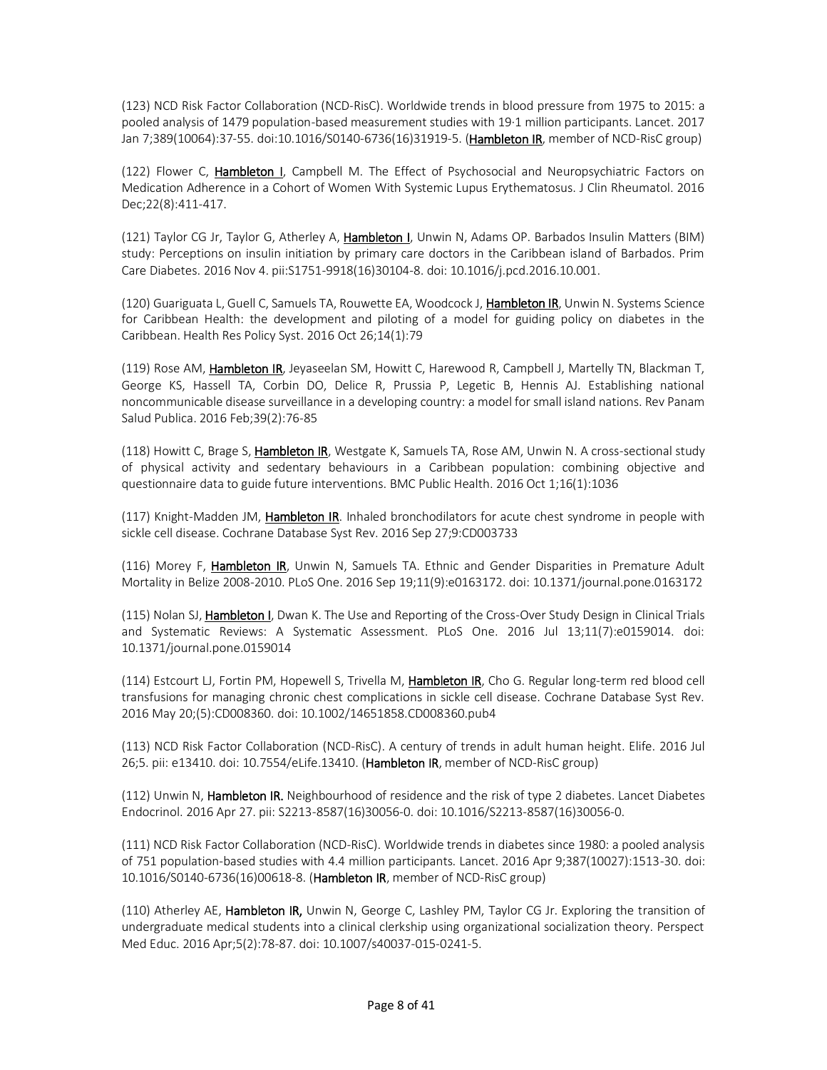(123) NCD Risk Factor Collaboration (NCD-RisC). Worldwide trends in blood pressure from 1975 to 2015: a pooled analysis of 1479 population-based measurement studies with 19·1 million participants. Lancet. 2017 Jan 7;389(10064):37-55. doi:10.1016/S0140-6736(16)31919-5. (**Hambleton IR**, member of NCD-RisC group)

(122) Flower C, Hambleton I, Campbell M. The Effect of Psychosocial and Neuropsychiatric Factors on Medication Adherence in a Cohort of Women With Systemic Lupus Erythematosus. J Clin Rheumatol. 2016 Dec;22(8):411-417.

(121) Taylor CG Jr, Taylor G, Atherley A, Hambleton I, Unwin N, Adams OP. Barbados Insulin Matters (BIM) study: Perceptions on insulin initiation by primary care doctors in the Caribbean island of Barbados. Prim Care Diabetes. 2016 Nov 4. pii:S1751-9918(16)30104-8. doi: 10.1016/j.pcd.2016.10.001.

(120) Guariguata L, Guell C, Samuels TA, Rouwette EA, Woodcock J, Hambleton IR, Unwin N. Systems Science for Caribbean Health: the development and piloting of a model for guiding policy on diabetes in the Caribbean. Health Res Policy Syst. 2016 Oct 26;14(1):79

(119) Rose AM, **Hambleton IR**, Jeyaseelan SM, Howitt C, Harewood R, Campbell J, Martelly TN, Blackman T, George KS, Hassell TA, Corbin DO, Delice R, Prussia P, Legetic B, Hennis AJ. Establishing national noncommunicable disease surveillance in a developing country: a model for small island nations. Rev Panam Salud Publica. 2016 Feb;39(2):76-85

(118) Howitt C, Brage S, Hambleton IR, Westgate K, Samuels TA, Rose AM, Unwin N. A cross-sectional study of physical activity and sedentary behaviours in a Caribbean population: combining objective and questionnaire data to guide future interventions. BMC Public Health. 2016 Oct 1;16(1):1036

(117) Knight-Madden JM, **Hambleton IR**. Inhaled bronchodilators for acute chest syndrome in people with sickle cell disease. Cochrane Database Syst Rev. 2016 Sep 27;9:CD003733

(116) Morey F, Hambleton IR, Unwin N, Samuels TA. Ethnic and Gender Disparities in Premature Adult Mortality in Belize 2008-2010. PLoS One. 2016 Sep 19;11(9):e0163172. doi: 10.1371/journal.pone.0163172

(115) Nolan SJ, Hambleton I, Dwan K. The Use and Reporting of the Cross-Over Study Design in Clinical Trials and Systematic Reviews: A Systematic Assessment. PLoS One. 2016 Jul 13;11(7):e0159014. doi: 10.1371/journal.pone.0159014

(114) Estcourt LJ, Fortin PM, Hopewell S, Trivella M, **Hambleton IR**, Cho G. Regular long-term red blood cell transfusions for managing chronic chest complications in sickle cell disease. Cochrane Database Syst Rev. 2016 May 20;(5):CD008360. doi: 10.1002/14651858.CD008360.pub4

(113) NCD Risk Factor Collaboration (NCD-RisC). A century of trends in adult human height. Elife. 2016 Jul 26;5. pii: e13410. doi: 10.7554/eLife.13410. (Hambleton IR, member of NCD-RisC group)

(112) Unwin N, Hambleton IR. Neighbourhood of residence and the risk of type 2 diabetes. Lancet Diabetes Endocrinol. 2016 Apr 27. pii: S2213-8587(16)30056-0. doi: 10.1016/S2213-8587(16)30056-0.

(111) NCD Risk Factor Collaboration (NCD-RisC). Worldwide trends in diabetes since 1980: a pooled analysis of 751 population-based studies with 4.4 million participants. Lancet. 2016 Apr 9;387(10027):1513-30. doi: 10.1016/S0140-6736(16)00618-8. (Hambleton IR, member of NCD-RisC group)

(110) Atherley AE, Hambleton IR, Unwin N, George C, Lashley PM, Taylor CG Jr. Exploring the transition of undergraduate medical students into a clinical clerkship using organizational socialization theory. Perspect Med Educ. 2016 Apr;5(2):78-87. doi: 10.1007/s40037-015-0241-5.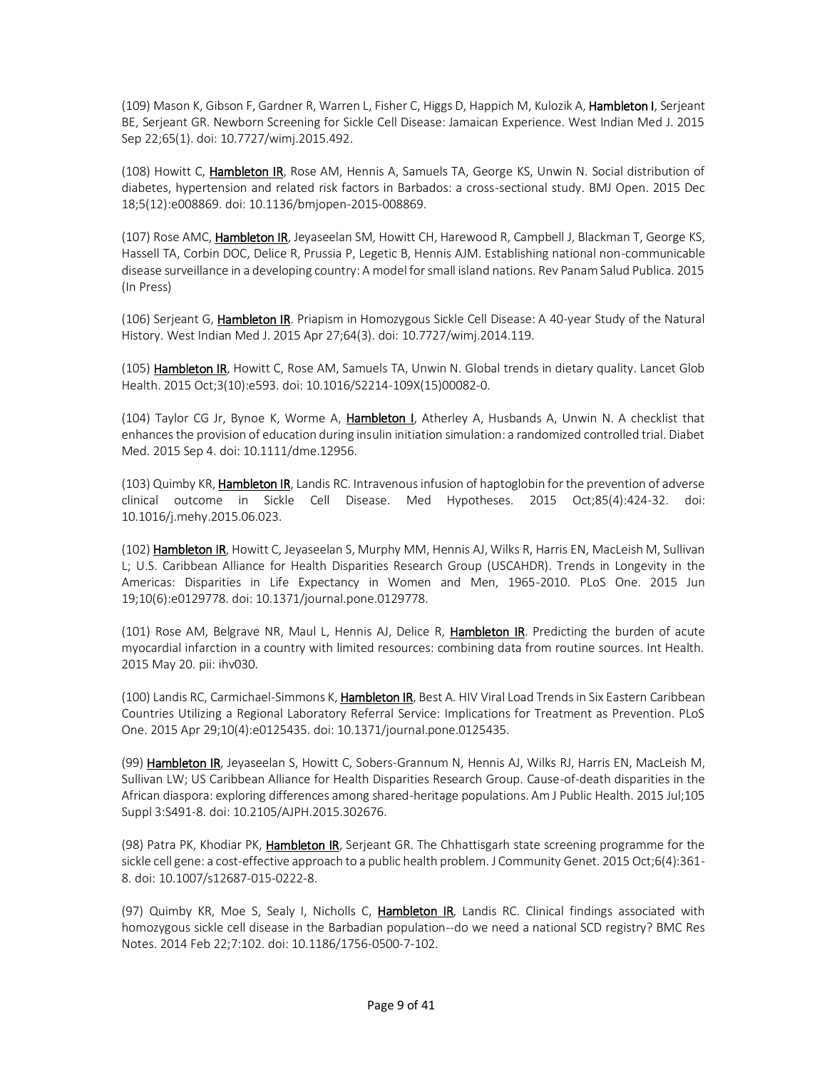(109) Mason K, Gibson F, Gardner R, Warren L, Fisher C, Higgs D, Happich M, Kulozik A, Hambleton I, Serjeant BE, Serjeant GR. Newborn Screening for Sickle Cell Disease: Jamaican Experience. West Indian Med J. 2015 Sep 22;65(1). doi: 10.7727/wimj.2015.492.

(108) Howitt C, Hambleton IR, Rose AM, Hennis A, Samuels TA, George KS, Unwin N. Social distribution of diabetes, hypertension and related risk factors in Barbados: a cross-sectional study. BMJ Open. 2015 Dec 18;5(12):e008869. doi: 10.1136/bmjopen-2015-008869.

(107) Rose AMC, Hambleton IR, Jeyaseelan SM, Howitt CH, Harewood R, Campbell J, Blackman T, George KS, Hassell TA, Corbin DOC, Delice R, Prussia P, Legetic B, Hennis AJM. Establishing national non-communicable disease surveillance in a developing country: A model for small island nations. Rev Panam Salud Publica. 2015 (In Press)

(106) Serjeant G, Hambleton IR. Priapism in Homozygous Sickle Cell Disease: A 40-year Study of the Natural History. West Indian Med J. 2015 Apr 27;64(3). doi: 10.7727/wimj.2014.119.

(105) Hambleton IR, Howitt C, Rose AM, Samuels TA, Unwin N. Global trends in dietary quality. Lancet Glob Health. 2015 Oct;3(10):e593. doi: 10.1016/S2214-109X(15)00082-0.

(104) Taylor CG Jr, Bynoe K, Worme A, Hambleton J, Atherley A, Husbands A, Unwin N. A checklist that enhances the provision of education during insulin initiation simulation: a randomized controlled trial. Diabet Med. 2015 Sep 4. doi: 10.1111/dme.12956.

(103) Quimby KR, Hambleton IR, Landis RC. Intravenous infusion of haptoglobin for the prevention of adverse clinical outcome in Sickle Cell Disease. Med Hypotheses. 2015 Oct;85(4):424-32. doi: 10.1016/j.mehy.2015.06.023.

(102) Hambleton IR, Howitt C, Jeyaseelan S, Murphy MM, Hennis AJ, Wilks R, Harris EN, MacLeish M, Sullivan L; U.S. Caribbean Alliance for Health Disparities Research Group (USCAHDR). Trends in Longevity in the Americas: Disparities in Life Expectancy in Women and Men, 1965-2010. PLoS One. 2015 Jun 19;10(6):e0129778. doi: 10.1371/journal.pone.0129778.

(101) Rose AM, Belgrave NR, Maul L, Hennis AJ, Delice R, Hambleton IR. Predicting the burden of acute myocardial infarction in a country with limited resources: combining data from routine sources. Int Health. 2015 May 20. pii: ihv030.

(100) Landis RC, Carmichael-Simmons K, Hambleton IR, Best A. HIV Viral Load Trends in Six Eastern Caribbean Countries Utilizing a Regional Laboratory Referral Service: Implications for Treatment as Prevention. PLoS One. 2015 Apr 29;10(4):e0125435. doi: 10.1371/journal.pone.0125435.

(99) Hambleton IR, Jeyaseelan S, Howitt C, Sobers-Grannum N, Hennis AJ, Wilks RJ, Harris EN, MacLeish M, Sullivan LW; US Caribbean Alliance for Health Disparities Research Group. Cause-of-death disparities in the African diaspora: exploring differences among shared-heritage populations. Am J Public Health. 2015 Jul;105 Suppl 3:S491-8. doi: 10.2105/AJPH.2015.302676.

(98) Patra PK, Khodiar PK, Hambleton IR, Serjeant GR. The Chhattisgarh state screening programme for the sickle cell gene: a cost-effective approach to a public health problem. J Community Genet. 2015 Oct;6(4):361- 8. doi: 10.1007/s12687-015-0222-8.

(97) Quimby KR, Moe S, Sealy I, Nicholls C, Hambleton IR, Landis RC. Clinical findings associated with homozygous sickle cell disease in the Barbadian population--do we need a national SCD registry? BMC Res Notes. 2014 Feb 22;7:102. doi: 10.1186/1756-0500-7-102.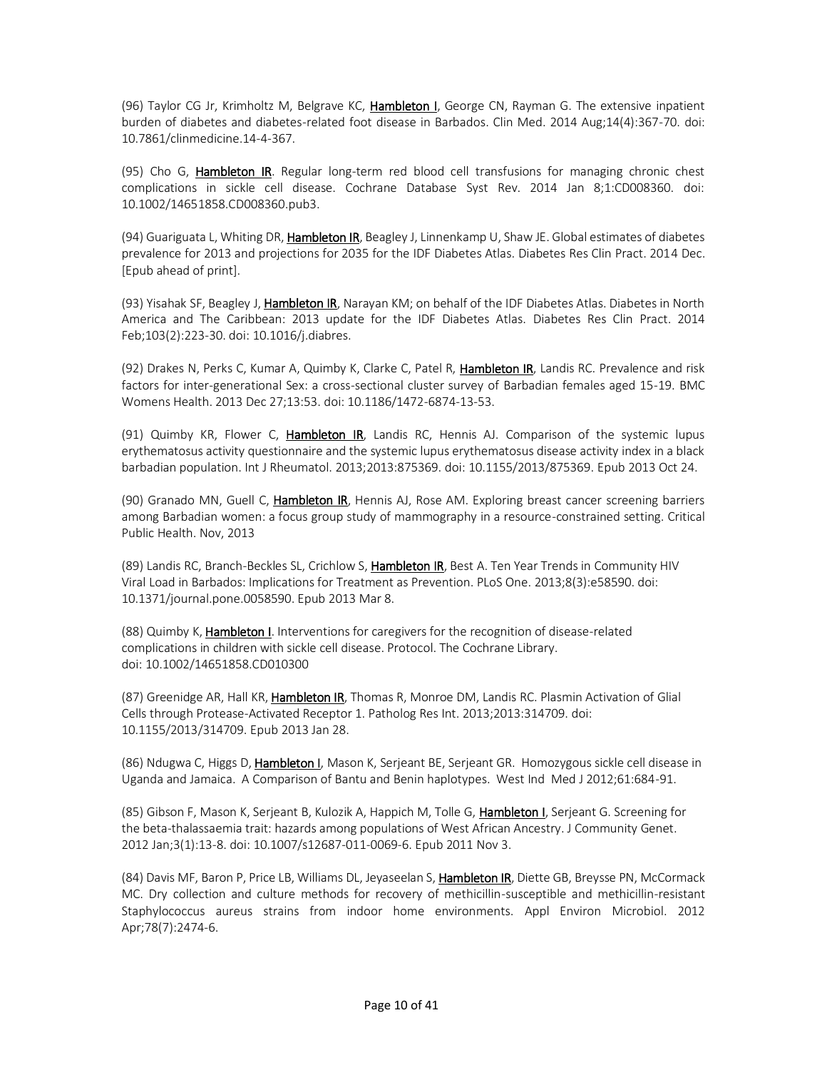(96) Taylor CG Jr, Krimholtz M, Belgrave KC, Hambleton I, George CN, Rayman G. The extensive inpatient burden of diabetes and diabetes-related foot disease in Barbados. Clin Med. 2014 Aug;14(4):367-70. doi: 10.7861/clinmedicine.14-4-367.

(95) Cho G, Hambleton IR. Regular long-term red blood cell transfusions for managing chronic chest complications in sickle cell disease. Cochrane Database Syst Rev. 2014 Jan 8;1:CD008360. doi: 10.1002/14651858.CD008360.pub3.

(94) Guariguata L, Whiting DR, Hambleton IR, Beagley J, Linnenkamp U, Shaw JE. Global estimates of diabetes prevalence for 2013 and projections for 2035 for the IDF Diabetes Atlas. Diabetes Res Clin Pract. 2014 Dec. [Epub ahead of print].

(93) Yisahak SF, Beagley J, Hambleton IR, Narayan KM; on behalf of the IDF Diabetes Atlas. Diabetes in North America and The Caribbean: 2013 update for the IDF Diabetes Atlas. Diabetes Res Clin Pract. 2014 Feb;103(2):223-30. doi: 10.1016/j.diabres.

(92) Drakes N, Perks C, Kumar A, Quimby K, Clarke C, Patel R, Hambleton IR, Landis RC. Prevalence and risk factors for inter-generational Sex: a cross-sectional cluster survey of Barbadian females aged 15-19. BMC Womens Health. 2013 Dec 27;13:53. doi: 10.1186/1472-6874-13-53.

(91) Quimby KR, Flower C, Hambleton IR, Landis RC, Hennis AJ. Comparison of the systemic lupus erythematosus activity questionnaire and the systemic lupus erythematosus disease activity index in a black barbadian population. Int J Rheumatol. 2013;2013:875369. doi: 10.1155/2013/875369. Epub 2013 Oct 24.

(90) Granado MN, Guell C, Hambleton IR, Hennis AJ, Rose AM. Exploring breast cancer screening barriers among Barbadian women: a focus group study of mammography in a resource-constrained setting. Critical Public Health. Nov, 2013

(89) Landis RC, Branch-Beckles SL, Crichlow S, Hambleton IR, Best A. Ten Year Trends in Community HIV Viral Load in Barbados: Implications for Treatment as Prevention. PLoS One. 2013;8(3):e58590. doi: 10.1371/journal.pone.0058590. Epub 2013 Mar 8.

(88) Quimby K, **Hambleton I**. Interventions for caregivers for the recognition of disease-related complications in children with sickle cell disease. Protocol. The Cochrane Library. doi: 10.1002/14651858.CD010300

(87) Greenidge AR, Hall KR, Hambleton IR, Thomas R, Monroe DM, Landis RC. Plasmin Activation of Glial Cells through Protease-Activated Receptor 1. Patholog Res Int. 2013;2013:314709. doi: 10.1155/2013/314709. Epub 2013 Jan 28.

(86) Ndugwa C, Higgs D, Hambleton I, Mason K, Serjeant BE, Serjeant GR. Homozygous sickle cell disease in Uganda and Jamaica. A Comparison of Bantu and Benin haplotypes. West Ind Med J 2012;61:684-91.

(85) Gibson F, Mason K, Serjeant B, Kulozik A, Happich M, Tolle G, Hambleton I, Serjeant G. Screening for the beta-thalassaemia trait: hazards among populations of West African Ancestry. J Community Genet. 2012 Jan;3(1):13-8. doi: 10.1007/s12687-011-0069-6. Epub 2011 Nov 3.

(84) Davis MF, Baron P, Price LB, Williams DL, Jeyaseelan S, Hambleton IR, Diette GB, Breysse PN, McCormack MC. Dry collection and culture methods for recovery of methicillin-susceptible and methicillin-resistant Staphylococcus aureus strains from indoor home environments. Appl Environ Microbiol. 2012 Apr;78(7):2474-6.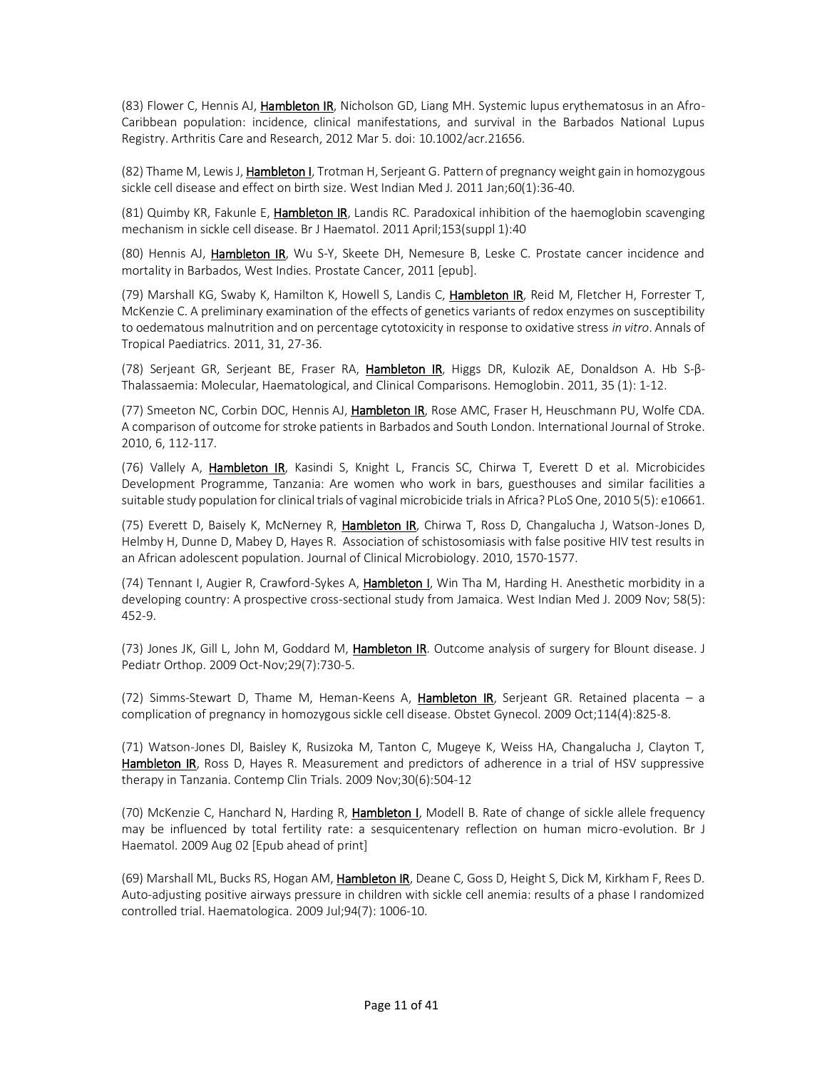(83) Flower C, Hennis AJ, Hambleton IR, Nicholson GD, Liang MH. Systemic lupus erythematosus in an Afro-Caribbean population: incidence, clinical manifestations, and survival in the Barbados National Lupus Registry. Arthritis Care and Research, 2012 Mar 5. doi: 10.1002/acr.21656.

(82) Thame M, Lewis J, Hambleton I, Trotman H, Serjeant G. Pattern of pregnancy weight gain in homozygous sickle cell disease and effect on birth size. West Indian Med J. 2011 Jan;60(1):36-40.

(81) Quimby KR, Fakunle E, Hambleton IR, Landis RC. Paradoxical inhibition of the haemoglobin scavenging mechanism in sickle cell disease. Br J Haematol. 2011 April;153(suppl 1):40

(80) Hennis AJ, Hambleton IR, Wu S-Y, Skeete DH, Nemesure B, Leske C. Prostate cancer incidence and mortality in Barbados, West Indies. Prostate Cancer, 2011 [epub].

(79) Marshall KG, Swaby K, Hamilton K, Howell S, Landis C, Hambleton IR, Reid M, Fletcher H, Forrester T, McKenzie C. A preliminary examination of the effects of genetics variants of redox enzymes on susceptibility to oedematous malnutrition and on percentage cytotoxicity in response to oxidative stress *in vitro*. Annals of Tropical Paediatrics. 2011, 31, 27-36.

(78) Serjeant GR, Serjeant BE, Fraser RA, Hambleton IR, Higgs DR, Kulozik AE, Donaldson A. Hb S-β-Thalassaemia: Molecular, Haematological, and Clinical Comparisons. Hemoglobin. 2011, 35 (1): 1-12.

(77) Smeeton NC, Corbin DOC, Hennis AJ, Hambleton IR, Rose AMC, Fraser H, Heuschmann PU, Wolfe CDA. A comparison of outcome for stroke patients in Barbados and South London. International Journal of Stroke. 2010, 6, 112-117.

(76) Vallely A, Hambleton IR, Kasindi S, Knight L, Francis SC, Chirwa T, Everett D et al. Microbicides Development Programme, Tanzania: Are women who work in bars, guesthouses and similar facilities a suitable study population for clinical trials of vaginal microbicide trialsin Africa? PLoS One, 2010 5(5): e10661.

(75) Everett D, Baisely K, McNerney R, Hambleton IR, Chirwa T, Ross D, Changalucha J, Watson-Jones D, Helmby H, Dunne D, Mabey D, Hayes R. Association of schistosomiasis with false positive HIV test results in an African adolescent population. Journal of Clinical Microbiology. 2010, 1570-1577.

(74) Tennant I, Augier R, Crawford-Sykes A, Hambleton I, Win Tha M, Harding H. Anesthetic morbidity in a developing country: A prospective cross-sectional study from Jamaica. West Indian Med J. 2009 Nov; 58(5): 452-9.

(73) Jones JK, Gill L, John M, Goddard M, Hambleton IR. Outcome analysis of surgery for Blount disease. J Pediatr Orthop. 2009 Oct-Nov;29(7):730-5.

(72) Simms-Stewart D, Thame M, Heman-Keens A, Hambleton IR, Serjeant GR. Retained placenta - a complication of pregnancy in homozygous sickle cell disease. Obstet Gynecol. 2009 Oct;114(4):825-8.

(71) Watson-Jones Dl, Baisley K, Rusizoka M, Tanton C, Mugeye K, Weiss HA, Changalucha J, Clayton T, Hambleton IR, Ross D, Hayes R. Measurement and predictors of adherence in a trial of HSV suppressive therapy in Tanzania. Contemp Clin Trials. 2009 Nov;30(6):504-12

(70) McKenzie C, Hanchard N, Harding R, Hambleton I, Modell B. Rate of change of sickle allele frequency may be influenced by total fertility rate: a sesquicentenary reflection on human micro-evolution. Br J Haematol. 2009 Aug 02 [Epub ahead of print]

(69) Marshall ML, Bucks RS, Hogan AM, Hambleton IR, Deane C, Goss D, Height S, Dick M, Kirkham F, Rees D. Auto-adjusting positive airways pressure in children with sickle cell anemia: results of a phase I randomized controlled trial. Haematologica. 2009 Jul;94(7): 1006-10.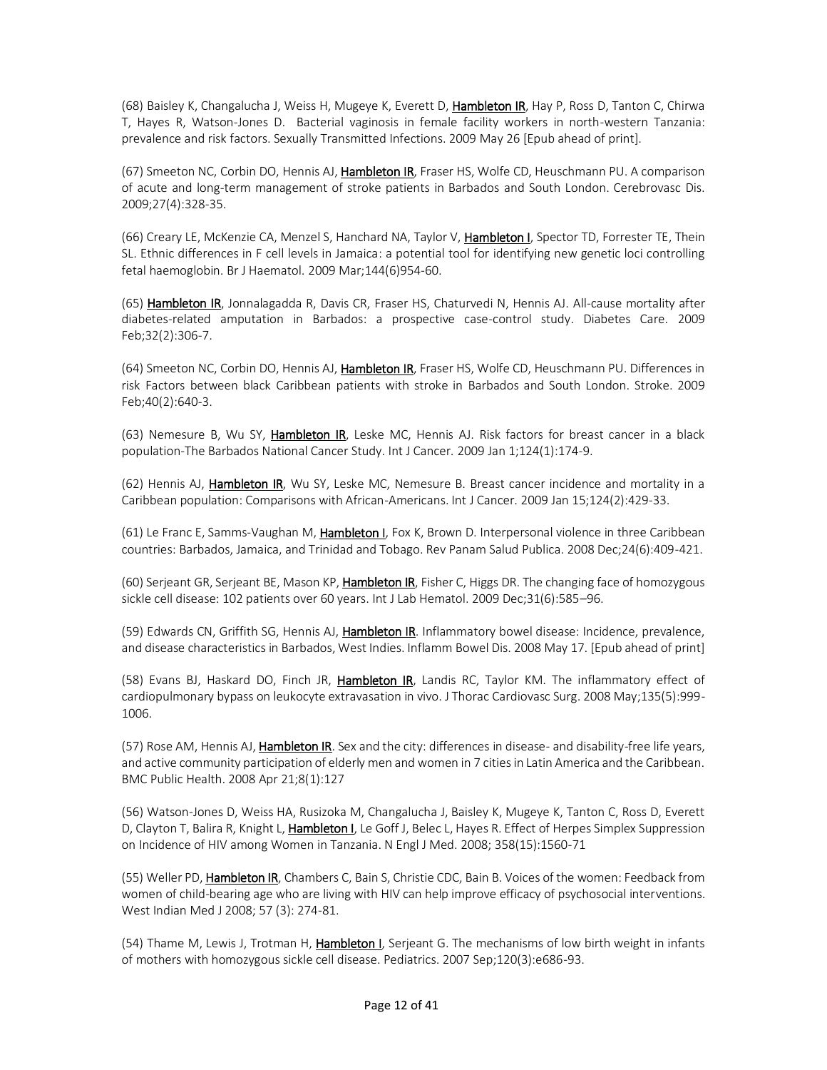(68) Baisley K, Changalucha J, Weiss H, Mugeye K, Everett D, Hambleton IR, Hay P, Ross D, Tanton C, Chirwa T, Hayes R, Watson-Jones D. Bacterial vaginosis in female facility workers in north-western Tanzania: prevalence and risk factors. Sexually Transmitted Infections. 2009 May 26 [Epub ahead of print].

(67) Smeeton NC, Corbin DO, Hennis AJ, Hambleton IR, Fraser HS, Wolfe CD, Heuschmann PU. A comparison of acute and long-term management of stroke patients in Barbados and South London. Cerebrovasc Dis. 2009;27(4):328-35.

(66) Creary LE, McKenzie CA, Menzel S, Hanchard NA, Taylor V, Hambleton I, Spector TD, Forrester TE, Thein SL. Ethnic differences in F cell levels in Jamaica: a potential tool for identifying new genetic loci controlling fetal haemoglobin. Br J Haematol. 2009 Mar;144(6)954-60.

(65) Hambleton IR, Jonnalagadda R, Davis CR, Fraser HS, Chaturvedi N, Hennis AJ. All-cause mortality after diabetes-related amputation in Barbados: a prospective case-control study. Diabetes Care. 2009 Feb;32(2):306-7.

(64) Smeeton NC, Corbin DO, Hennis AJ, Hambleton IR, Fraser HS, Wolfe CD, Heuschmann PU. Differences in risk Factors between black Caribbean patients with stroke in Barbados and South London. Stroke. 2009 Feb;40(2):640-3.

(63) Nemesure B, Wu SY, Hambleton IR, Leske MC, Hennis AJ. Risk factors for breast cancer in a black population-The Barbados National Cancer Study. Int J Cancer. 2009 Jan 1;124(1):174-9.

(62) Hennis AJ, Hambleton IR, Wu SY, Leske MC, Nemesure B. Breast cancer incidence and mortality in a Caribbean population: Comparisons with African-Americans. Int J Cancer. 2009 Jan 15;124(2):429-33.

(61) Le Franc E, Samms-Vaughan M, Hambleton I, Fox K, Brown D. Interpersonal violence in three Caribbean countries: Barbados, Jamaica, and Trinidad and Tobago. Rev Panam Salud Publica. 2008 Dec;24(6):409-421.

(60) Serjeant GR, Serjeant BE, Mason KP, Hambleton IR, Fisher C, Higgs DR. The changing face of homozygous sickle cell disease: 102 patients over 60 years. Int J Lab Hematol. 2009 Dec;31(6):585–96.

(59) Edwards CN, Griffith SG, Hennis AJ, Hambleton IR. Inflammatory bowel disease: Incidence, prevalence, and disease characteristics in Barbados, West Indies. Inflamm Bowel Dis. 2008 May 17. [Epub ahead of print]

(58) Evans BJ, Haskard DO, Finch JR, **Hambleton IR**, Landis RC, Taylor KM. The inflammatory effect of cardiopulmonary bypass on leukocyte extravasation in vivo. J Thorac Cardiovasc Surg. 2008 May;135(5):999- 1006.

(57) Rose AM, Hennis AJ, Hambleton IR. Sex and the city: differences in disease- and disability-free life years, and active community participation of elderly men and women in 7 cities in Latin America and the Caribbean. BMC Public Health. 2008 Apr 21;8(1):127

(56) Watson-Jones D, Weiss HA, Rusizoka M, Changalucha J, Baisley K, Mugeye K, Tanton C, Ross D, Everett D, Clayton T, Balira R, Knight L, Hambleton I, Le Goff J, Belec L, Hayes R. Effect of Herpes Simplex Suppression on Incidence of HIV among Women in Tanzania. N Engl J Med. 2008; 358(15):1560-71

(55) Weller PD, Hambleton IR, Chambers C, Bain S, Christie CDC, Bain B. Voices of the women: Feedback from women of child-bearing age who are living with HIV can help improve efficacy of psychosocial interventions. West Indian Med J 2008; 57 (3): 274-81.

(54) Thame M, Lewis J, Trotman H, Hambleton I, Serjeant G. The mechanisms of low birth weight in infants of mothers with homozygous sickle cell disease. Pediatrics. 2007 Sep;120(3):e686-93.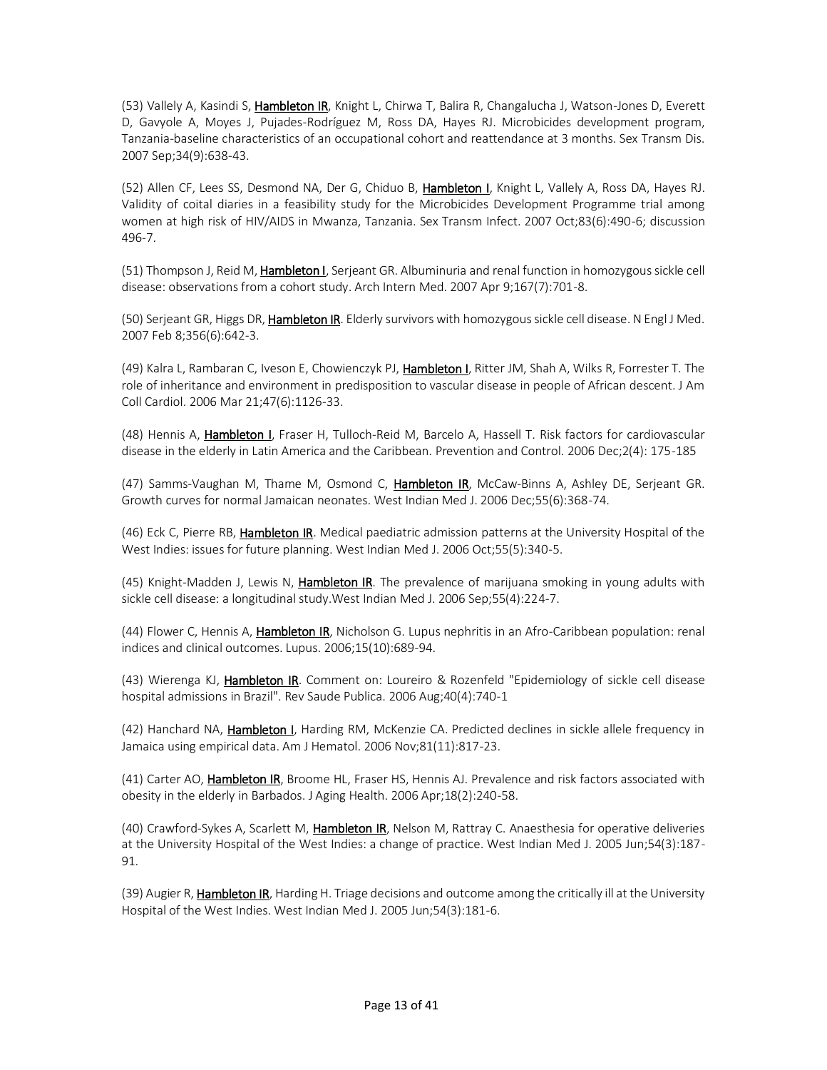(53) Vallely A, Kasindi S, Hambleton IR, Knight L, Chirwa T, Balira R, Changalucha J, Watson-Jones D, Everett D, Gavyole A, Moyes J, Pujades-Rodríguez M, Ross DA, Hayes RJ. Microbicides development program, Tanzania-baseline characteristics of an occupational cohort and reattendance at 3 months. Sex Transm Dis. 2007 Sep;34(9):638-43.

(52) Allen CF, Lees SS, Desmond NA, Der G, Chiduo B, Hambleton I, Knight L, Vallely A, Ross DA, Hayes RJ. Validity of coital diaries in a feasibility study for the Microbicides Development Programme trial among women at high risk of HIV/AIDS in Mwanza, Tanzania. Sex Transm Infect. 2007 Oct;83(6):490-6; discussion 496-7.

(51) Thompson J, Reid M, Hambleton I, Serjeant GR. Albuminuria and renal function in homozygous sickle cell disease: observations from a cohort study. Arch Intern Med. 2007 Apr 9;167(7):701-8.

(50) Serjeant GR, Higgs DR, Hambleton IR. Elderly survivors with homozygous sickle cell disease. N Engl J Med. 2007 Feb 8;356(6):642-3.

(49) Kalra L, Rambaran C, Iveson E, Chowienczyk PJ, Hambleton I, Ritter JM, Shah A, Wilks R, Forrester T. The role of inheritance and environment in predisposition to vascular disease in people of African descent. J Am Coll Cardiol. 2006 Mar 21;47(6):1126-33.

(48) Hennis A, Hambleton I, Fraser H, Tulloch-Reid M, Barcelo A, Hassell T. Risk factors for cardiovascular disease in the elderly in Latin America and the Caribbean. Prevention and Control. 2006 Dec;2(4): 175-185

(47) Samms-Vaughan M, Thame M, Osmond C, Hambleton IR, McCaw-Binns A, Ashley DE, Serjeant GR. Growth curves for normal Jamaican neonates. West Indian Med J. 2006 Dec;55(6):368-74.

(46) Eck C, Pierre RB, Hambleton IR. Medical paediatric admission patterns at the University Hospital of the West Indies: issues for future planning. West Indian Med J. 2006 Oct;55(5):340-5.

(45) Knight-Madden J, Lewis N, Hambleton IR. The prevalence of marijuana smoking in young adults with sickle cell disease: a longitudinal study.West Indian Med J. 2006 Sep;55(4):224-7.

(44) Flower C, Hennis A, Hambleton IR, Nicholson G. Lupus nephritis in an Afro-Caribbean population: renal indices and clinical outcomes. Lupus. 2006;15(10):689-94.

(43) Wierenga KJ, Hambleton IR. Comment on: Loureiro & Rozenfeld "Epidemiology of sickle cell disease hospital admissions in Brazil". Rev Saude Publica. 2006 Aug;40(4):740-1

(42) Hanchard NA, Hambleton I, Harding RM, McKenzie CA. Predicted declines in sickle allele frequency in Jamaica using empirical data. Am J Hematol. 2006 Nov;81(11):817-23.

(41) Carter AO, Hambleton IR, Broome HL, Fraser HS, Hennis AJ. Prevalence and risk factors associated with obesity in the elderly in Barbados. J Aging Health. 2006 Apr;18(2):240-58.

(40) Crawford-Sykes A, Scarlett M, Hambleton IR, Nelson M, Rattray C. Anaesthesia for operative deliveries at the University Hospital of the West Indies: a change of practice. West Indian Med J. 2005 Jun;54(3):187- 91.

(39) Augier R, Hambleton IR, Harding H. Triage decisions and outcome among the critically ill at the University Hospital of the West Indies. West Indian Med J. 2005 Jun;54(3):181-6.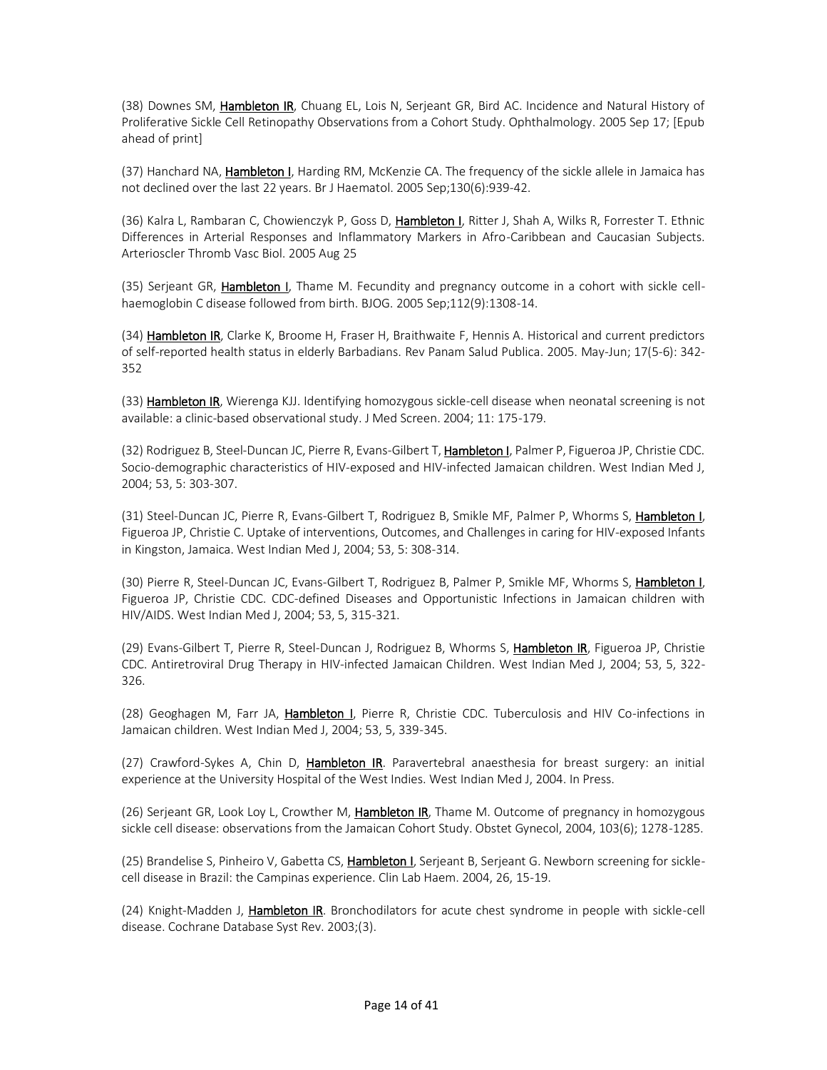(38) Downes SM, Hambleton IR, Chuang EL, Lois N, Serjeant GR, Bird AC. Incidence and Natural History of Proliferative Sickle Cell Retinopathy Observations from a Cohort Study. Ophthalmology. 2005 Sep 17; [Epub ahead of print]

(37) Hanchard NA, Hambleton I, Harding RM, McKenzie CA. The frequency of the sickle allele in Jamaica has not declined over the last 22 years. Br J Haematol. 2005 Sep;130(6):939-42.

(36) Kalra L, Rambaran C, Chowienczyk P, Goss D, Hambleton I, Ritter J, Shah A, Wilks R, Forrester T. Ethnic Differences in Arterial Responses and Inflammatory Markers in Afro-Caribbean and Caucasian Subjects. Arterioscler Thromb Vasc Biol. 2005 Aug 25

(35) Serjeant GR, Hambleton I, Thame M. Fecundity and pregnancy outcome in a cohort with sickle cellhaemoglobin C disease followed from birth. BJOG. 2005 Sep;112(9):1308-14.

(34) Hambleton IR, Clarke K, Broome H, Fraser H, Braithwaite F, Hennis A. Historical and current predictors of self-reported health status in elderly Barbadians. Rev Panam Salud Publica. 2005. May-Jun; 17(5-6): 342- 352

(33) Hambleton IR, Wierenga KJJ. Identifying homozygous sickle-cell disease when neonatal screening is not available: a clinic-based observational study. J Med Screen. 2004; 11: 175-179.

(32) Rodriguez B, Steel-Duncan JC, Pierre R, Evans-Gilbert T, Hambleton I, Palmer P, Figueroa JP, Christie CDC. Socio-demographic characteristics of HIV-exposed and HIV-infected Jamaican children. West Indian Med J, 2004; 53, 5: 303-307.

(31) Steel-Duncan JC, Pierre R, Evans-Gilbert T, Rodriguez B, Smikle MF, Palmer P, Whorms S, Hambleton I, Figueroa JP, Christie C. Uptake of interventions, Outcomes, and Challenges in caring for HIV-exposed Infants in Kingston, Jamaica. West Indian Med J, 2004; 53, 5: 308-314.

(30) Pierre R, Steel-Duncan JC, Evans-Gilbert T, Rodriguez B, Palmer P, Smikle MF, Whorms S, Hambleton I, Figueroa JP, Christie CDC. CDC-defined Diseases and Opportunistic Infections in Jamaican children with HIV/AIDS. West Indian Med J, 2004; 53, 5, 315-321.

(29) Evans-Gilbert T, Pierre R, Steel-Duncan J, Rodriguez B, Whorms S, Hambleton IR, Figueroa JP, Christie CDC. Antiretroviral Drug Therapy in HIV-infected Jamaican Children. West Indian Med J, 2004; 53, 5, 322- 326.

(28) Geoghagen M, Farr JA, Hambleton I, Pierre R, Christie CDC. Tuberculosis and HIV Co-infections in Jamaican children. West Indian Med J, 2004; 53, 5, 339-345.

(27) Crawford-Sykes A, Chin D, Hambleton IR. Paravertebral anaesthesia for breast surgery: an initial experience at the University Hospital of the West Indies. West Indian Med J, 2004. In Press.

(26) Serjeant GR, Look Loy L, Crowther M, Hambleton IR, Thame M. Outcome of pregnancy in homozygous sickle cell disease: observations from the Jamaican Cohort Study. Obstet Gynecol, 2004, 103(6); 1278-1285.

(25) Brandelise S, Pinheiro V, Gabetta CS, Hambleton I, Serjeant B, Serjeant G. Newborn screening for sicklecell disease in Brazil: the Campinas experience. Clin Lab Haem. 2004, 26, 15-19.

(24) Knight-Madden J, *Hambleton IR*. Bronchodilators for acute chest syndrome in people with sickle-cell disease. Cochrane Database Syst Rev. 2003;(3).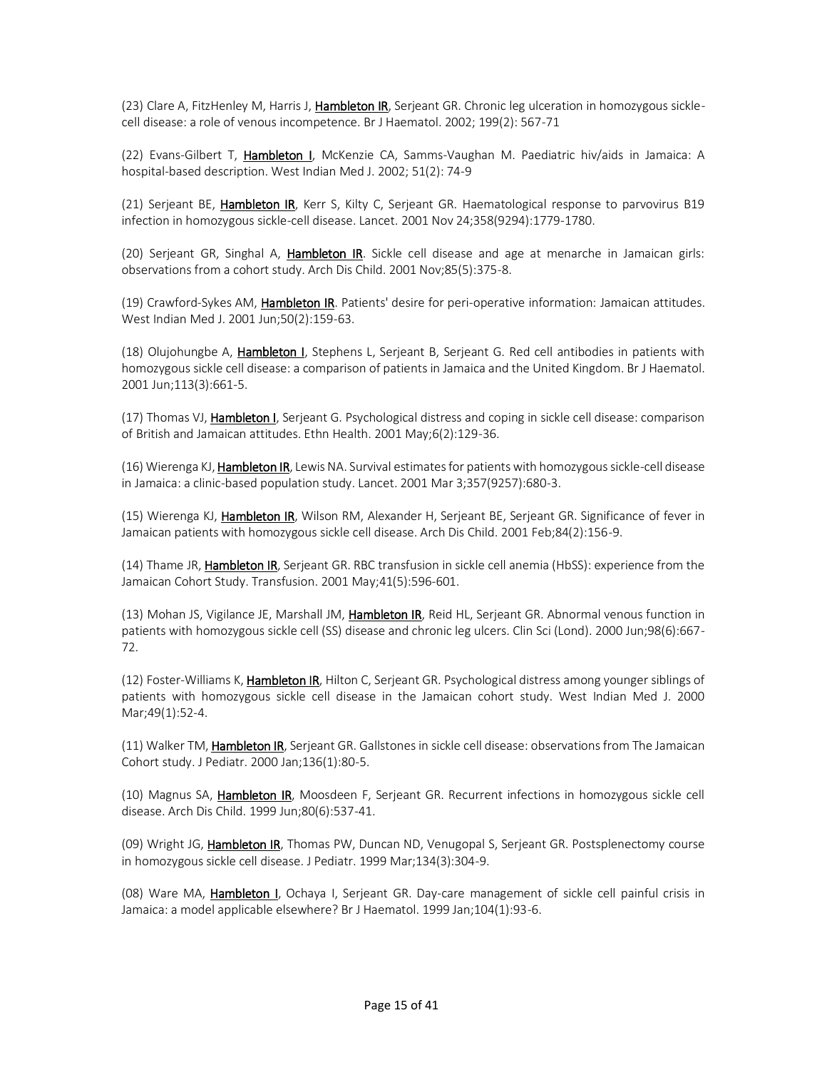(23) Clare A, FitzHenley M, Harris J, Hambleton IR, Serjeant GR. Chronic leg ulceration in homozygous sicklecell disease: a role of venous incompetence. Br J Haematol. 2002; 199(2): 567-71

(22) Evans-Gilbert T, Hambleton I, McKenzie CA, Samms-Vaughan M. Paediatric hiv/aids in Jamaica: A hospital-based description. West Indian Med J. 2002; 51(2): 74-9

(21) Serjeant BE, Hambleton IR, Kerr S, Kilty C, Serjeant GR. Haematological response to parvovirus B19 infection in homozygous sickle-cell disease. Lancet. 2001 Nov 24;358(9294):1779-1780.

(20) Serjeant GR, Singhal A, Hambleton IR. Sickle cell disease and age at menarche in Jamaican girls: observations from a cohort study. Arch Dis Child. 2001 Nov;85(5):375-8.

(19) Crawford-Sykes AM, Hambleton IR. Patients' desire for peri-operative information: Jamaican attitudes. West Indian Med J. 2001 Jun;50(2):159-63.

(18) Olujohungbe A, Hambleton I, Stephens L, Serjeant B, Serjeant G. Red cell antibodies in patients with homozygous sickle cell disease: a comparison of patients in Jamaica and the United Kingdom. Br J Haematol. 2001 Jun;113(3):661-5.

(17) Thomas VJ, Hambleton I, Serjeant G. Psychological distress and coping in sickle cell disease: comparison of British and Jamaican attitudes. Ethn Health. 2001 May;6(2):129-36.

(16) Wierenga KJ, Hambleton IR, Lewis NA. Survival estimates for patients with homozygous sickle-cell disease in Jamaica: a clinic-based population study. Lancet. 2001 Mar 3;357(9257):680-3.

(15) Wierenga KJ, Hambleton IR, Wilson RM, Alexander H, Serjeant BE, Serjeant GR. Significance of fever in Jamaican patients with homozygous sickle cell disease. Arch Dis Child. 2001 Feb;84(2):156-9.

(14) Thame JR, Hambleton IR, Serjeant GR. RBC transfusion in sickle cell anemia (HbSS): experience from the Jamaican Cohort Study. Transfusion. 2001 May;41(5):596-601.

(13) Mohan JS, Vigilance JE, Marshall JM, Hambleton IR, Reid HL, Serjeant GR. Abnormal venous function in patients with homozygous sickle cell (SS) disease and chronic leg ulcers. Clin Sci (Lond). 2000 Jun;98(6):667- 72.

(12) Foster-Williams K, Hambleton IR, Hilton C, Serjeant GR. Psychological distress among younger siblings of patients with homozygous sickle cell disease in the Jamaican cohort study. West Indian Med J. 2000 Mar;49(1):52-4.

(11) Walker TM, Hambleton IR, Serjeant GR. Gallstones in sickle cell disease: observations from The Jamaican Cohort study. J Pediatr. 2000 Jan;136(1):80-5.

(10) Magnus SA, Hambleton IR, Moosdeen F, Serjeant GR. Recurrent infections in homozygous sickle cell disease. Arch Dis Child. 1999 Jun;80(6):537-41.

(09) Wright JG, Hambleton IR, Thomas PW, Duncan ND, Venugopal S, Serjeant GR. Postsplenectomy course in homozygous sickle cell disease. J Pediatr. 1999 Mar;134(3):304-9.

(08) Ware MA, Hambleton I, Ochaya I, Serjeant GR. Day-care management of sickle cell painful crisis in Jamaica: a model applicable elsewhere? Br J Haematol. 1999 Jan;104(1):93-6.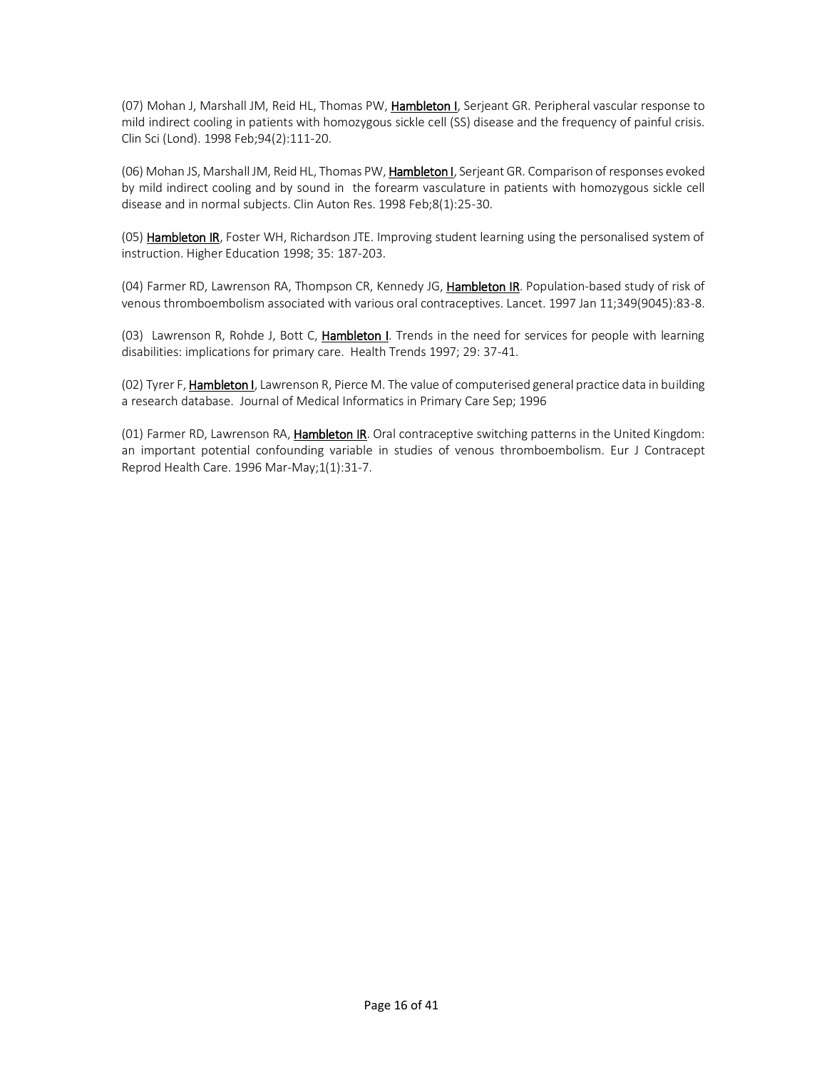(07) Mohan J, Marshall JM, Reid HL, Thomas PW, Hambleton I, Serjeant GR. Peripheral vascular response to mild indirect cooling in patients with homozygous sickle cell (SS) disease and the frequency of painful crisis. Clin Sci (Lond). 1998 Feb;94(2):111-20.

(06) Mohan JS, Marshall JM, Reid HL, Thomas PW, Hambleton I, Serjeant GR. Comparison of responses evoked by mild indirect cooling and by sound in the forearm vasculature in patients with homozygous sickle cell disease and in normal subjects. Clin Auton Res. 1998 Feb;8(1):25-30.

(05) Hambleton IR, Foster WH, Richardson JTE. Improving student learning using the personalised system of instruction. Higher Education 1998; 35: 187-203.

(04) Farmer RD, Lawrenson RA, Thompson CR, Kennedy JG, Hambleton IR. Population-based study of risk of venous thromboembolism associated with various oral contraceptives. Lancet. 1997 Jan 11;349(9045):83-8.

(03) Lawrenson R, Rohde J, Bott C, Hambleton I. Trends in the need for services for people with learning disabilities: implications for primary care. Health Trends 1997; 29: 37-41.

(02) Tyrer F, Hambleton I, Lawrenson R, Pierce M. The value of computerised general practice data in building a research database. Journal of Medical Informatics in Primary Care Sep; 1996

(01) Farmer RD, Lawrenson RA, Hambleton IR. Oral contraceptive switching patterns in the United Kingdom: an important potential confounding variable in studies of venous thromboembolism. Eur J Contracept Reprod Health Care. 1996 Mar-May;1(1):31-7.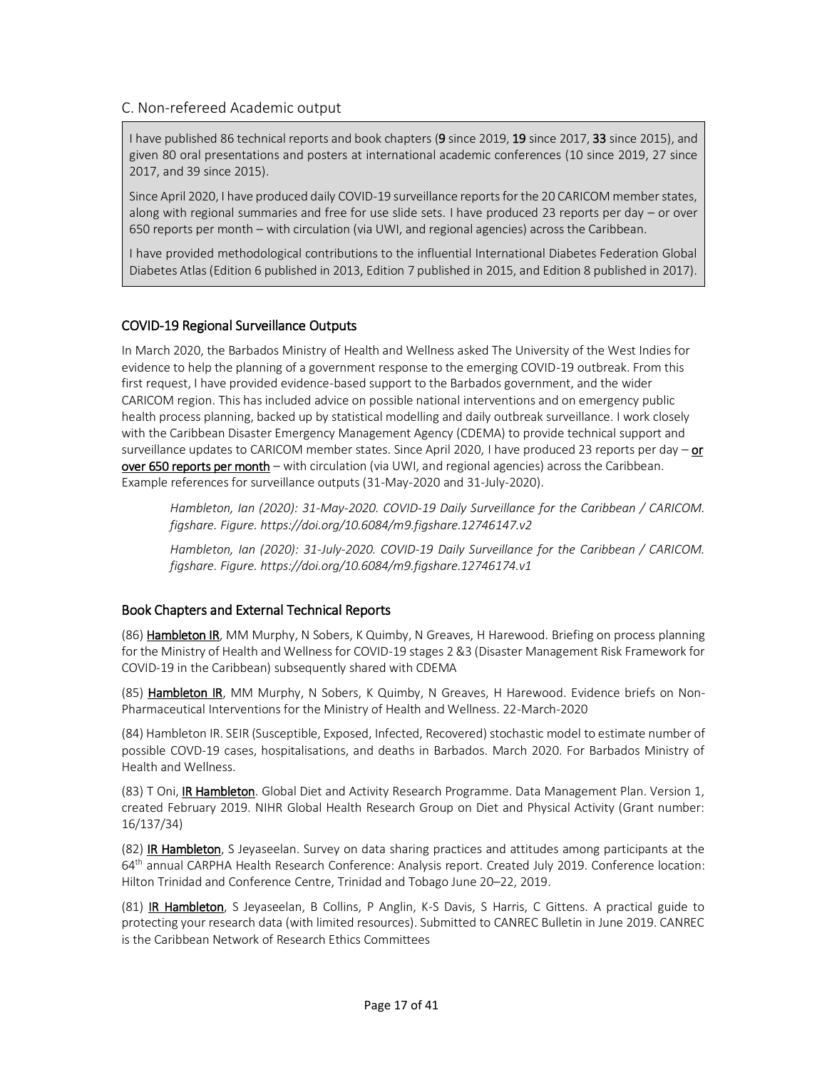### C. Non-refereed Academic output

I have published 86 technical reports and book chapters (9 since 2019, 19 since 2017, 33 since 2015), and given 80 oral presentations and posters at international academic conferences (10 since 2019, 27 since 2017, and 39 since 2015).

Since April 2020, I have produced daily COVID-19 surveillance reports for the 20 CARICOM member states, along with regional summaries and free for use slide sets. I have produced 23 reports per day – or over 650 reports per month – with circulation (via UWI, and regional agencies) across the Caribbean.

I have provided methodological contributions to the influential International Diabetes Federation Global Diabetes Atlas (Edition 6 published in 2013, Edition 7 published in 2015, and Edition 8 published in 2017).

### COVID-19 Regional Surveillance Outputs

In March 2020, the Barbados Ministry of Health and Wellness asked The University of the West Indies for evidence to help the planning of a government response to the emerging COVID-19 outbreak. From this first request, I have provided evidence-based support to the Barbados government, and the wider CARICOM region. This has included advice on possible national interventions and on emergency public health process planning, backed up by statistical modelling and daily outbreak surveillance. I work closely with the Caribbean Disaster Emergency Management Agency (CDEMA) to provide technical support and surveillance updates to CARICOM member states. Since April 2020, I have produced 23 reports per day  $-$  or over 650 reports per month – with circulation (via UWI, and regional agencies) across the Caribbean. Example references for surveillance outputs (31-May-2020 and 31-July-2020).

*Hambleton, Ian (2020): 31-May-2020. COVID-19 Daily Surveillance for the Caribbean / CARICOM. figshare. Figure. https://doi.org/10.6084/m9.figshare.12746147.v2*

*Hambleton, Ian (2020): 31-July-2020. COVID-19 Daily Surveillance for the Caribbean / CARICOM. figshare. Figure. https://doi.org/10.6084/m9.figshare.12746174.v1*

### Book Chapters and External Technical Reports

(86) Hambleton IR, MM Murphy, N Sobers, K Quimby, N Greaves, H Harewood. Briefing on process planning for the Ministry of Health and Wellness for COVID-19 stages 2 &3 (Disaster Management Risk Framework for COVID-19 in the Caribbean) subsequently shared with CDEMA

(85) Hambleton IR, MM Murphy, N Sobers, K Quimby, N Greaves, H Harewood. Evidence briefs on Non-Pharmaceutical Interventions for the Ministry of Health and Wellness. 22-March-2020

(84) Hambleton IR. SEIR (Susceptible, Exposed, Infected, Recovered) stochastic model to estimate number of possible COVD-19 cases, hospitalisations, and deaths in Barbados. March 2020. For Barbados Ministry of Health and Wellness.

(83) T Oni, **IR Hambleton**. Global Diet and Activity Research Programme. Data Management Plan. Version 1, created February 2019. NIHR Global Health Research Group on Diet and Physical Activity (Grant number: 16/137/34)

(82) IR Hambleton, S Jeyaseelan. Survey on data sharing practices and attitudes among participants at the 64th annual CARPHA Health Research Conference: Analysis report. Created July 2019. Conference location: Hilton Trinidad and Conference Centre, Trinidad and Tobago June 20–22, 2019.

(81) IR Hambleton, S Jeyaseelan, B Collins, P Anglin, K-S Davis, S Harris, C Gittens. A practical guide to protecting your research data (with limited resources). Submitted to CANREC Bulletin in June 2019. CANREC is the Caribbean Network of Research Ethics Committees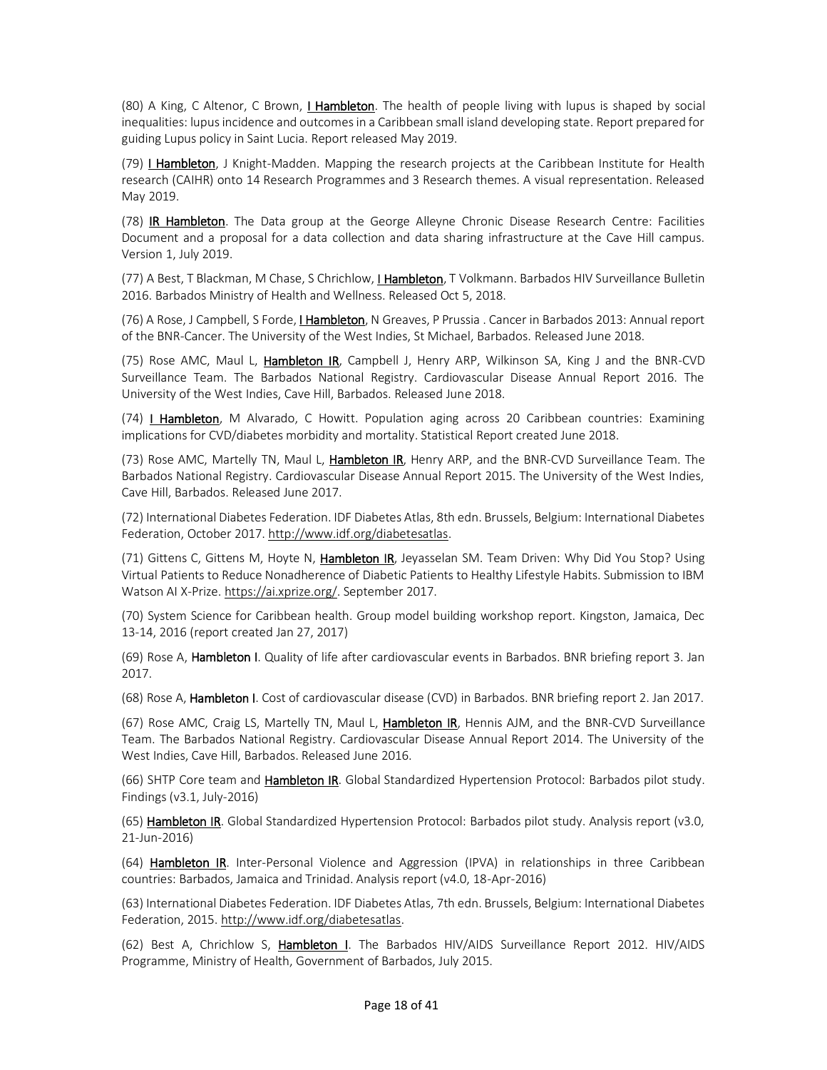(80) A King, C Altenor, C Brown, I Hambleton. The health of people living with lupus is shaped by social inequalities: lupus incidence and outcomes in a Caribbean small island developing state. Report prepared for guiding Lupus policy in Saint Lucia. Report released May 2019.

(79) I Hambleton, J Knight-Madden. Mapping the research projects at the Caribbean Institute for Health research (CAIHR) onto 14 Research Programmes and 3 Research themes. A visual representation. Released May 2019.

(78) IR Hambleton. The Data group at the George Alleyne Chronic Disease Research Centre: Facilities Document and a proposal for a data collection and data sharing infrastructure at the Cave Hill campus. Version 1, July 2019.

(77) A Best, T Blackman, M Chase, S Chrichlow, I Hambleton, T Volkmann. Barbados HIV Surveillance Bulletin 2016. Barbados Ministry of Health and Wellness. Released Oct 5, 2018.

(76) A Rose, J Campbell, S Forde, *L Hambleton*, N Greaves, P Prussia . Cancer in Barbados 2013: Annual report of the BNR-Cancer. The University of the West Indies, St Michael, Barbados. Released June 2018.

(75) Rose AMC, Maul L, Hambleton IR, Campbell J, Henry ARP, Wilkinson SA, King J and the BNR-CVD Surveillance Team. The Barbados National Registry. Cardiovascular Disease Annual Report 2016. The University of the West Indies, Cave Hill, Barbados. Released June 2018.

(74) I Hambleton, M Alvarado, C Howitt. Population aging across 20 Caribbean countries: Examining implications for CVD/diabetes morbidity and mortality. Statistical Report created June 2018.

(73) Rose AMC, Martelly TN, Maul L, Hambleton IR, Henry ARP, and the BNR-CVD Surveillance Team. The Barbados National Registry. Cardiovascular Disease Annual Report 2015. The University of the West Indies, Cave Hill, Barbados. Released June 2017.

(72) International Diabetes Federation. IDF Diabetes Atlas, 8th edn. Brussels, Belgium: International Diabetes Federation, October 2017[. http://www.idf.org/diabetesatlas.](http://www.idf.org/diabetesatlas)

(71) Gittens C, Gittens M, Hoyte N, Hambleton IR, Jeyasselan SM. Team Driven: Why Did You Stop? Using Virtual Patients to Reduce Nonadherence of Diabetic Patients to Healthy Lifestyle Habits. Submission to IBM Watson AI X-Prize[. https://ai.xprize.org/.](https://ai.xprize.org/) September 2017.

(70) System Science for Caribbean health. Group model building workshop report. Kingston, Jamaica, Dec 13-14, 2016 (report created Jan 27, 2017)

(69) Rose A, Hambleton I. Quality of life after cardiovascular events in Barbados. BNR briefing report 3. Jan 2017.

(68) Rose A, Hambleton I. Cost of cardiovascular disease (CVD) in Barbados. BNR briefing report 2. Jan 2017.

(67) Rose AMC, Craig LS, Martelly TN, Maul L, **Hambleton IR**, Hennis AJM, and the BNR-CVD Surveillance Team. The Barbados National Registry. Cardiovascular Disease Annual Report 2014. The University of the West Indies, Cave Hill, Barbados. Released June 2016.

(66) SHTP Core team and **Hambleton IR**. Global Standardized Hypertension Protocol: Barbados pilot study. Findings (v3.1, July-2016)

(65) Hambleton IR. Global Standardized Hypertension Protocol: Barbados pilot study. Analysis report (v3.0, 21-Jun-2016)

(64) Hambleton IR. Inter-Personal Violence and Aggression (IPVA) in relationships in three Caribbean countries: Barbados, Jamaica and Trinidad. Analysis report (v4.0, 18-Apr-2016)

(63) International Diabetes Federation. IDF Diabetes Atlas, 7th edn. Brussels, Belgium: International Diabetes Federation, 2015[. http://www.idf.org/diabetesatlas.](http://www.idf.org/diabetesatlas)

(62) Best A, Chrichlow S, Hambleton I. The Barbados HIV/AIDS Surveillance Report 2012. HIV/AIDS Programme, Ministry of Health, Government of Barbados, July 2015.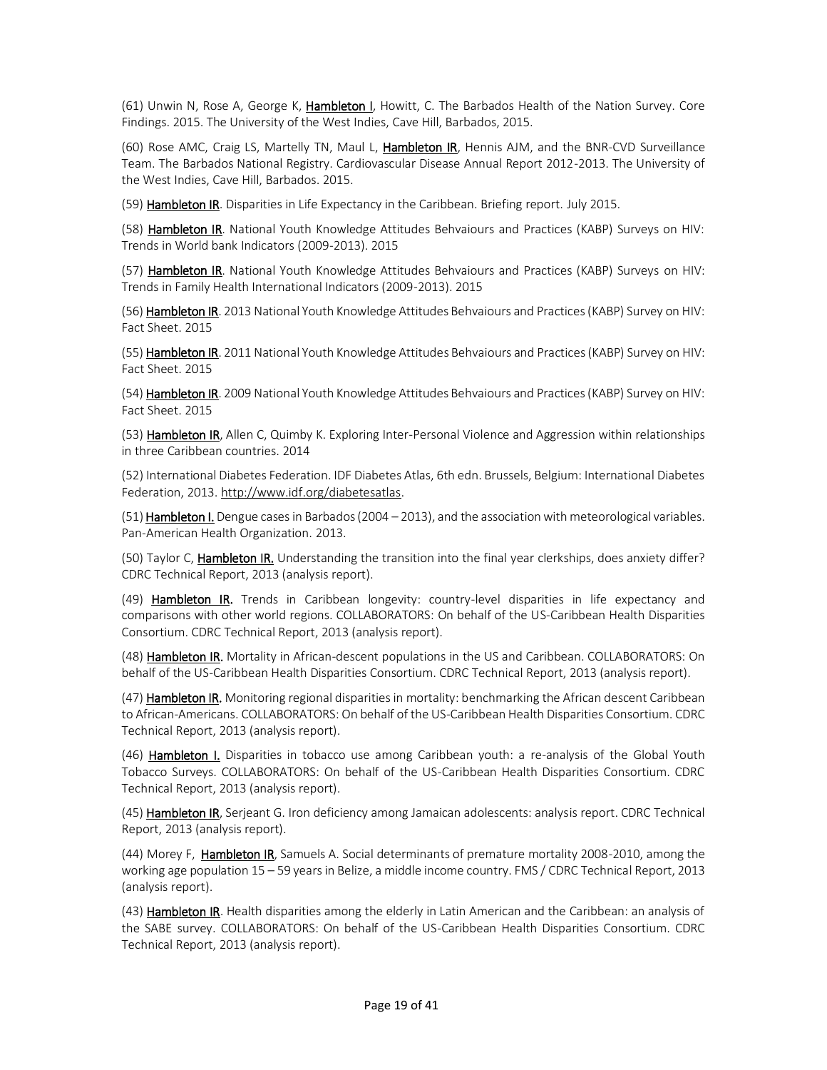(61) Unwin N, Rose A, George K, Hambleton I, Howitt, C. The Barbados Health of the Nation Survey. Core Findings. 2015. The University of the West Indies, Cave Hill, Barbados, 2015.

(60) Rose AMC, Craig LS, Martelly TN, Maul L, Hambleton IR, Hennis AJM, and the BNR-CVD Surveillance Team. The Barbados National Registry. Cardiovascular Disease Annual Report 2012-2013. The University of the West Indies, Cave Hill, Barbados. 2015.

(59) Hambleton IR. Disparities in Life Expectancy in the Caribbean. Briefing report. July 2015.

(58) Hambleton IR. National Youth Knowledge Attitudes Behvaiours and Practices (KABP) Surveys on HIV: Trends in World bank Indicators (2009-2013). 2015

(57) Hambleton IR. National Youth Knowledge Attitudes Behvaiours and Practices (KABP) Surveys on HIV: Trends in Family Health International Indicators (2009-2013). 2015

(56) Hambleton IR. 2013 National Youth Knowledge Attitudes Behvaiours and Practices (KABP) Survey on HIV: Fact Sheet. 2015

(55) Hambleton IR. 2011 National Youth Knowledge Attitudes Behvaiours and Practices (KABP) Survey on HIV: Fact Sheet. 2015

(54) Hambleton IR. 2009 National Youth Knowledge Attitudes Behvaiours and Practices (KABP) Survey on HIV: Fact Sheet. 2015

(53) Hambleton IR, Allen C, Quimby K. Exploring Inter-Personal Violence and Aggression within relationships in three Caribbean countries. 2014

(52) International Diabetes Federation. IDF Diabetes Atlas, 6th edn. Brussels, Belgium: International Diabetes Federation, 2013[. http://www.idf.org/diabetesatlas.](http://www.idf.org/diabetesatlas)

 $(51)$  Hambleton I. Dengue cases in Barbados (2004 – 2013), and the association with meteorological variables. Pan-American Health Organization. 2013.

(50) Taylor C, Hambleton IR. Understanding the transition into the final year clerkships, does anxiety differ? CDRC Technical Report, 2013 (analysis report).

(49) Hambleton IR. Trends in Caribbean longevity: country-level disparities in life expectancy and comparisons with other world regions. COLLABORATORS: On behalf of the US-Caribbean Health Disparities Consortium. CDRC Technical Report, 2013 (analysis report).

(48) Hambleton IR. Mortality in African-descent populations in the US and Caribbean. COLLABORATORS: On behalf of the US-Caribbean Health Disparities Consortium. CDRC Technical Report, 2013 (analysis report).

(47) Hambleton IR. Monitoring regional disparities in mortality: benchmarking the African descent Caribbean to African-Americans. COLLABORATORS: On behalf of the US-Caribbean Health Disparities Consortium. CDRC Technical Report, 2013 (analysis report).

(46) Hambleton I. Disparities in tobacco use among Caribbean youth: a re-analysis of the Global Youth Tobacco Surveys. COLLABORATORS: On behalf of the US-Caribbean Health Disparities Consortium. CDRC Technical Report, 2013 (analysis report).

(45) Hambleton IR, Serjeant G. Iron deficiency among Jamaican adolescents: analysis report. CDRC Technical Report, 2013 (analysis report).

(44) Morey F, Hambleton IR, Samuels A. Social determinants of premature mortality 2008-2010, among the working age population 15 – 59 years in Belize, a middle income country. FMS / CDRC Technical Report, 2013 (analysis report).

(43) Hambleton IR. Health disparities among the elderly in Latin American and the Caribbean: an analysis of the SABE survey. COLLABORATORS: On behalf of the US-Caribbean Health Disparities Consortium. CDRC Technical Report, 2013 (analysis report).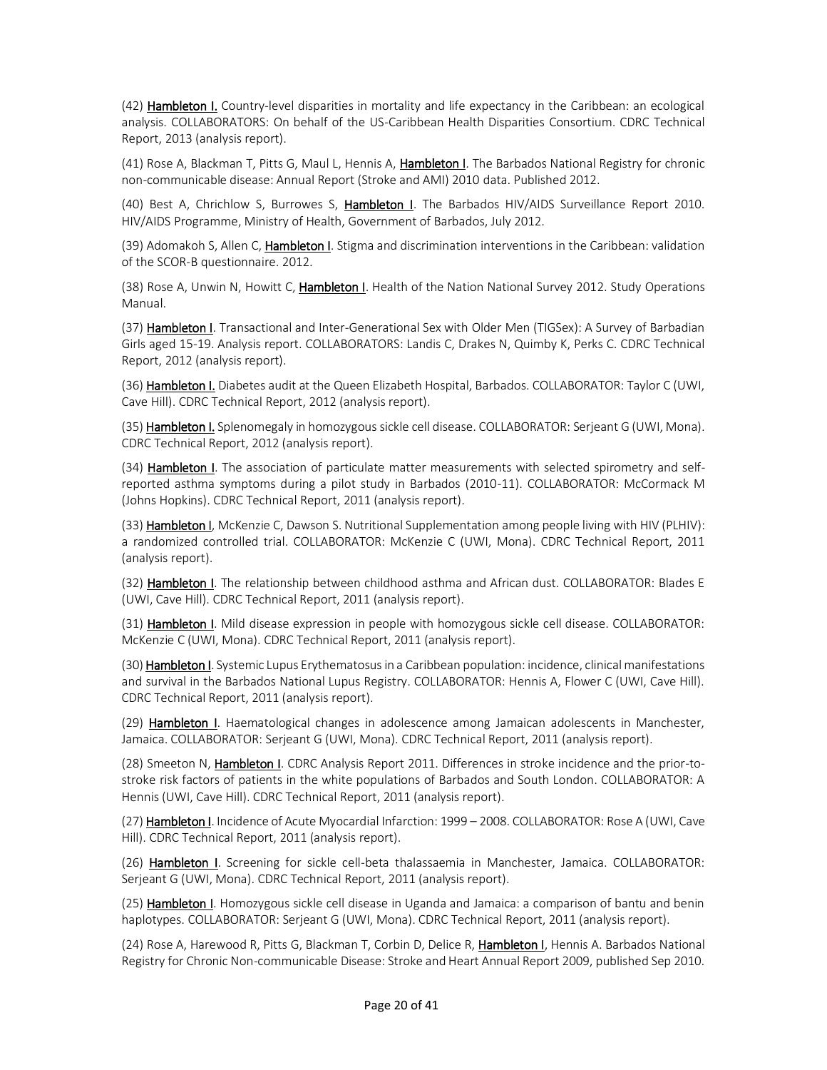(42) Hambleton I. Country-level disparities in mortality and life expectancy in the Caribbean: an ecological analysis. COLLABORATORS: On behalf of the US-Caribbean Health Disparities Consortium. CDRC Technical Report, 2013 (analysis report).

(41) Rose A, Blackman T, Pitts G, Maul L, Hennis A, Hambleton I. The Barbados National Registry for chronic non-communicable disease: Annual Report (Stroke and AMI) 2010 data. Published 2012.

(40) Best A, Chrichlow S, Burrowes S, Hambleton I. The Barbados HIV/AIDS Surveillance Report 2010. HIV/AIDS Programme, Ministry of Health, Government of Barbados, July 2012.

(39) Adomakoh S, Allen C, Hambleton I. Stigma and discrimination interventions in the Caribbean: validation of the SCOR-B questionnaire. 2012.

(38) Rose A, Unwin N, Howitt C, Hambleton I. Health of the Nation National Survey 2012. Study Operations Manual.

(37) Hambleton I. Transactional and Inter-Generational Sex with Older Men (TIGSex): A Survey of Barbadian Girls aged 15-19. Analysis report. COLLABORATORS: Landis C, Drakes N, Quimby K, Perks C. CDRC Technical Report, 2012 (analysis report).

(36) Hambleton I. Diabetes audit at the Queen Elizabeth Hospital, Barbados. COLLABORATOR: Taylor C (UWI, Cave Hill). CDRC Technical Report, 2012 (analysis report).

(35) Hambleton I. Splenomegaly in homozygous sickle cell disease. COLLABORATOR: Serjeant G (UWI, Mona). CDRC Technical Report, 2012 (analysis report).

(34) Hambleton I. The association of particulate matter measurements with selected spirometry and selfreported asthma symptoms during a pilot study in Barbados (2010-11). COLLABORATOR: McCormack M (Johns Hopkins). CDRC Technical Report, 2011 (analysis report).

(33) Hambleton I, McKenzie C, Dawson S. Nutritional Supplementation among people living with HIV (PLHIV): a randomized controlled trial. COLLABORATOR: McKenzie C (UWI, Mona). CDRC Technical Report, 2011 (analysis report).

(32) Hambleton I. The relationship between childhood asthma and African dust. COLLABORATOR: Blades E (UWI, Cave Hill). CDRC Technical Report, 2011 (analysis report).

(31) Hambleton I. Mild disease expression in people with homozygous sickle cell disease. COLLABORATOR: McKenzie C (UWI, Mona). CDRC Technical Report, 2011 (analysis report).

(30) **Hambleton I**. Systemic Lupus Erythematosus in a Caribbean population: incidence, clinical manifestations and survival in the Barbados National Lupus Registry. COLLABORATOR: Hennis A, Flower C (UWI, Cave Hill). CDRC Technical Report, 2011 (analysis report).

(29) Hambleton I. Haematological changes in adolescence among Jamaican adolescents in Manchester, Jamaica. COLLABORATOR: Serjeant G (UWI, Mona). CDRC Technical Report, 2011 (analysis report).

(28) Smeeton N, Hambleton I. CDRC Analysis Report 2011. Differences in stroke incidence and the prior-tostroke risk factors of patients in the white populations of Barbados and South London. COLLABORATOR: A Hennis (UWI, Cave Hill). CDRC Technical Report, 2011 (analysis report).

(27) Hambleton I. Incidence of Acute Myocardial Infarction: 1999 - 2008. COLLABORATOR: Rose A (UWI, Cave Hill). CDRC Technical Report, 2011 (analysis report).

(26) Hambleton I. Screening for sickle cell-beta thalassaemia in Manchester, Jamaica. COLLABORATOR: Serjeant G (UWI, Mona). CDRC Technical Report, 2011 (analysis report).

(25) Hambleton I. Homozygous sickle cell disease in Uganda and Jamaica: a comparison of bantu and benin haplotypes. COLLABORATOR: Serjeant G (UWI, Mona). CDRC Technical Report, 2011 (analysis report).

(24) Rose A, Harewood R, Pitts G, Blackman T, Corbin D, Delice R, Hambleton I, Hennis A. Barbados National Registry for Chronic Non-communicable Disease: Stroke and Heart Annual Report 2009, published Sep 2010.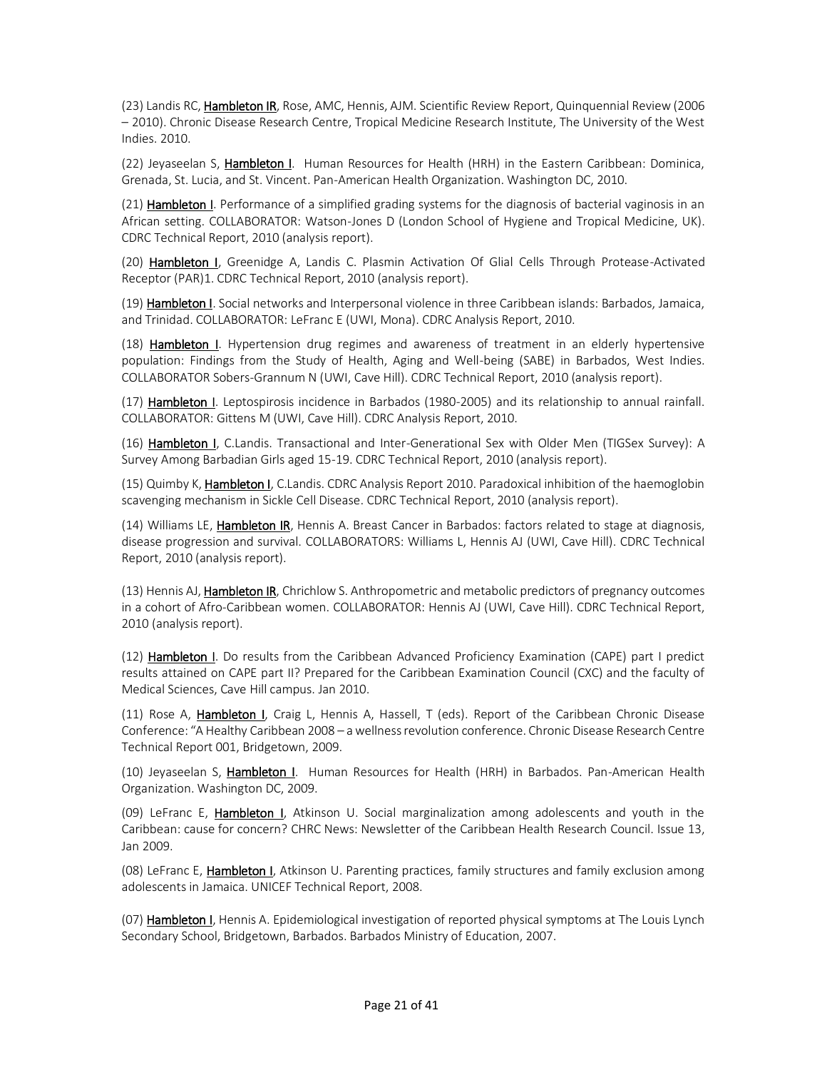(23) Landis RC, Hambleton IR, Rose, AMC, Hennis, AJM. Scientific Review Report, Quinquennial Review (2006 – 2010). Chronic Disease Research Centre, Tropical Medicine Research Institute, The University of the West Indies. 2010.

(22) Jeyaseelan S, Hambleton I. Human Resources for Health (HRH) in the Eastern Caribbean: Dominica, Grenada, St. Lucia, and St. Vincent. Pan-American Health Organization. Washington DC, 2010.

(21) Hambleton I. Performance of a simplified grading systems for the diagnosis of bacterial vaginosis in an African setting. COLLABORATOR: Watson-Jones D (London School of Hygiene and Tropical Medicine, UK). CDRC Technical Report, 2010 (analysis report).

(20) Hambleton I, Greenidge A, Landis C. Plasmin Activation Of Glial Cells Through Protease-Activated Receptor (PAR)1. CDRC Technical Report, 2010 (analysis report).

(19) Hambleton I. Social networks and Interpersonal violence in three Caribbean islands: Barbados, Jamaica, and Trinidad. COLLABORATOR: LeFranc E (UWI, Mona). CDRC Analysis Report, 2010.

(18) Hambleton I. Hypertension drug regimes and awareness of treatment in an elderly hypertensive population: Findings from the Study of Health, Aging and Well-being (SABE) in Barbados, West Indies. COLLABORATOR Sobers-Grannum N (UWI, Cave Hill). CDRC Technical Report, 2010 (analysis report).

(17) Hambleton I. Leptospirosis incidence in Barbados (1980-2005) and its relationship to annual rainfall. COLLABORATOR: Gittens M (UWI, Cave Hill). CDRC Analysis Report, 2010.

(16) Hambleton I, C.Landis. Transactional and Inter-Generational Sex with Older Men (TIGSex Survey): A Survey Among Barbadian Girls aged 15-19. CDRC Technical Report, 2010 (analysis report).

(15) Quimby K, Hambleton I, C.Landis. CDRC Analysis Report 2010. Paradoxical inhibition of the haemoglobin scavenging mechanism in Sickle Cell Disease. CDRC Technical Report, 2010 (analysis report).

(14) Williams LE, Hambleton IR, Hennis A. Breast Cancer in Barbados: factors related to stage at diagnosis, disease progression and survival. COLLABORATORS: Williams L, Hennis AJ (UWI, Cave Hill). CDRC Technical Report, 2010 (analysis report).

(13) Hennis AJ, **Hambleton IR**, Chrichlow S. Anthropometric and metabolic predictors of pregnancy outcomes in a cohort of Afro-Caribbean women. COLLABORATOR: Hennis AJ (UWI, Cave Hill). CDRC Technical Report, 2010 (analysis report).

(12) Hambleton I. Do results from the Caribbean Advanced Proficiency Examination (CAPE) part I predict results attained on CAPE part II? Prepared for the Caribbean Examination Council (CXC) and the faculty of Medical Sciences, Cave Hill campus. Jan 2010.

(11) Rose A, Hambleton I, Craig L, Hennis A, Hassell, T (eds). Report of the Caribbean Chronic Disease Conference: "A Healthy Caribbean 2008 – a wellness revolution conference. Chronic Disease Research Centre Technical Report 001, Bridgetown, 2009.

(10) Jeyaseelan S, Hambleton I. Human Resources for Health (HRH) in Barbados. Pan-American Health Organization. Washington DC, 2009.

(09) LeFranc E, Hambleton I, Atkinson U. Social marginalization among adolescents and youth in the Caribbean: cause for concern? CHRC News: Newsletter of the Caribbean Health Research Council. Issue 13, Jan 2009.

(08) LeFranc E, Hambleton I, Atkinson U. Parenting practices, family structures and family exclusion among adolescents in Jamaica. UNICEF Technical Report, 2008.

(07) Hambleton I, Hennis A. Epidemiological investigation of reported physical symptoms at The Louis Lynch Secondary School, Bridgetown, Barbados. Barbados Ministry of Education, 2007.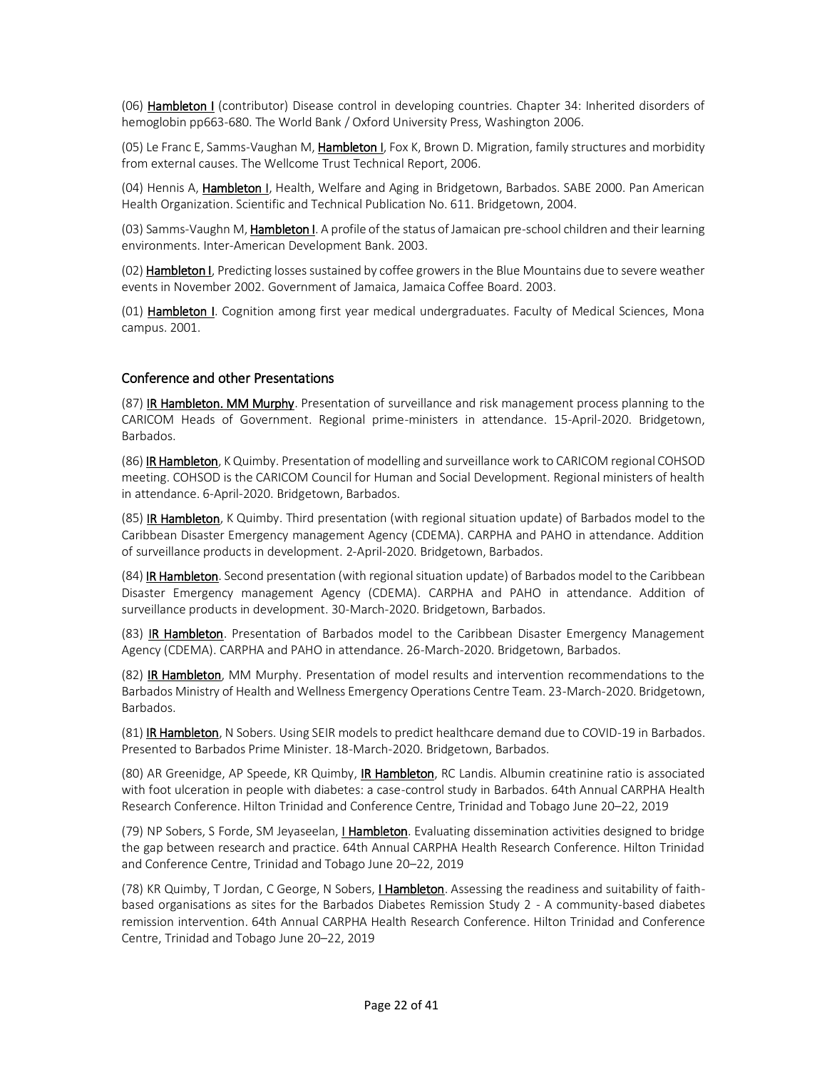(06) Hambleton I (contributor) Disease control in developing countries. Chapter 34: Inherited disorders of hemoglobin pp663-680. The World Bank / Oxford University Press, Washington 2006.

(05) Le Franc E, Samms-Vaughan M, Hambleton I, Fox K, Brown D. Migration, family structures and morbidity from external causes. The Wellcome Trust Technical Report, 2006.

(04) Hennis A, Hambleton I, Health, Welfare and Aging in Bridgetown, Barbados. SABE 2000. Pan American Health Organization. Scientific and Technical Publication No. 611. Bridgetown, 2004.

(03) Samms-Vaughn M, Hambleton I. A profile of the status of Jamaican pre-school children and their learning environments. Inter-American Development Bank. 2003.

(02) Hambleton I, Predicting losses sustained by coffee growers in the Blue Mountains due to severe weather events in November 2002. Government of Jamaica, Jamaica Coffee Board. 2003.

(01) Hambleton I. Cognition among first year medical undergraduates. Faculty of Medical Sciences, Mona campus. 2001.

#### Conference and other Presentations

(87) IR Hambleton. MM Murphy. Presentation of surveillance and risk management process planning to the CARICOM Heads of Government. Regional prime-ministers in attendance. 15-April-2020. Bridgetown, Barbados.

(86) IR Hambleton, K Quimby. Presentation of modelling and surveillance work to CARICOM regional COHSOD meeting. COHSOD is the CARICOM Council for Human and Social Development. Regional ministers of health in attendance. 6-April-2020. Bridgetown, Barbados.

(85) IR Hambleton, K Quimby. Third presentation (with regional situation update) of Barbados model to the Caribbean Disaster Emergency management Agency (CDEMA). CARPHA and PAHO in attendance. Addition of surveillance products in development. 2-April-2020. Bridgetown, Barbados.

(84) **IR Hambleton**. Second presentation (with regional situation update) of Barbados model to the Caribbean Disaster Emergency management Agency (CDEMA). CARPHA and PAHO in attendance. Addition of surveillance products in development. 30-March-2020. Bridgetown, Barbados.

(83) **IR Hambleton**. Presentation of Barbados model to the Caribbean Disaster Emergency Management Agency (CDEMA). CARPHA and PAHO in attendance. 26-March-2020. Bridgetown, Barbados.

(82) IR Hambleton, MM Murphy. Presentation of model results and intervention recommendations to the Barbados Ministry of Health and Wellness Emergency Operations Centre Team. 23-March-2020. Bridgetown, Barbados.

(81) IR Hambleton, N Sobers. Using SEIR models to predict healthcare demand due to COVID-19 in Barbados. Presented to Barbados Prime Minister. 18-March-2020. Bridgetown, Barbados.

(80) AR Greenidge, AP Speede, KR Quimby, *IR Hambleton*, RC Landis. Albumin creatinine ratio is associated with foot ulceration in people with diabetes: a case-control study in Barbados. 64th Annual CARPHA Health Research Conference. Hilton Trinidad and Conference Centre, Trinidad and Tobago June 20‒22, 2019

(79) NP Sobers, S Forde, SM Jeyaseelan, *I Hambleton*. Evaluating dissemination activities designed to bridge the gap between research and practice. 64th Annual CARPHA Health Research Conference. Hilton Trinidad and Conference Centre, Trinidad and Tobago June 20-22, 2019

(78) KR Quimby, T Jordan, C George, N Sobers, *I Hambleton*. Assessing the readiness and suitability of faithbased organisations as sites for the Barbados Diabetes Remission Study 2 - A community-based diabetes remission intervention. 64th Annual CARPHA Health Research Conference. Hilton Trinidad and Conference Centre, Trinidad and Tobago June 20-22, 2019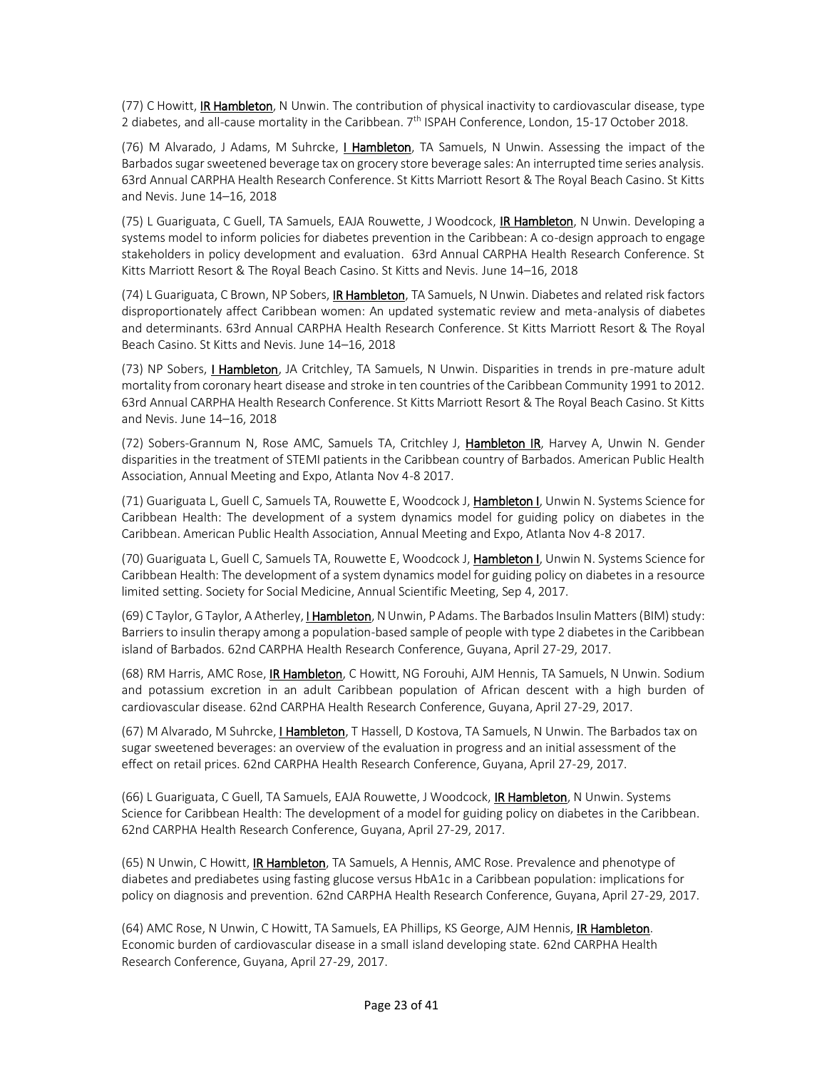(77) C Howitt, IR Hambleton, N Unwin. The contribution of physical inactivity to cardiovascular disease, type 2 diabetes, and all-cause mortality in the Caribbean. 7<sup>th</sup> ISPAH Conference, London, 15-17 October 2018.

(76) M Alvarado, J Adams, M Suhrcke, I Hambleton, TA Samuels, N Unwin. Assessing the impact of the Barbados sugar sweetened beverage tax on grocery store beverage sales: An interrupted time series analysis. 63rd Annual CARPHA Health Research Conference. St Kitts Marriott Resort & The Royal Beach Casino. St Kitts and Nevis. June 14-16, 2018

(75) L Guariguata, C Guell, TA Samuels, EAJA Rouwette, J Woodcock, IR Hambleton, N Unwin. Developing a systems model to inform policies for diabetes prevention in the Caribbean: A co-design approach to engage stakeholders in policy development and evaluation. 63rd Annual CARPHA Health Research Conference. St Kitts Marriott Resort & The Royal Beach Casino. St Kitts and Nevis. June 14‒16, 2018

(74) L Guariguata, C Brown, NP Sobers, **IR Hambleton**, TA Samuels, N Unwin. Diabetes and related risk factors disproportionately affect Caribbean women: An updated systematic review and meta-analysis of diabetes and determinants. 63rd Annual CARPHA Health Research Conference. St Kitts Marriott Resort & The Royal Beach Casino. St Kitts and Nevis. June 14-16, 2018

(73) NP Sobers, *I Hambleton*, JA Critchley, TA Samuels, N Unwin. Disparities in trends in pre-mature adult mortality from coronary heart disease and stroke in ten countries of the Caribbean Community 1991 to 2012. 63rd Annual CARPHA Health Research Conference. St Kitts Marriott Resort & The Royal Beach Casino. St Kitts and Nevis. June 14-16, 2018

(72) Sobers-Grannum N, Rose AMC, Samuels TA, Critchley J, Hambleton IR, Harvey A, Unwin N. Gender disparities in the treatment of STEMI patients in the Caribbean country of Barbados. American Public Health Association, Annual Meeting and Expo, Atlanta Nov 4-8 2017.

(71) Guariguata L, Guell C, Samuels TA, Rouwette E, Woodcock J, **Hambleton I**, Unwin N. Systems Science for Caribbean Health: The development of a system dynamics model for guiding policy on diabetes in the Caribbean. American Public Health Association, Annual Meeting and Expo, Atlanta Nov 4-8 2017.

(70) Guariguata L, Guell C, Samuels TA, Rouwette E, Woodcock J, **Hambleton I**, Unwin N. Systems Science for Caribbean Health: The development of a system dynamics model for guiding policy on diabetes in a resource limited setting. Society for Social Medicine, Annual Scientific Meeting, Sep 4, 2017.

(69) C Taylor, G Taylor, A Atherley, I Hambleton, N Unwin, P Adams. The Barbados Insulin Matters (BIM) study: Barriers to insulin therapy among a population-based sample of people with type 2 diabetes in the Caribbean island of Barbados. 62nd CARPHA Health Research Conference, Guyana, April 27-29, 2017.

(68) RM Harris, AMC Rose, IR Hambleton, C Howitt, NG Forouhi, AJM Hennis, TA Samuels, N Unwin. Sodium and potassium excretion in an adult Caribbean population of African descent with a high burden of cardiovascular disease. 62nd CARPHA Health Research Conference, Guyana, April 27-29, 2017.

(67) M Alvarado, M Suhrcke, *I Hambleton*, T Hassell, D Kostova, TA Samuels, N Unwin. The Barbados tax on sugar sweetened beverages: an overview of the evaluation in progress and an initial assessment of the effect on retail prices. 62nd CARPHA Health Research Conference, Guyana, April 27-29, 2017.

(66) L Guariguata, C Guell, TA Samuels, EAJA Rouwette, J Woodcock, IR Hambleton, N Unwin. Systems Science for Caribbean Health: The development of a model for guiding policy on diabetes in the Caribbean. 62nd CARPHA Health Research Conference, Guyana, April 27-29, 2017.

(65) N Unwin, C Howitt, *IR Hambleton*, TA Samuels, A Hennis, AMC Rose. Prevalence and phenotype of diabetes and prediabetes using fasting glucose versus HbA1c in a Caribbean population: implications for policy on diagnosis and prevention. 62nd CARPHA Health Research Conference, Guyana, April 27-29, 2017.

(64) AMC Rose, N Unwin, C Howitt, TA Samuels, EA Phillips, KS George, AJM Hennis, *IR Hambleton*. Economic burden of cardiovascular disease in a small island developing state. 62nd CARPHA Health Research Conference, Guyana, April 27-29, 2017.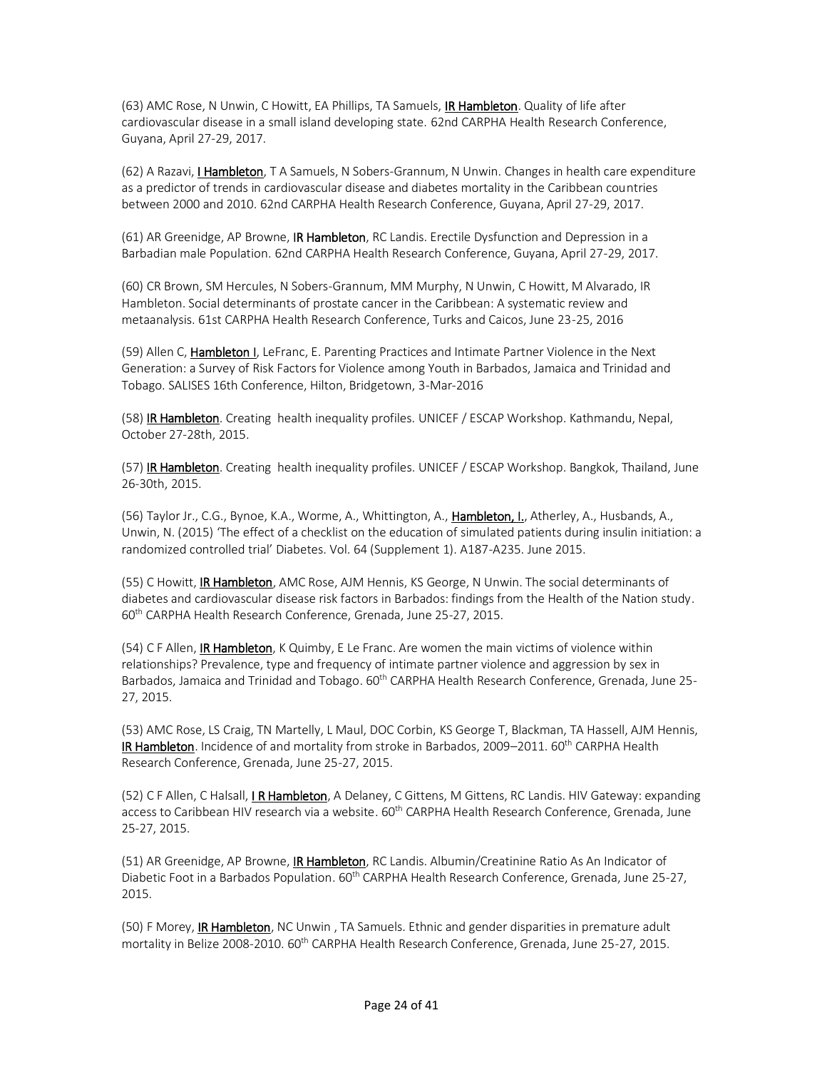(63) AMC Rose, N Unwin, C Howitt, EA Phillips, TA Samuels, IR Hambleton. Quality of life after cardiovascular disease in a small island developing state. 62nd CARPHA Health Research Conference, Guyana, April 27-29, 2017.

(62) A Razavi, *I Hambleton*, T A Samuels, N Sobers-Grannum, N Unwin. Changes in health care expenditure as a predictor of trends in cardiovascular disease and diabetes mortality in the Caribbean countries between 2000 and 2010. 62nd CARPHA Health Research Conference, Guyana, April 27-29, 2017.

(61) AR Greenidge, AP Browne, IR Hambleton, RC Landis. Erectile Dysfunction and Depression in a Barbadian male Population. 62nd CARPHA Health Research Conference, Guyana, April 27-29, 2017.

(60) CR Brown, SM Hercules, N Sobers-Grannum, MM Murphy, N Unwin, C Howitt, M Alvarado, IR Hambleton. Social determinants of prostate cancer in the Caribbean: A systematic review and metaanalysis. 61st CARPHA Health Research Conference, Turks and Caicos, June 23-25, 2016

(59) Allen C, Hambleton I, LeFranc, E. Parenting Practices and Intimate Partner Violence in the Next Generation: a Survey of Risk Factors for Violence among Youth in Barbados, Jamaica and Trinidad and Tobago. SALISES 16th Conference, Hilton, Bridgetown, 3-Mar-2016

(58) IR Hambleton. Creating health inequality profiles. UNICEF / ESCAP Workshop. Kathmandu, Nepal, October 27-28th, 2015.

(57) IR Hambleton. Creating health inequality profiles. UNICEF / ESCAP Workshop. Bangkok, Thailand, June 26-30th, 2015.

(56) Taylor Jr., C.G., Bynoe, K.A., Worme, A., Whittington, A., Hambleton, I., Atherley, A., Husbands, A., Unwin, N. (2015) 'The effect of a checklist on the education of simulated patients during insulin initiation: a randomized controlled trial' Diabetes. Vol. 64 (Supplement 1). A187-A235. June 2015.

(55) C Howitt, *IR Hambleton*, AMC Rose, AJM Hennis, KS George, N Unwin. The social determinants of diabetes and cardiovascular disease risk factors in Barbados: findings from the Health of the Nation study. 60<sup>th</sup> CARPHA Health Research Conference, Grenada, June 25-27, 2015.

(54) C F Allen, IR Hambleton, K Quimby, E Le Franc. Are women the main victims of violence within relationships? Prevalence, type and frequency of intimate partner violence and aggression by sex in Barbados, Jamaica and Trinidad and Tobago. 60<sup>th</sup> CARPHA Health Research Conference, Grenada, June 25-27, 2015.

(53) AMC Rose, LS Craig, TN Martelly, L Maul, DOC Corbin, KS George T, Blackman, TA Hassell, AJM Hennis, **IR Hambleton**. Incidence of and mortality from stroke in Barbados, 2009–2011. 60<sup>th</sup> CARPHA Health Research Conference, Grenada, June 25-27, 2015.

(52) C F Allen, C Halsall, *I R Hambleton*, A Delaney, C Gittens, M Gittens, RC Landis. HIV Gateway: expanding access to Caribbean HIV research via a website. 60<sup>th</sup> CARPHA Health Research Conference, Grenada, June 25-27, 2015.

(51) AR Greenidge, AP Browne, *IR Hambleton*, RC Landis. Albumin/Creatinine Ratio As An Indicator of Diabetic Foot in a Barbados Population. 60<sup>th</sup> CARPHA Health Research Conference, Grenada, June 25-27, 2015.

(50) F Morey, IR Hambleton, NC Unwin, TA Samuels. Ethnic and gender disparities in premature adult mortality in Belize 2008-2010. 60<sup>th</sup> CARPHA Health Research Conference, Grenada, June 25-27, 2015.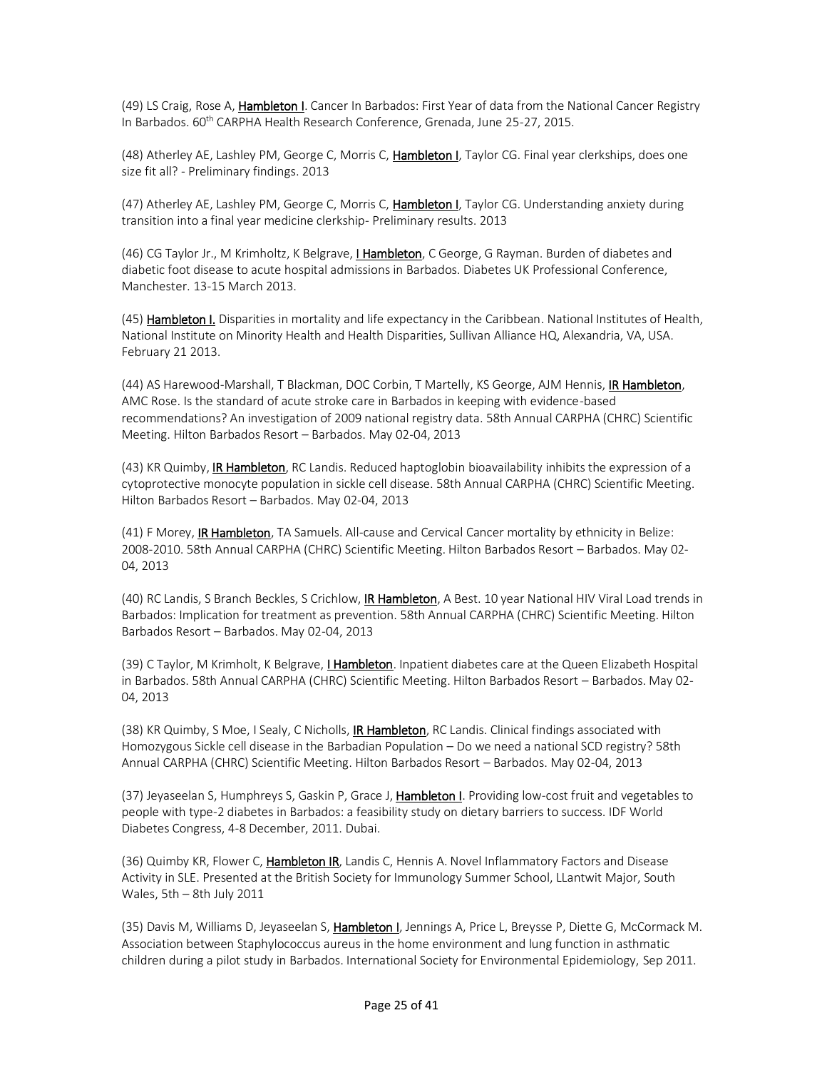(49) LS Craig, Rose A, Hambleton I. Cancer In Barbados: First Year of data from the National Cancer Registry In Barbados. 60<sup>th</sup> CARPHA Health Research Conference, Grenada, June 25-27, 2015.

(48) Atherley AE, Lashley PM, George C, Morris C, Hambleton I, Taylor CG. Final year clerkships, does one size fit all? - Preliminary findings. 2013

(47) Atherley AE, Lashley PM, George C, Morris C, Hambleton I, Taylor CG. Understanding anxiety during transition into a final year medicine clerkship- Preliminary results. 2013

(46) CG Taylor Jr., M Krimholtz, K Belgrave, I Hambleton, C George, G Rayman. Burden of diabetes and diabetic foot disease to acute hospital admissions in Barbados. Diabetes UK Professional Conference, Manchester. 13-15 March 2013.

(45) Hambleton I. Disparities in mortality and life expectancy in the Caribbean. National Institutes of Health, National Institute on Minority Health and Health Disparities, Sullivan Alliance HQ, Alexandria, VA, USA. February 21 2013.

(44) AS Harewood-Marshall, T Blackman, DOC Corbin, T Martelly, KS George, AJM Hennis, IR Hambleton, AMC Rose. Is the standard of acute stroke care in Barbados in keeping with evidence-based recommendations? An investigation of 2009 national registry data. 58th Annual CARPHA (CHRC) Scientific Meeting. Hilton Barbados Resort – Barbados. May 02-04, 2013

(43) KR Quimby, IR Hambleton, RC Landis. Reduced haptoglobin bioavailability inhibits the expression of a cytoprotective monocyte population in sickle cell disease. 58th Annual CARPHA (CHRC) Scientific Meeting. Hilton Barbados Resort – Barbados. May 02-04, 2013

(41) F Morey, IR Hambleton, TA Samuels. All-cause and Cervical Cancer mortality by ethnicity in Belize: 2008-2010. 58th Annual CARPHA (CHRC) Scientific Meeting. Hilton Barbados Resort – Barbados. May 02- 04, 2013

(40) RC Landis, S Branch Beckles, S Crichlow, **IR Hambleton**, A Best. 10 year National HIV Viral Load trends in Barbados: Implication for treatment as prevention. 58th Annual CARPHA (CHRC) Scientific Meeting. Hilton Barbados Resort – Barbados. May 02-04, 2013

(39) C Taylor, M Krimholt, K Belgrave, *L Hambleton*. Inpatient diabetes care at the Queen Elizabeth Hospital in Barbados. 58th Annual CARPHA (CHRC) Scientific Meeting. Hilton Barbados Resort – Barbados. May 02- 04, 2013

(38) KR Quimby, S Moe, I Sealy, C Nicholls, IR Hambleton, RC Landis. Clinical findings associated with Homozygous Sickle cell disease in the Barbadian Population – Do we need a national SCD registry? 58th Annual CARPHA (CHRC) Scientific Meeting. Hilton Barbados Resort – Barbados. May 02-04, 2013

(37) Jeyaseelan S, Humphreys S, Gaskin P, Grace J, Hambleton I. Providing low-cost fruit and vegetables to people with type-2 diabetes in Barbados: a feasibility study on dietary barriers to success. IDF World Diabetes Congress, 4-8 December, 2011. Dubai.

(36) Quimby KR, Flower C, Hambleton IR, Landis C, Hennis A. Novel Inflammatory Factors and Disease Activity in SLE. Presented at the British Society for Immunology Summer School, LLantwit Major, South Wales, 5th – 8th July 2011

(35) Davis M, Williams D, Jeyaseelan S, Hambleton I, Jennings A, Price L, Breysse P, Diette G, McCormack M. Association between Staphylococcus aureus in the home environment and lung function in asthmatic children during a pilot study in Barbados. International Society for Environmental Epidemiology, Sep 2011.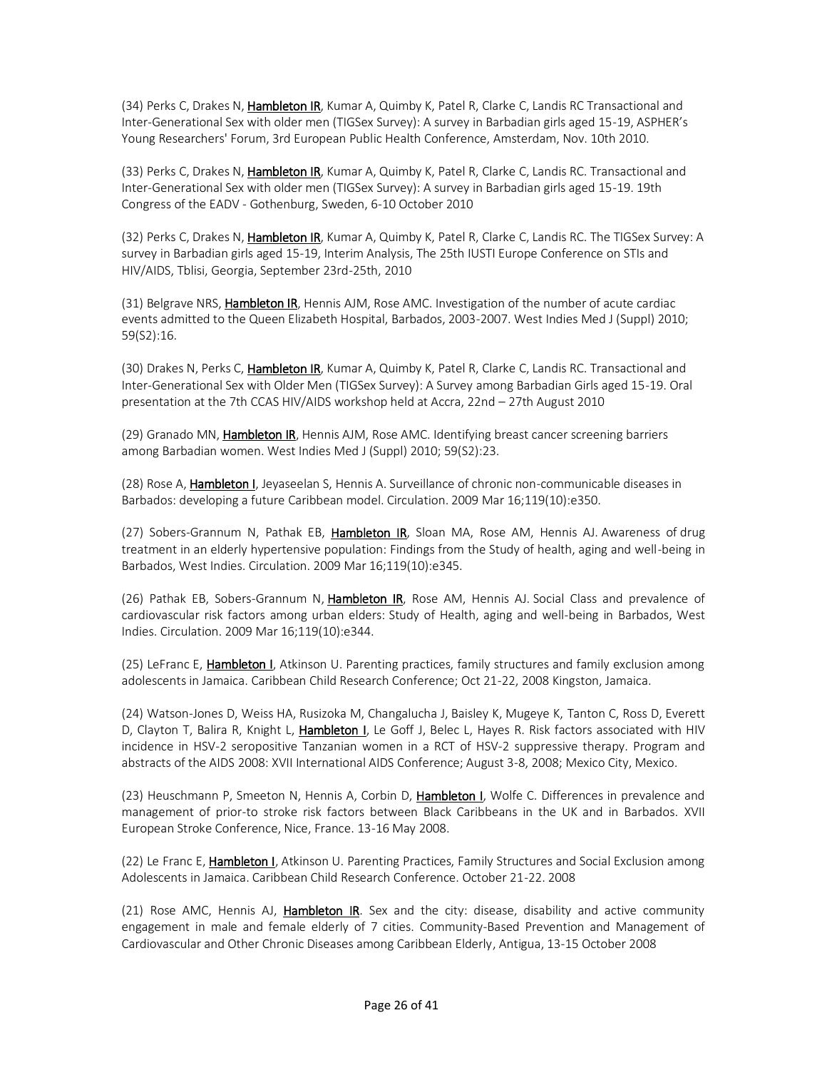(34) Perks C, Drakes N, Hambleton IR, Kumar A, Quimby K, Patel R, Clarke C, Landis RC Transactional and Inter-Generational Sex with older men (TIGSex Survey): A survey in Barbadian girls aged 15-19, ASPHER's Young Researchers' Forum, 3rd European Public Health Conference, Amsterdam, Nov. 10th 2010.

(33) Perks C, Drakes N, *Hambleton IR*, Kumar A, Quimby K, Patel R, Clarke C, Landis RC. Transactional and Inter-Generational Sex with older men (TIGSex Survey): A survey in Barbadian girls aged 15-19. 19th Congress of the EADV - Gothenburg, Sweden, 6-10 October 2010

(32) Perks C, Drakes N, Hambleton IR, Kumar A, Quimby K, Patel R, Clarke C, Landis RC. The TIGSex Survey: A survey in Barbadian girls aged 15-19, Interim Analysis, The 25th IUSTI Europe Conference on STIs and HIV/AIDS, Tblisi, Georgia, September 23rd-25th, 2010

(31) Belgrave NRS, Hambleton IR, Hennis AJM, Rose AMC. Investigation of the number of acute cardiac events admitted to the Queen Elizabeth Hospital, Barbados, 2003-2007. West Indies Med J (Suppl) 2010; 59(S2):16.

(30) Drakes N, Perks C, Hambleton IR, Kumar A, Quimby K, Patel R, Clarke C, Landis RC. Transactional and Inter-Generational Sex with Older Men (TIGSex Survey): A Survey among Barbadian Girls aged 15-19. Oral presentation at the 7th CCAS HIV/AIDS workshop held at Accra, 22nd – 27th August 2010

(29) Granado MN, Hambleton IR, Hennis AJM, Rose AMC. Identifying breast cancer screening barriers among Barbadian women. West Indies Med J (Suppl) 2010; 59(S2):23.

(28) Rose A, Hambleton I, Jeyaseelan S, Hennis A. Surveillance of chronic non-communicable diseases in Barbados: developing a future Caribbean model. Circulation. 2009 Mar 16;119(10):e350.

(27) Sobers-Grannum N, Pathak EB, Hambleton IR, Sloan MA, Rose AM, Hennis AJ. Awareness of drug treatment in an elderly hypertensive population: Findings from the Study of health, aging and well-being in Barbados, West Indies. Circulation. 2009 Mar 16;119(10):e345.

(26) Pathak EB, Sobers-Grannum N, Hambleton IR, Rose AM, Hennis AJ. Social Class and prevalence of cardiovascular risk factors among urban elders: Study of Health, aging and well-being in Barbados, West Indies. Circulation. 2009 Mar 16;119(10):e344.

(25) LeFranc E, **Hambleton I**, Atkinson U. Parenting practices, family structures and family exclusion among adolescents in Jamaica. Caribbean Child Research Conference; Oct 21-22, 2008 Kingston, Jamaica.

(24) Watson-Jones D, Weiss HA, Rusizoka M, Changalucha J, Baisley K, Mugeye K, Tanton C, Ross D, Everett D, Clayton T, Balira R, Knight L, Hambleton I, Le Goff J, Belec L, Hayes R. Risk factors associated with HIV incidence in HSV-2 seropositive Tanzanian women in a RCT of HSV-2 suppressive therapy. Program and abstracts of the AIDS 2008: XVII International AIDS Conference; August 3-8, 2008; Mexico City, Mexico.

(23) Heuschmann P, Smeeton N, Hennis A, Corbin D, Hambleton I, Wolfe C. Differences in prevalence and management of prior-to stroke risk factors between Black Caribbeans in the UK and in Barbados. XVII European Stroke Conference, Nice, France. 13-16 May 2008.

(22) Le Franc E, Hambleton I, Atkinson U. Parenting Practices, Family Structures and Social Exclusion among Adolescents in Jamaica. Caribbean Child Research Conference. October 21-22. 2008

(21) Rose AMC, Hennis AJ, Hambleton IR. Sex and the city: disease, disability and active community engagement in male and female elderly of 7 cities. Community-Based Prevention and Management of Cardiovascular and Other Chronic Diseases among Caribbean Elderly, Antigua, 13-15 October 2008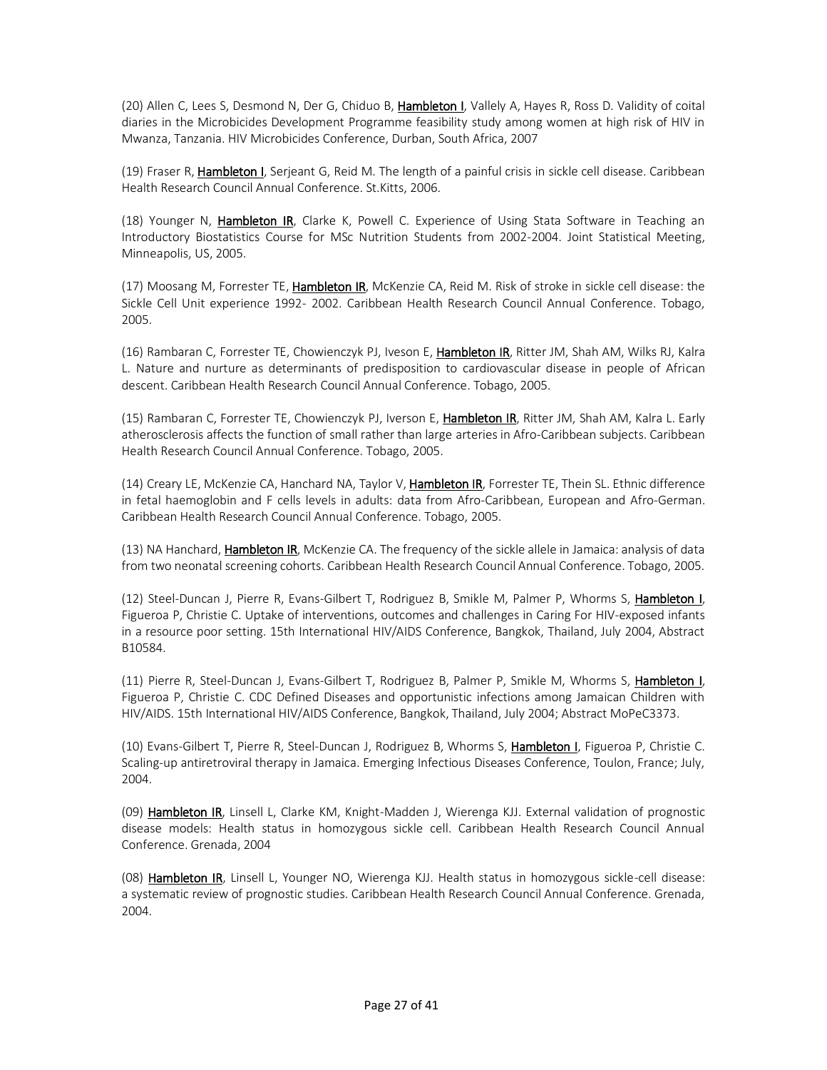(20) Allen C, Lees S, Desmond N, Der G, Chiduo B, Hambleton I, Vallely A, Hayes R, Ross D. Validity of coital diaries in the Microbicides Development Programme feasibility study among women at high risk of HIV in Mwanza, Tanzania. HIV Microbicides Conference, Durban, South Africa, 2007

(19) Fraser R, Hambleton I, Serjeant G, Reid M. The length of a painful crisis in sickle cell disease. Caribbean Health Research Council Annual Conference. St.Kitts, 2006.

(18) Younger N, Hambleton IR, Clarke K, Powell C. Experience of Using Stata Software in Teaching an Introductory Biostatistics Course for MSc Nutrition Students from 2002-2004. Joint Statistical Meeting, Minneapolis, US, 2005.

(17) Moosang M, Forrester TE, Hambleton IR, McKenzie CA, Reid M. Risk of stroke in sickle cell disease: the Sickle Cell Unit experience 1992- 2002. Caribbean Health Research Council Annual Conference. Tobago, 2005.

(16) Rambaran C, Forrester TE, Chowienczyk PJ, Iveson E, Hambleton IR, Ritter JM, Shah AM, Wilks RJ, Kalra L. Nature and nurture as determinants of predisposition to cardiovascular disease in people of African descent. Caribbean Health Research Council Annual Conference. Tobago, 2005.

(15) Rambaran C, Forrester TE, Chowienczyk PJ, Iverson E, Hambleton IR, Ritter JM, Shah AM, Kalra L. Early atherosclerosis affects the function of small rather than large arteries in Afro-Caribbean subjects. Caribbean Health Research Council Annual Conference. Tobago, 2005.

(14) Creary LE, McKenzie CA, Hanchard NA, Taylor V, Hambleton IR, Forrester TE, Thein SL. Ethnic difference in fetal haemoglobin and F cells levels in adults: data from Afro-Caribbean, European and Afro-German. Caribbean Health Research Council Annual Conference. Tobago, 2005.

(13) NA Hanchard, Hambleton IR, McKenzie CA. The frequency of the sickle allele in Jamaica: analysis of data from two neonatal screening cohorts. Caribbean Health Research Council Annual Conference. Tobago, 2005.

(12) Steel-Duncan J, Pierre R, Evans-Gilbert T, Rodriguez B, Smikle M, Palmer P, Whorms S, Hambleton I, Figueroa P, Christie C. Uptake of interventions, outcomes and challenges in Caring For HIV-exposed infants in a resource poor setting. 15th International HIV/AIDS Conference, Bangkok, Thailand, July 2004, Abstract B10584.

(11) Pierre R, Steel-Duncan J, Evans-Gilbert T, Rodriguez B, Palmer P, Smikle M, Whorms S, Hambleton I, Figueroa P, Christie C. CDC Defined Diseases and opportunistic infections among Jamaican Children with HIV/AIDS. 15th International HIV/AIDS Conference, Bangkok, Thailand, July 2004; Abstract MoPeC3373.

(10) Evans-Gilbert T, Pierre R, Steel-Duncan J, Rodriguez B, Whorms S, Hambleton I, Figueroa P, Christie C. Scaling-up antiretroviral therapy in Jamaica. Emerging Infectious Diseases Conference, Toulon, France; July, 2004.

(09) Hambleton IR, Linsell L, Clarke KM, Knight-Madden J, Wierenga KJJ. External validation of prognostic disease models: Health status in homozygous sickle cell. Caribbean Health Research Council Annual Conference. Grenada, 2004

(08) Hambleton IR, Linsell L, Younger NO, Wierenga KJJ. Health status in homozygous sickle-cell disease: a systematic review of prognostic studies. Caribbean Health Research Council Annual Conference. Grenada, 2004.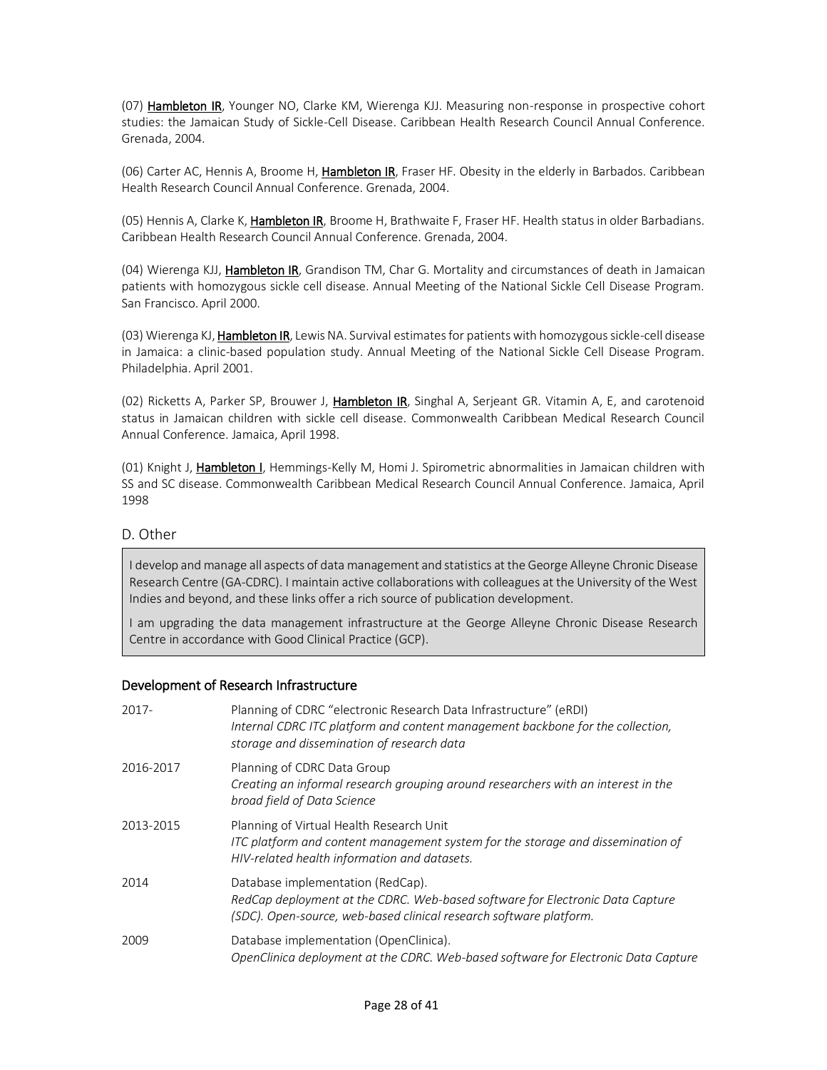(07) Hambleton IR, Younger NO, Clarke KM, Wierenga KJJ. Measuring non-response in prospective cohort studies: the Jamaican Study of Sickle-Cell Disease. Caribbean Health Research Council Annual Conference. Grenada, 2004.

(06) Carter AC, Hennis A, Broome H, Hambleton IR, Fraser HF. Obesity in the elderly in Barbados. Caribbean Health Research Council Annual Conference. Grenada, 2004.

(05) Hennis A, Clarke K, Hambleton IR, Broome H, Brathwaite F, Fraser HF. Health status in older Barbadians. Caribbean Health Research Council Annual Conference. Grenada, 2004.

(04) Wierenga KJJ, Hambleton IR, Grandison TM, Char G. Mortality and circumstances of death in Jamaican patients with homozygous sickle cell disease. Annual Meeting of the National Sickle Cell Disease Program. San Francisco. April 2000.

(03) Wierenga KJ, Hambleton IR, Lewis NA. Survival estimates for patients with homozygous sickle-cell disease in Jamaica: a clinic-based population study. Annual Meeting of the National Sickle Cell Disease Program. Philadelphia. April 2001.

(02) Ricketts A, Parker SP, Brouwer J, Hambleton IR, Singhal A, Serjeant GR. Vitamin A, E, and carotenoid status in Jamaican children with sickle cell disease. Commonwealth Caribbean Medical Research Council Annual Conference. Jamaica, April 1998.

(01) Knight J, Hambleton I, Hemmings-Kelly M, Homi J. Spirometric abnormalities in Jamaican children with SS and SC disease. Commonwealth Caribbean Medical Research Council Annual Conference. Jamaica, April 1998

### D. Other

I develop and manage all aspects of data management and statistics at the George Alleyne Chronic Disease Research Centre (GA-CDRC). I maintain active collaborations with colleagues at the University of the West Indies and beyond, and these links offer a rich source of publication development.

I am upgrading the data management infrastructure at the George Alleyne Chronic Disease Research Centre in accordance with Good Clinical Practice (GCP).

#### Development of Research Infrastructure

| 2017-     | Planning of CDRC "electronic Research Data Infrastructure" (eRDI)<br>Internal CDRC ITC platform and content management backbone for the collection,<br>storage and dissemination of research data |
|-----------|---------------------------------------------------------------------------------------------------------------------------------------------------------------------------------------------------|
| 2016-2017 | Planning of CDRC Data Group<br>Creating an informal research grouping around researchers with an interest in the<br>broad field of Data Science                                                   |
| 2013-2015 | Planning of Virtual Health Research Unit<br>ITC platform and content management system for the storage and dissemination of<br>HIV-related health information and datasets.                       |
| 2014      | Database implementation (RedCap).<br>RedCap deployment at the CDRC. Web-based software for Electronic Data Capture<br>(SDC). Open-source, web-based clinical research software platform.          |
| 2009      | Database implementation (OpenClinica).<br>OpenClinica deployment at the CDRC. Web-based software for Electronic Data Capture                                                                      |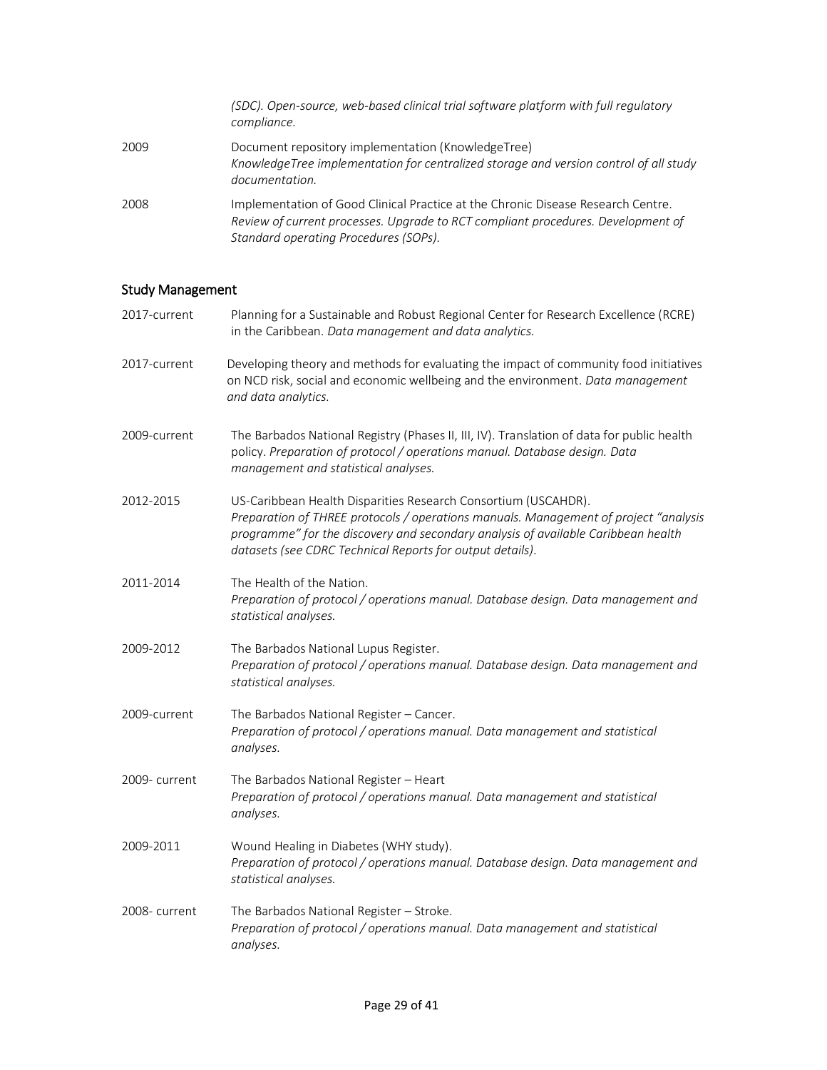|      | (SDC). Open-source, web-based clinical trial software platform with full regulatory<br>compliance.                                                                                                            |
|------|---------------------------------------------------------------------------------------------------------------------------------------------------------------------------------------------------------------|
| 2009 | Document repository implementation (KnowledgeTree)<br>KnowledgeTree implementation for centralized storage and version control of all study<br>documentation.                                                 |
| 2008 | Implementation of Good Clinical Practice at the Chronic Disease Research Centre.<br>Review of current processes. Upgrade to RCT compliant procedures. Development of<br>Standard operating Procedures (SOPs). |

# Study Management

| Study Management |                                                                                                                                                                                                                                                                                                          |
|------------------|----------------------------------------------------------------------------------------------------------------------------------------------------------------------------------------------------------------------------------------------------------------------------------------------------------|
| 2017-current     | Planning for a Sustainable and Robust Regional Center for Research Excellence (RCRE)<br>in the Caribbean. Data management and data analytics.                                                                                                                                                            |
| 2017-current     | Developing theory and methods for evaluating the impact of community food initiatives<br>on NCD risk, social and economic wellbeing and the environment. Data management<br>and data analytics.                                                                                                          |
| 2009-current     | The Barbados National Registry (Phases II, III, IV). Translation of data for public health<br>policy. Preparation of protocol / operations manual. Database design. Data<br>management and statistical analyses.                                                                                         |
| 2012-2015        | US-Caribbean Health Disparities Research Consortium (USCAHDR).<br>Preparation of THREE protocols / operations manuals. Management of project "analysis<br>programme" for the discovery and secondary analysis of available Caribbean health<br>datasets (see CDRC Technical Reports for output details). |
| 2011-2014        | The Health of the Nation.<br>Preparation of protocol / operations manual. Database design. Data management and<br>statistical analyses.                                                                                                                                                                  |
| 2009-2012        | The Barbados National Lupus Register.<br>Preparation of protocol / operations manual. Database design. Data management and<br>statistical analyses.                                                                                                                                                      |
| 2009-current     | The Barbados National Register - Cancer.<br>Preparation of protocol / operations manual. Data management and statistical<br>analyses.                                                                                                                                                                    |
| 2009-current     | The Barbados National Register - Heart<br>Preparation of protocol / operations manual. Data management and statistical<br>analyses.                                                                                                                                                                      |
| 2009-2011        | Wound Healing in Diabetes (WHY study).<br>Preparation of protocol / operations manual. Database design. Data management and<br>statistical analyses.                                                                                                                                                     |
| 2008-current     | The Barbados National Register - Stroke.<br>Preparation of protocol / operations manual. Data management and statistical<br>analyses.                                                                                                                                                                    |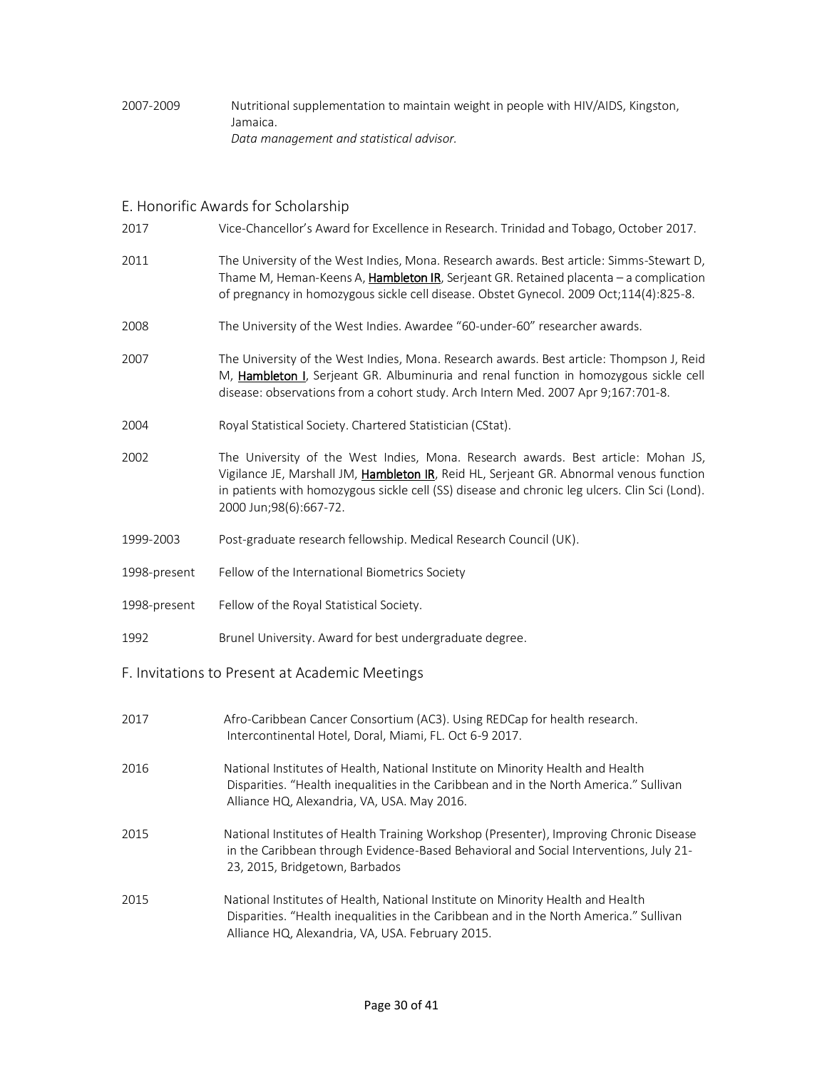### 2007-2009 Nutritional supplementation to maintain weight in people with HIV/AIDS, Kingston, Jamaica. *Data management and statistical advisor.*

# E. Honorific Awards for Scholarship

| 2017         | Vice-Chancellor's Award for Excellence in Research. Trinidad and Tobago, October 2017.                                                                                                                                                                                                                  |
|--------------|---------------------------------------------------------------------------------------------------------------------------------------------------------------------------------------------------------------------------------------------------------------------------------------------------------|
| 2011         | The University of the West Indies, Mona. Research awards. Best article: Simms-Stewart D,<br>Thame M, Heman-Keens A, Hambleton IR, Serjeant GR. Retained placenta - a complication<br>of pregnancy in homozygous sickle cell disease. Obstet Gynecol. 2009 Oct;114(4):825-8.                             |
| 2008         | The University of the West Indies. Awardee "60-under-60" researcher awards.                                                                                                                                                                                                                             |
| 2007         | The University of the West Indies, Mona. Research awards. Best article: Thompson J, Reid<br>M, Hambleton I, Serjeant GR. Albuminuria and renal function in homozygous sickle cell<br>disease: observations from a cohort study. Arch Intern Med. 2007 Apr 9;167:701-8.                                  |
| 2004         | Royal Statistical Society. Chartered Statistician (CStat).                                                                                                                                                                                                                                              |
| 2002         | The University of the West Indies, Mona. Research awards. Best article: Mohan JS,<br>Vigilance JE, Marshall JM, Hambleton IR, Reid HL, Serjeant GR. Abnormal venous function<br>in patients with homozygous sickle cell (SS) disease and chronic leg ulcers. Clin Sci (Lond).<br>2000 Jun;98(6):667-72. |
| 1999-2003    | Post-graduate research fellowship. Medical Research Council (UK).                                                                                                                                                                                                                                       |
| 1998-present | Fellow of the International Biometrics Society                                                                                                                                                                                                                                                          |
| 1998-present | Fellow of the Royal Statistical Society.                                                                                                                                                                                                                                                                |
| 1992         | Brunel University. Award for best undergraduate degree.                                                                                                                                                                                                                                                 |
|              | F. Invitations to Present at Academic Meetings                                                                                                                                                                                                                                                          |
| 2017         | Afro-Caribbean Cancer Consortium (AC3). Using REDCap for health research.<br>Intercontinental Hotel, Doral, Miami, FL. Oct 6-9 2017.                                                                                                                                                                    |
| 2016         | National Institutes of Health, National Institute on Minority Health and Health<br>Disparities. "Health inequalities in the Caribbean and in the North America." Sullivan<br>Alliance HQ, Alexandria, VA, USA. May 2016.                                                                                |
| 2015         | National Institutes of Health Training Workshop (Presenter), Improving Chronic Disease<br>in the Caribbean through Evidence-Based Behavioral and Social Interventions, July 21-<br>23, 2015, Bridgetown, Barbados                                                                                       |
| 2015         | National Institutes of Health, National Institute on Minority Health and Health                                                                                                                                                                                                                         |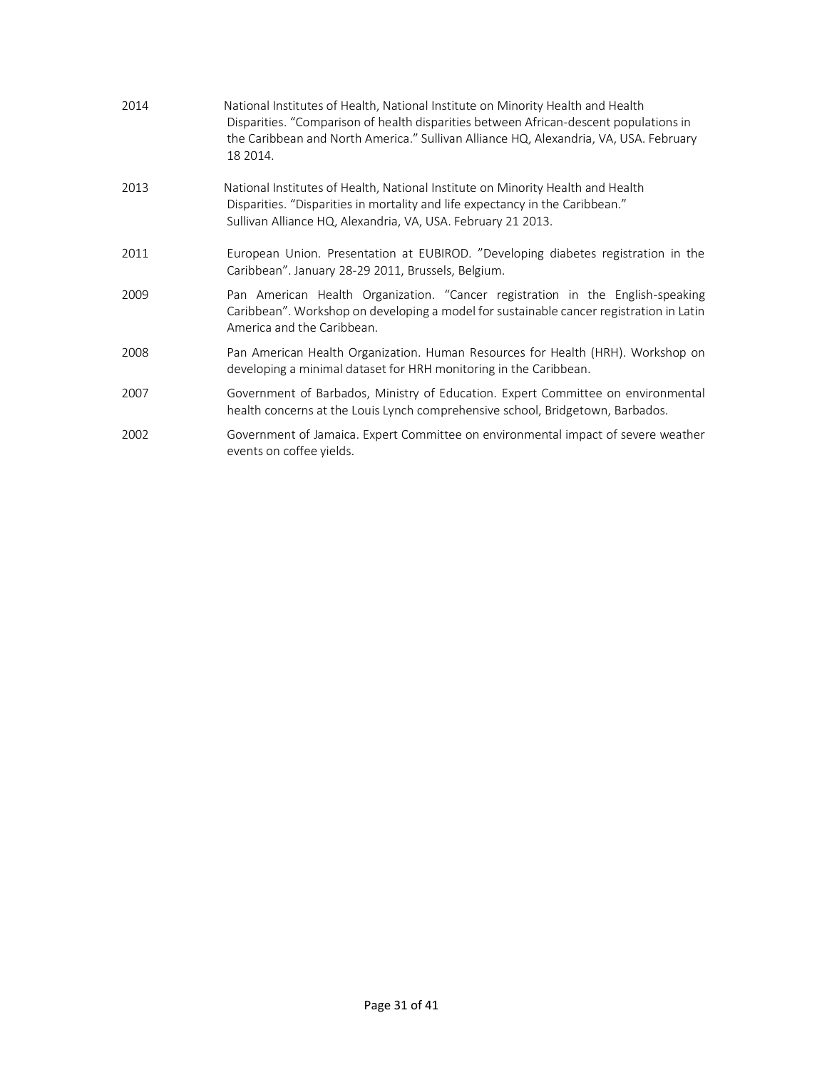| 2014 | National Institutes of Health, National Institute on Minority Health and Health<br>Disparities. "Comparison of health disparities between African-descent populations in<br>the Caribbean and North America." Sullivan Alliance HQ, Alexandria, VA, USA. February<br>18 2014. |
|------|-------------------------------------------------------------------------------------------------------------------------------------------------------------------------------------------------------------------------------------------------------------------------------|
| 2013 | National Institutes of Health, National Institute on Minority Health and Health<br>Disparities. "Disparities in mortality and life expectancy in the Caribbean."<br>Sullivan Alliance HQ, Alexandria, VA, USA. February 21 2013.                                              |
| 2011 | European Union. Presentation at EUBIROD. "Developing diabetes registration in the<br>Caribbean". January 28-29 2011, Brussels, Belgium.                                                                                                                                       |
| 2009 | Pan American Health Organization. "Cancer registration in the English-speaking<br>Caribbean". Workshop on developing a model for sustainable cancer registration in Latin<br>America and the Caribbean.                                                                       |
| 2008 | Pan American Health Organization. Human Resources for Health (HRH). Workshop on<br>developing a minimal dataset for HRH monitoring in the Caribbean.                                                                                                                          |
| 2007 | Government of Barbados, Ministry of Education. Expert Committee on environmental<br>health concerns at the Louis Lynch comprehensive school, Bridgetown, Barbados.                                                                                                            |
| 2002 | Government of Jamaica. Expert Committee on environmental impact of severe weather<br>events on coffee yields.                                                                                                                                                                 |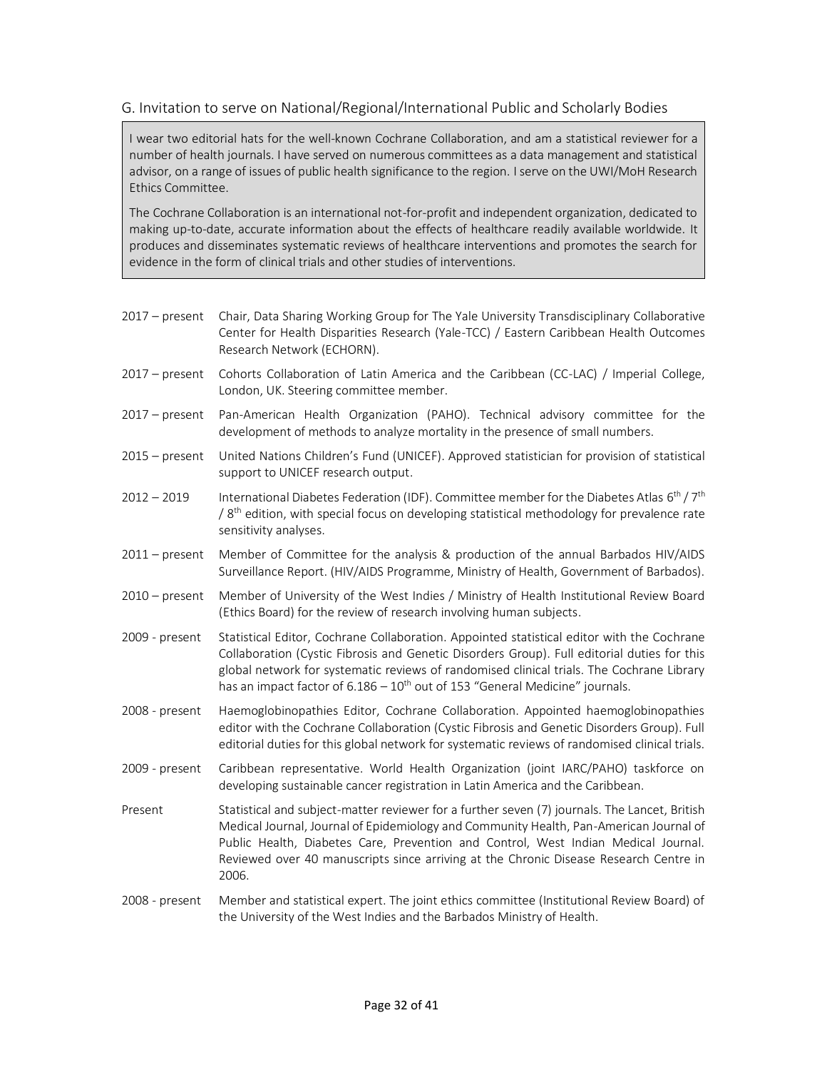## G. Invitation to serve on National/Regional/International Public and Scholarly Bodies

I wear two editorial hats for the well-known Cochrane Collaboration, and am a statistical reviewer for a number of health journals. I have served on numerous committees as a data management and statistical advisor, on a range of issues of public health significance to the region. I serve on the UWI/MoH Research Ethics Committee.

The Cochrane Collaboration is an international not-for-profit and independent organization, dedicated to making up-to-date, accurate information about the effects of healthcare readily available worldwide. It produces and disseminates systematic reviews of healthcare interventions and promotes the search for evidence in the form of clinical trials and other studies of interventions.

2017 – present Chair, Data Sharing Working Group for The Yale University Transdisciplinary Collaborative Center for Health Disparities Research (Yale-TCC) / Eastern Caribbean Health Outcomes Research Network (ECHORN). 2017 – present Cohorts Collaboration of Latin America and the Caribbean (CC-LAC) / Imperial College, London, UK. Steering committee member. 2017 – present Pan-American Health Organization (PAHO). Technical advisory committee for the development of methods to analyze mortality in the presence of small numbers. 2015 – present United Nations Children's Fund (UNICEF). Approved statistician for provision of statistical support to UNICEF research output. 2012 – 2019 International Diabetes Federation (IDF). Committee member for the Diabetes Atlas 6<sup>th</sup> / 7<sup>th</sup>  $/$  8<sup>th</sup> edition, with special focus on developing statistical methodology for prevalence rate sensitivity analyses. 2011 – present Member of Committee for the analysis & production of the annual Barbados HIV/AIDS Surveillance Report. (HIV/AIDS Programme, Ministry of Health, Government of Barbados). 2010 – present Member of University of the West Indies / Ministry of Health Institutional Review Board (Ethics Board) for the review of research involving human subjects. 2009 - present Statistical Editor, Cochrane Collaboration. Appointed statistical editor with the Cochrane Collaboration (Cystic Fibrosis and Genetic Disorders Group). Full editorial duties for this global network for systematic reviews of randomised clinical trials. The Cochrane Library has an impact factor of  $6.186 - 10$ <sup>th</sup> out of 153 "General Medicine" journals. 2008 - present Haemoglobinopathies Editor, Cochrane Collaboration. Appointed haemoglobinopathies editor with the Cochrane Collaboration (Cystic Fibrosis and Genetic Disorders Group). Full editorial duties for this global network for systematic reviews of randomised clinical trials. 2009 - present Caribbean representative. World Health Organization (joint IARC/PAHO) taskforce on developing sustainable cancer registration in Latin America and the Caribbean. Present Statistical and subject-matter reviewer for a further seven (7) journals. The Lancet, British Medical Journal, Journal of Epidemiology and Community Health, Pan-American Journal of Public Health, Diabetes Care, Prevention and Control, West Indian Medical Journal. Reviewed over 40 manuscripts since arriving at the Chronic Disease Research Centre in 2006. 2008 - present Member and statistical expert. The joint ethics committee (Institutional Review Board) of

the University of the West Indies and the Barbados Ministry of Health.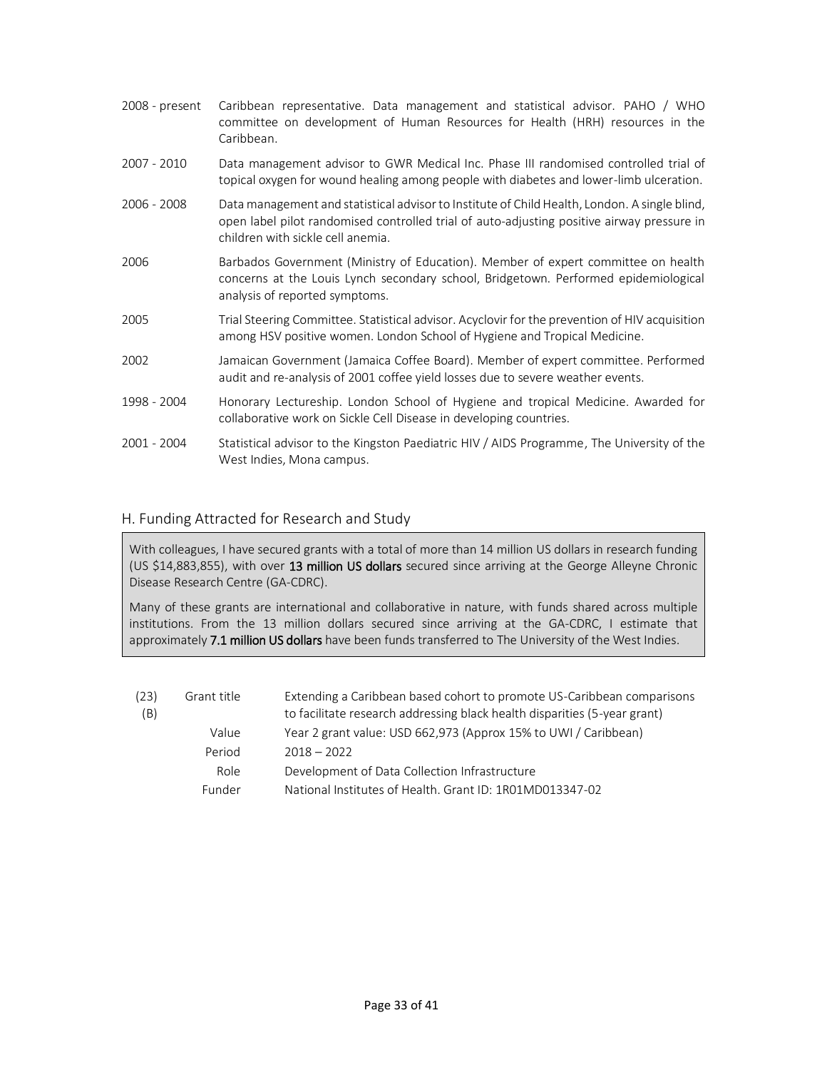| 2008 - present | Caribbean representative. Data management and statistical advisor. PAHO / WHO<br>committee on development of Human Resources for Health (HRH) resources in the<br>Caribbean.                                                     |
|----------------|----------------------------------------------------------------------------------------------------------------------------------------------------------------------------------------------------------------------------------|
| 2007 - 2010    | Data management advisor to GWR Medical Inc. Phase III randomised controlled trial of<br>topical oxygen for wound healing among people with diabetes and lower-limb ulceration.                                                   |
| 2006 - 2008    | Data management and statistical advisor to Institute of Child Health, London. A single blind,<br>open label pilot randomised controlled trial of auto-adjusting positive airway pressure in<br>children with sickle cell anemia. |
| 2006           | Barbados Government (Ministry of Education). Member of expert committee on health<br>concerns at the Louis Lynch secondary school, Bridgetown. Performed epidemiological<br>analysis of reported symptoms.                       |
| 2005           | Trial Steering Committee. Statistical advisor. Acyclovir for the prevention of HIV acquisition<br>among HSV positive women. London School of Hygiene and Tropical Medicine.                                                      |
| 2002           | Jamaican Government (Jamaica Coffee Board). Member of expert committee. Performed<br>audit and re-analysis of 2001 coffee yield losses due to severe weather events.                                                             |
| 1998 - 2004    | Honorary Lectureship. London School of Hygiene and tropical Medicine. Awarded for<br>collaborative work on Sickle Cell Disease in developing countries.                                                                          |
| 2001 - 2004    | Statistical advisor to the Kingston Paediatric HIV / AIDS Programme, The University of the<br>West Indies, Mona campus.                                                                                                          |

### H. Funding Attracted for Research and Study

With colleagues, I have secured grants with a total of more than 14 million US dollars in research funding (US \$14,883,855), with over 13 million US dollars secured since arriving at the George Alleyne Chronic Disease Research Centre (GA-CDRC).

Many of these grants are international and collaborative in nature, with funds shared across multiple institutions. From the 13 million dollars secured since arriving at the GA-CDRC, I estimate that approximately 7.1 million US dollars have been funds transferred to The University of the West Indies.

| (23)<br>(B) | Grant title | Extending a Caribbean based cohort to promote US-Caribbean comparisons<br>to facilitate research addressing black health disparities (5-year grant) |
|-------------|-------------|-----------------------------------------------------------------------------------------------------------------------------------------------------|
|             | Value       | Year 2 grant value: USD 662,973 (Approx 15% to UWI / Caribbean)                                                                                     |
|             | Period      | $2018 - 2022$                                                                                                                                       |
|             | Role        | Development of Data Collection Infrastructure                                                                                                       |
|             | Funder      | National Institutes of Health, Grant ID: 1R01MD013347-02                                                                                            |
|             |             |                                                                                                                                                     |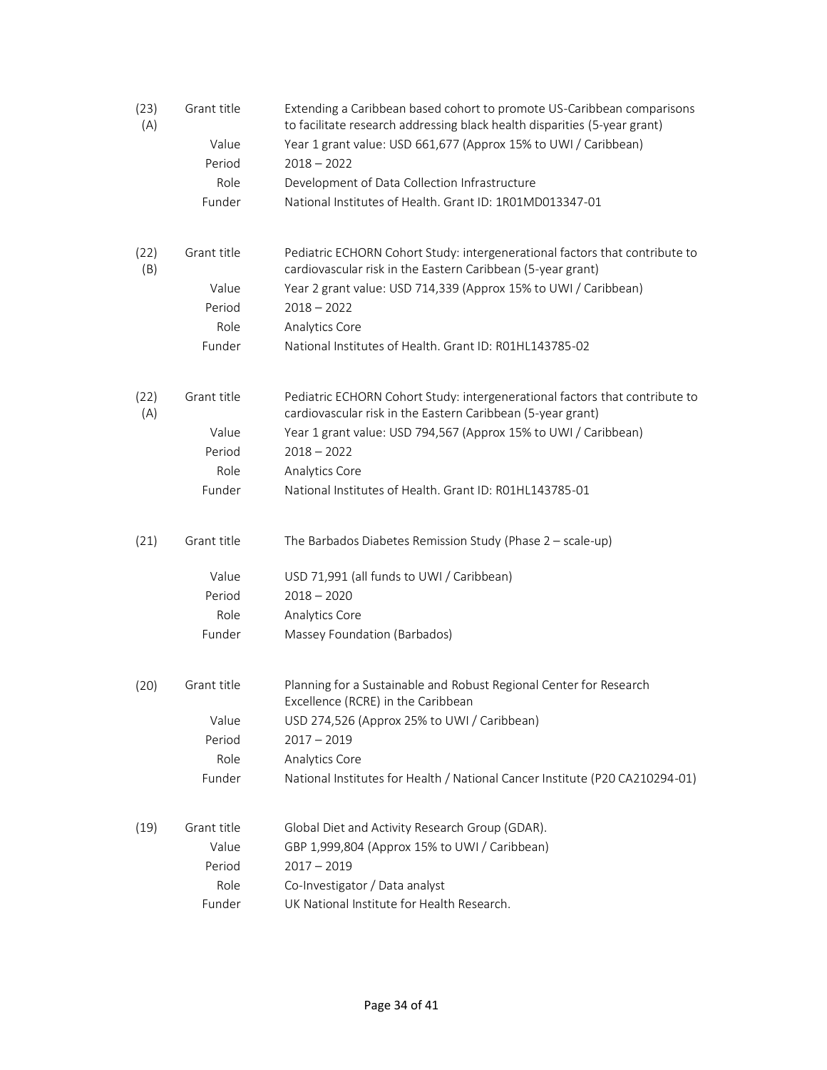| (23)<br>(A) | Grant title | Extending a Caribbean based cohort to promote US-Caribbean comparisons<br>to facilitate research addressing black health disparities (5-year grant) |
|-------------|-------------|-----------------------------------------------------------------------------------------------------------------------------------------------------|
|             | Value       | Year 1 grant value: USD 661,677 (Approx 15% to UWI / Caribbean)                                                                                     |
|             | Period      | $2018 - 2022$                                                                                                                                       |
|             | Role        | Development of Data Collection Infrastructure                                                                                                       |
|             | Funder      | National Institutes of Health. Grant ID: 1R01MD013347-01                                                                                            |
| (22)<br>(B) | Grant title | Pediatric ECHORN Cohort Study: intergenerational factors that contribute to<br>cardiovascular risk in the Eastern Caribbean (5-year grant)          |
|             | Value       | Year 2 grant value: USD 714,339 (Approx 15% to UWI / Caribbean)                                                                                     |
|             | Period      | $2018 - 2022$                                                                                                                                       |
|             | Role        | Analytics Core                                                                                                                                      |
|             | Funder      | National Institutes of Health. Grant ID: R01HL143785-02                                                                                             |
| (22)<br>(A) | Grant title | Pediatric ECHORN Cohort Study: intergenerational factors that contribute to<br>cardiovascular risk in the Eastern Caribbean (5-year grant)          |
|             | Value       | Year 1 grant value: USD 794,567 (Approx 15% to UWI / Caribbean)                                                                                     |
|             | Period      | $2018 - 2022$                                                                                                                                       |
|             | Role        | Analytics Core                                                                                                                                      |
|             | Funder      | National Institutes of Health, Grant ID: R01HL143785-01                                                                                             |
| (21)        | Grant title | The Barbados Diabetes Remission Study (Phase 2 - scale-up)                                                                                          |
|             | Value       | USD 71,991 (all funds to UWI / Caribbean)                                                                                                           |
|             | Period      | $2018 - 2020$                                                                                                                                       |
|             | Role        | Analytics Core                                                                                                                                      |
|             | Funder      | Massey Foundation (Barbados)                                                                                                                        |
| (20)        | Grant title | Planning for a Sustainable and Robust Regional Center for Research<br>Excellence (RCRE) in the Caribbean                                            |
|             | Value       | USD 274,526 (Approx 25% to UWI / Caribbean)                                                                                                         |
|             | Period      | $2017 - 2019$                                                                                                                                       |
|             | Role        | Analytics Core                                                                                                                                      |
|             | Funder      | National Institutes for Health / National Cancer Institute (P20 CA210294-01)                                                                        |
| (19)        | Grant title | Global Diet and Activity Research Group (GDAR).                                                                                                     |
|             | Value       | GBP 1,999,804 (Approx 15% to UWI / Caribbean)                                                                                                       |
|             | Period      | $2017 - 2019$                                                                                                                                       |
|             | Role        | Co-Investigator / Data analyst                                                                                                                      |
|             | Funder      | UK National Institute for Health Research.                                                                                                          |
|             |             |                                                                                                                                                     |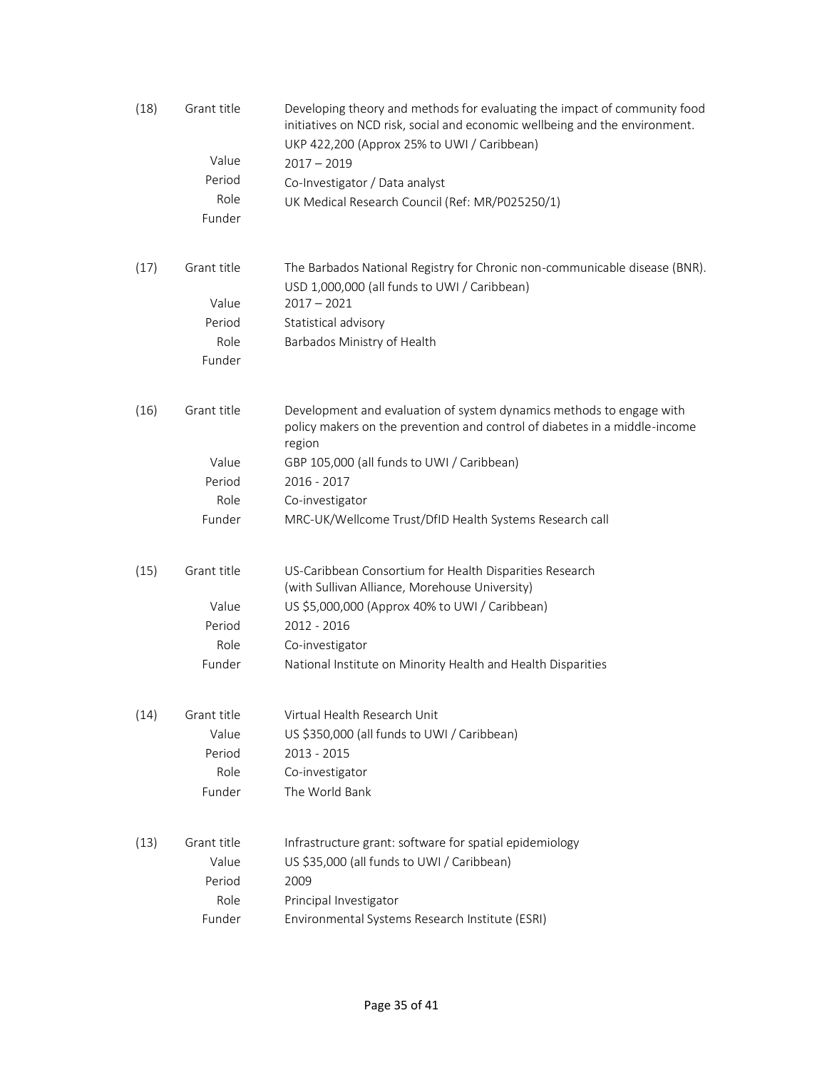| (18) | Grant title | Developing theory and methods for evaluating the impact of community food<br>initiatives on NCD risk, social and economic wellbeing and the environment.<br>UKP 422,200 (Approx 25% to UWI / Caribbean) |
|------|-------------|---------------------------------------------------------------------------------------------------------------------------------------------------------------------------------------------------------|
|      | Value       | $2017 - 2019$                                                                                                                                                                                           |
|      | Period      | Co-Investigator / Data analyst                                                                                                                                                                          |
|      | Role        | UK Medical Research Council (Ref: MR/P025250/1)                                                                                                                                                         |
|      | Funder      |                                                                                                                                                                                                         |
| (17) | Grant title | The Barbados National Registry for Chronic non-communicable disease (BNR).<br>USD 1,000,000 (all funds to UWI / Caribbean)                                                                              |
|      | Value       | $2017 - 2021$                                                                                                                                                                                           |
|      | Period      | Statistical advisory                                                                                                                                                                                    |
|      | Role        | Barbados Ministry of Health                                                                                                                                                                             |
|      | Funder      |                                                                                                                                                                                                         |
| (16) | Grant title | Development and evaluation of system dynamics methods to engage with<br>policy makers on the prevention and control of diabetes in a middle-income<br>region                                            |
|      | Value       | GBP 105,000 (all funds to UWI / Caribbean)                                                                                                                                                              |
|      | Period      | 2016 - 2017                                                                                                                                                                                             |
|      | Role        | Co-investigator                                                                                                                                                                                         |
|      | Funder      | MRC-UK/Wellcome Trust/DfID Health Systems Research call                                                                                                                                                 |
| (15) | Grant title | US-Caribbean Consortium for Health Disparities Research<br>(with Sullivan Alliance, Morehouse University)                                                                                               |
|      | Value       | US \$5,000,000 (Approx 40% to UWI / Caribbean)                                                                                                                                                          |
|      | Period      | $2012 - 2016$                                                                                                                                                                                           |
|      | Role        | Co-investigator                                                                                                                                                                                         |
|      | Funder      | National Institute on Minority Health and Health Disparities                                                                                                                                            |
| (14) | Grant title | Virtual Health Research Unit                                                                                                                                                                            |
|      | Value       | US \$350,000 (all funds to UWI / Caribbean)                                                                                                                                                             |
|      | Period      | 2013 - 2015                                                                                                                                                                                             |
|      | Role        | Co-investigator                                                                                                                                                                                         |
|      | Funder      | The World Bank                                                                                                                                                                                          |
| (13) | Grant title | Infrastructure grant: software for spatial epidemiology                                                                                                                                                 |
|      | Value       | US \$35,000 (all funds to UWI / Caribbean)                                                                                                                                                              |
|      | Period      | 2009                                                                                                                                                                                                    |
|      | Role        | Principal Investigator                                                                                                                                                                                  |
|      | Funder      | Environmental Systems Research Institute (ESRI)                                                                                                                                                         |
|      |             |                                                                                                                                                                                                         |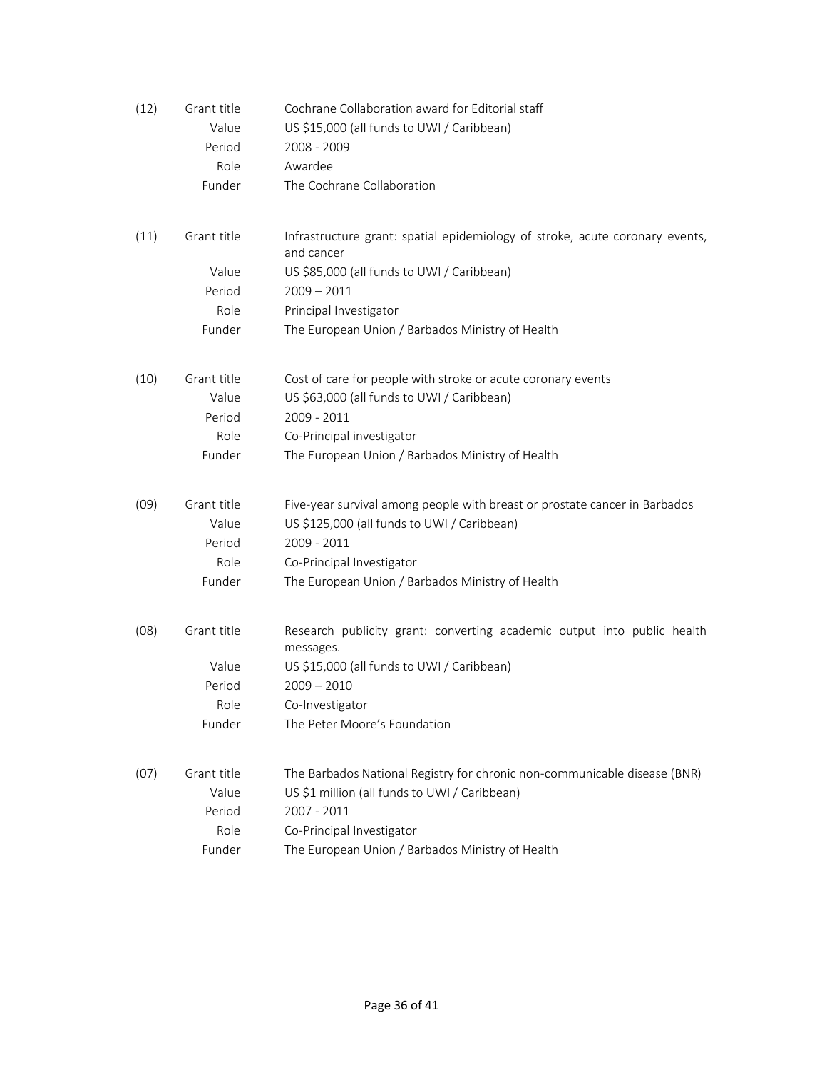| (12) | Grant title                    | Cochrane Collaboration award for Editorial staff                                                                                         |
|------|--------------------------------|------------------------------------------------------------------------------------------------------------------------------------------|
|      | Value                          | US \$15,000 (all funds to UWI / Caribbean)                                                                                               |
|      | Period                         | 2008 - 2009                                                                                                                              |
|      | Role                           | Awardee                                                                                                                                  |
|      | Funder                         | The Cochrane Collaboration                                                                                                               |
| (11) | Grant title                    | Infrastructure grant: spatial epidemiology of stroke, acute coronary events,<br>and cancer                                               |
|      | Value                          | US \$85,000 (all funds to UWI / Caribbean)                                                                                               |
|      | Period                         | $2009 - 2011$                                                                                                                            |
|      | Role                           | Principal Investigator                                                                                                                   |
|      | Funder                         | The European Union / Barbados Ministry of Health                                                                                         |
| (10) | Grant title<br>Value           | Cost of care for people with stroke or acute coronary events<br>US \$63,000 (all funds to UWI / Caribbean)                               |
|      | Period                         | 2009 - 2011                                                                                                                              |
|      | Role                           | Co-Principal investigator                                                                                                                |
|      | Funder                         | The European Union / Barbados Ministry of Health                                                                                         |
| (09) | Grant title<br>Value<br>Period | Five-year survival among people with breast or prostate cancer in Barbados<br>US \$125,000 (all funds to UWI / Caribbean)<br>2009 - 2011 |
|      | Role                           | Co-Principal Investigator                                                                                                                |
|      | Funder                         | The European Union / Barbados Ministry of Health                                                                                         |
| (08) | Grant title                    | Research publicity grant: converting academic output into public health<br>messages.                                                     |
|      | Value                          | US \$15,000 (all funds to UWI / Caribbean)                                                                                               |
|      | Period                         | $2009 - 2010$                                                                                                                            |
|      | Role                           | Co-Investigator                                                                                                                          |
|      | Funder                         | The Peter Moore's Foundation                                                                                                             |
| (07) | Grant title                    | The Barbados National Registry for chronic non-communicable disease (BNR)                                                                |
|      | Value                          | US \$1 million (all funds to UWI / Caribbean)                                                                                            |
|      | Period                         | 2007 - 2011                                                                                                                              |
|      | Role                           | Co-Principal Investigator                                                                                                                |
|      | Funder                         | The European Union / Barbados Ministry of Health                                                                                         |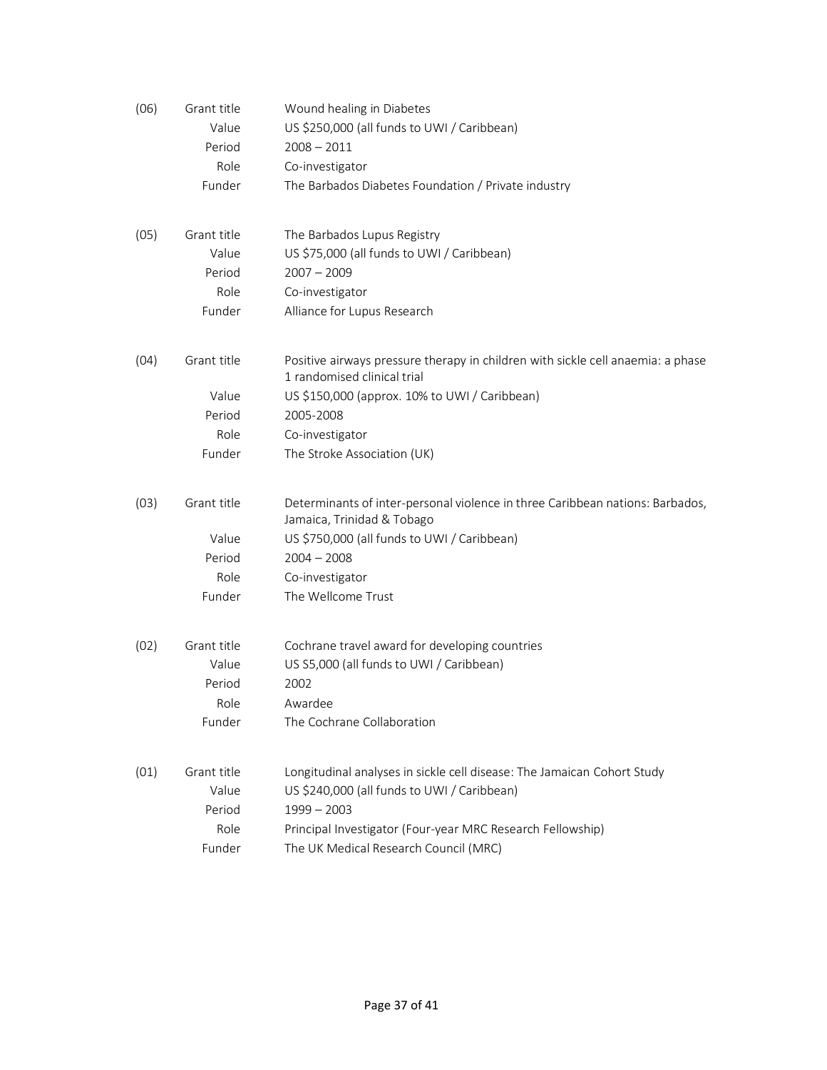| (06) | Grant title | Wound healing in Diabetes                                                                                      |
|------|-------------|----------------------------------------------------------------------------------------------------------------|
|      | Value       | US \$250,000 (all funds to UWI / Caribbean)                                                                    |
|      | Period      | $2008 - 2011$                                                                                                  |
|      | Role        | Co-investigator                                                                                                |
|      | Funder      | The Barbados Diabetes Foundation / Private industry                                                            |
| (05) | Grant title | The Barbados Lupus Registry                                                                                    |
|      | Value       | US \$75,000 (all funds to UWI / Caribbean)                                                                     |
|      | Period      | $2007 - 2009$                                                                                                  |
|      | Role        | Co-investigator                                                                                                |
|      | Funder      | Alliance for Lupus Research                                                                                    |
| (04) | Grant title | Positive airways pressure therapy in children with sickle cell anaemia: a phase<br>1 randomised clinical trial |
|      | Value       | US \$150,000 (approx. 10% to UWI / Caribbean)                                                                  |
|      | Period      | 2005-2008                                                                                                      |
|      | Role        | Co-investigator                                                                                                |
|      | Funder      | The Stroke Association (UK)                                                                                    |
| (03) | Grant title | Determinants of inter-personal violence in three Caribbean nations: Barbados,<br>Jamaica, Trinidad & Tobago    |
|      | Value       | US \$750,000 (all funds to UWI / Caribbean)                                                                    |
|      | Period      | $2004 - 2008$                                                                                                  |
|      | Role        | Co-investigator                                                                                                |
|      | Funder      | The Wellcome Trust                                                                                             |
| (02) | Grant title | Cochrane travel award for developing countries                                                                 |
|      | Value       | US S5,000 (all funds to UWI / Caribbean)                                                                       |
|      | Period      | 2002                                                                                                           |
|      | Role        | Awardee                                                                                                        |
|      | Funder      | The Cochrane Collaboration                                                                                     |
| (01) | Grant title | Longitudinal analyses in sickle cell disease: The Jamaican Cohort Study                                        |
|      | Value       | US \$240,000 (all funds to UWI / Caribbean)                                                                    |
|      | Period      | $1999 - 2003$                                                                                                  |
|      | Role        | Principal Investigator (Four-year MRC Research Fellowship)                                                     |
|      | Funder      | The UK Medical Research Council (MRC)                                                                          |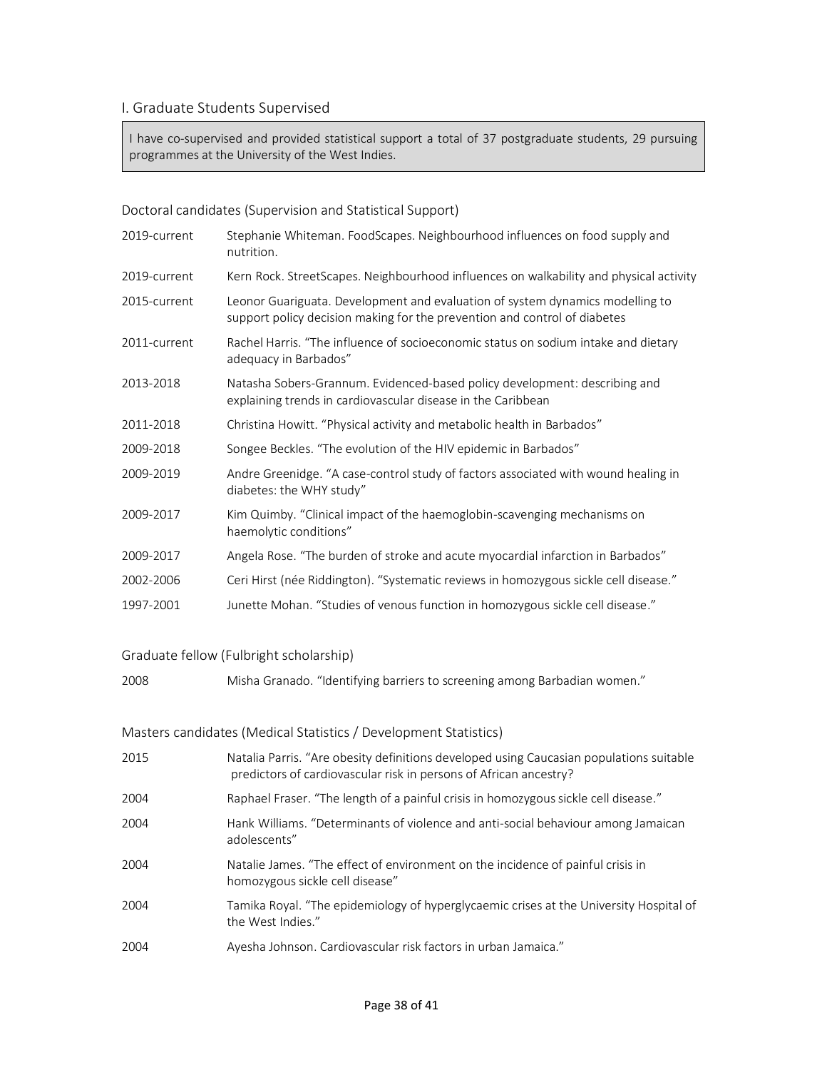## I. Graduate Students Supervised

I have co-supervised and provided statistical support a total of 37 postgraduate students, 29 pursuing programmes at the University of the West Indies.

## Doctoral candidates (Supervision and Statistical Support)

| 2019-current | Stephanie Whiteman. FoodScapes. Neighbourhood influences on food supply and<br>nutrition.                                                                  |
|--------------|------------------------------------------------------------------------------------------------------------------------------------------------------------|
| 2019-current | Kern Rock. StreetScapes. Neighbourhood influences on walkability and physical activity                                                                     |
| 2015-current | Leonor Guariguata. Development and evaluation of system dynamics modelling to<br>support policy decision making for the prevention and control of diabetes |
| 2011-current | Rachel Harris. "The influence of socioeconomic status on sodium intake and dietary<br>adequacy in Barbados"                                                |
| 2013-2018    | Natasha Sobers-Grannum. Evidenced-based policy development: describing and<br>explaining trends in cardiovascular disease in the Caribbean                 |
| 2011-2018    | Christina Howitt. "Physical activity and metabolic health in Barbados"                                                                                     |
| 2009-2018    | Songee Beckles. "The evolution of the HIV epidemic in Barbados"                                                                                            |
| 2009-2019    | Andre Greenidge. "A case-control study of factors associated with wound healing in<br>diabetes: the WHY study"                                             |
| 2009-2017    | Kim Quimby. "Clinical impact of the haemoglobin-scavenging mechanisms on<br>haemolytic conditions"                                                         |
| 2009-2017    | Angela Rose. "The burden of stroke and acute myocardial infarction in Barbados"                                                                            |
| 2002-2006    | Ceri Hirst (née Riddington). "Systematic reviews in homozygous sickle cell disease."                                                                       |
| 1997-2001    | Junette Mohan. "Studies of venous function in homozygous sickle cell disease."                                                                             |

### Graduate fellow (Fulbright scholarship)

2008 Misha Granado. "Identifying barriers to screening among Barbadian women."

### Masters candidates (Medical Statistics / Development Statistics)

| 2015 | Natalia Parris. "Are obesity definitions developed using Caucasian populations suitable<br>predictors of cardiovascular risk in persons of African ancestry? |
|------|--------------------------------------------------------------------------------------------------------------------------------------------------------------|
| 2004 | Raphael Fraser. "The length of a painful crisis in homozygous sickle cell disease."                                                                          |
| 2004 | Hank Williams. "Determinants of violence and anti-social behaviour among Jamaican<br>adolescents"                                                            |
| 2004 | Natalie James. "The effect of environment on the incidence of painful crisis in<br>homozygous sickle cell disease"                                           |
| 2004 | Tamika Royal. "The epidemiology of hyperglycaemic crises at the University Hospital of<br>the West Indies."                                                  |
| 2004 | Ayesha Johnson. Cardiovascular risk factors in urban Jamaica."                                                                                               |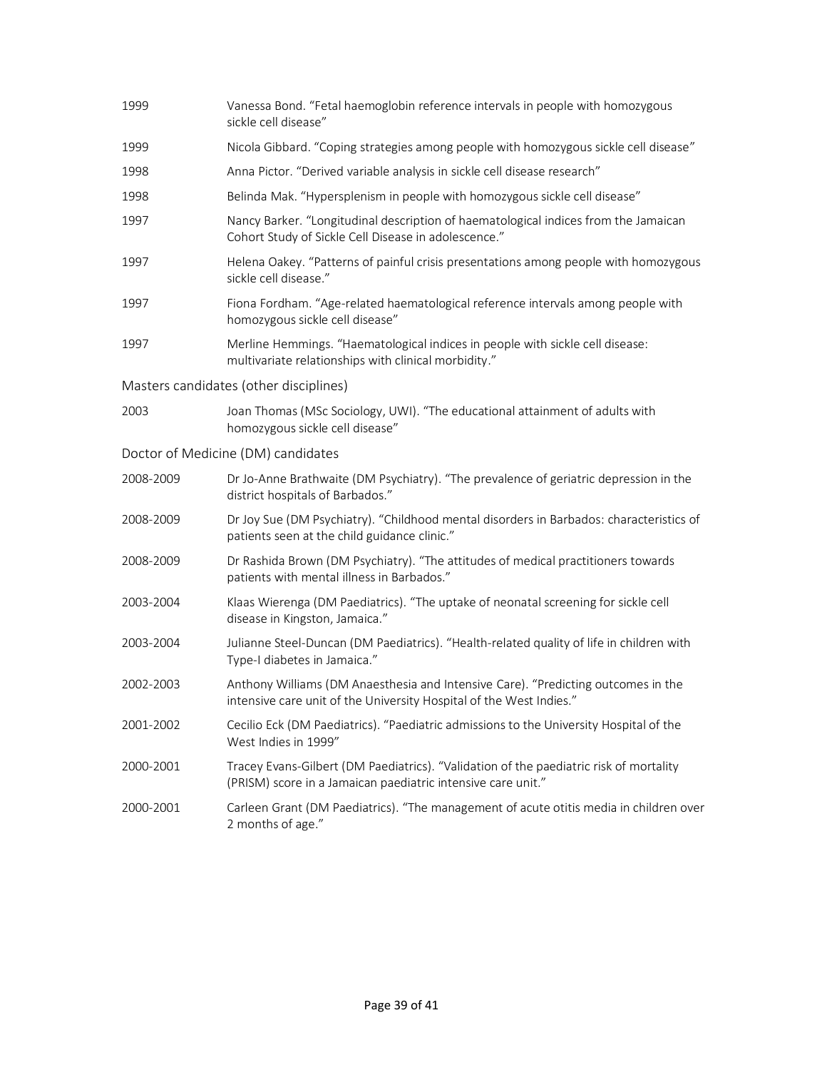| 1999      | Vanessa Bond. "Fetal haemoglobin reference intervals in people with homozygous<br>sickle cell disease"                                                   |
|-----------|----------------------------------------------------------------------------------------------------------------------------------------------------------|
| 1999      | Nicola Gibbard. "Coping strategies among people with homozygous sickle cell disease"                                                                     |
| 1998      | Anna Pictor. "Derived variable analysis in sickle cell disease research"                                                                                 |
| 1998      | Belinda Mak. "Hypersplenism in people with homozygous sickle cell disease"                                                                               |
| 1997      | Nancy Barker. "Longitudinal description of haematological indices from the Jamaican<br>Cohort Study of Sickle Cell Disease in adolescence."              |
| 1997      | Helena Oakey. "Patterns of painful crisis presentations among people with homozygous<br>sickle cell disease."                                            |
| 1997      | Fiona Fordham. "Age-related haematological reference intervals among people with<br>homozygous sickle cell disease"                                      |
| 1997      | Merline Hemmings. "Haematological indices in people with sickle cell disease:<br>multivariate relationships with clinical morbidity."                    |
|           | Masters candidates (other disciplines)                                                                                                                   |
| 2003      | Joan Thomas (MSc Sociology, UWI). "The educational attainment of adults with<br>homozygous sickle cell disease"                                          |
|           | Doctor of Medicine (DM) candidates                                                                                                                       |
| 2008-2009 | Dr Jo-Anne Brathwaite (DM Psychiatry). "The prevalence of geriatric depression in the<br>district hospitals of Barbados."                                |
| 2008-2009 | Dr Joy Sue (DM Psychiatry). "Childhood mental disorders in Barbados: characteristics of<br>patients seen at the child guidance clinic."                  |
| 2008-2009 | Dr Rashida Brown (DM Psychiatry). "The attitudes of medical practitioners towards<br>patients with mental illness in Barbados."                          |
| 2003-2004 | Klaas Wierenga (DM Paediatrics). "The uptake of neonatal screening for sickle cell<br>disease in Kingston, Jamaica."                                     |
| 2003-2004 | Julianne Steel-Duncan (DM Paediatrics). "Health-related quality of life in children with<br>Type-I diabetes in Jamaica."                                 |
| 2002-2003 | Anthony Williams (DM Anaesthesia and Intensive Care). "Predicting outcomes in the<br>intensive care unit of the University Hospital of the West Indies." |
| 2001-2002 | Cecilio Eck (DM Paediatrics). "Paediatric admissions to the University Hospital of the<br>West Indies in 1999"                                           |
| 2000-2001 | Tracey Evans-Gilbert (DM Paediatrics). "Validation of the paediatric risk of mortality<br>(PRISM) score in a Jamaican paediatric intensive care unit."   |
| 2000-2001 | Carleen Grant (DM Paediatrics). "The management of acute otitis media in children over<br>2 months of age."                                              |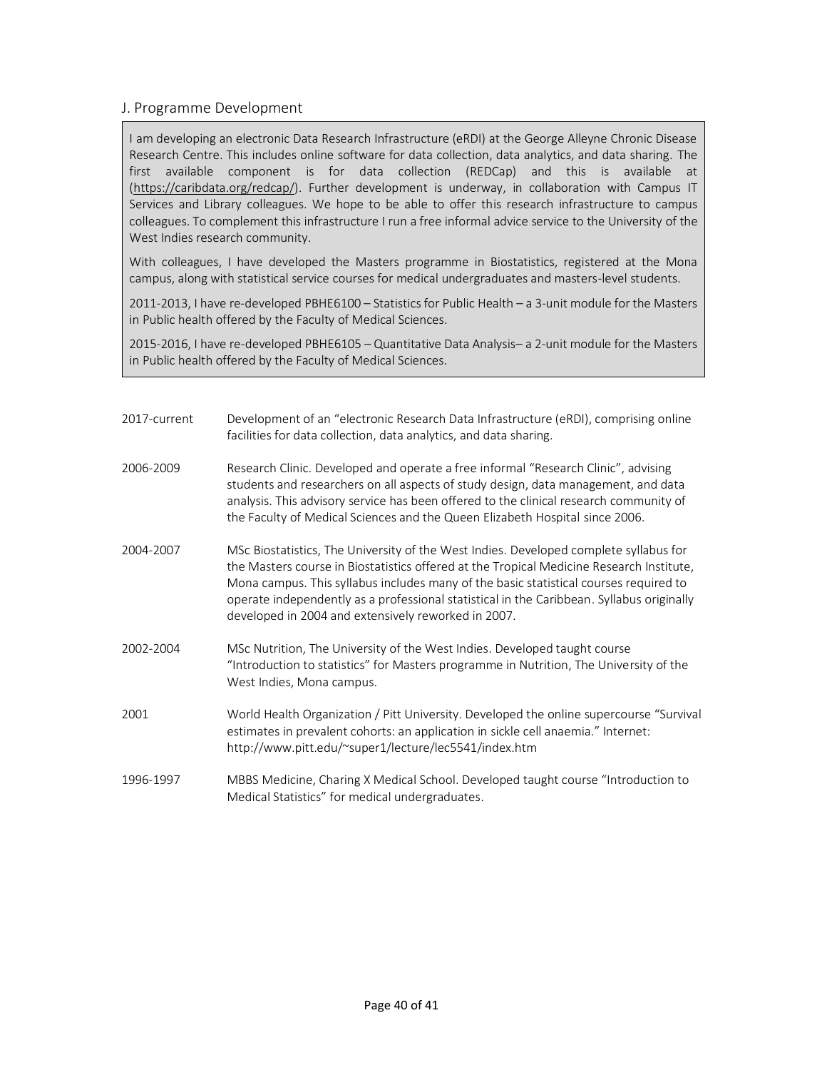## J. Programme Development

I am developing an electronic Data Research Infrastructure (eRDI) at the George Alleyne Chronic Disease Research Centre. This includes online software for data collection, data analytics, and data sharing. The first available component is for data collection (REDCap) and this is available at [\(https://caribdata.org/redcap/\)](https://caribdata.org/redcap/). Further development is underway, in collaboration with Campus IT Services and Library colleagues. We hope to be able to offer this research infrastructure to campus colleagues. To complement this infrastructure I run a free informal advice service to the University of the West Indies research community.

With colleagues, I have developed the Masters programme in Biostatistics, registered at the Mona campus, along with statistical service courses for medical undergraduates and masters-level students.

2011-2013, I have re-developed PBHE6100 – Statistics for Public Health – a 3-unit module for the Masters in Public health offered by the Faculty of Medical Sciences.

2015-2016, I have re-developed PBHE6105 – Quantitative Data Analysis– a 2-unit module for the Masters in Public health offered by the Faculty of Medical Sciences.

| 2017-current | Development of an "electronic Research Data Infrastructure (eRDI), comprising online |
|--------------|--------------------------------------------------------------------------------------|
|              | facilities for data collection, data analytics, and data sharing.                    |

- 2006-2009 Research Clinic. Developed and operate a free informal "Research Clinic", advising students and researchers on all aspects of study design, data management, and data analysis. This advisory service has been offered to the clinical research community of the Faculty of Medical Sciences and the Queen Elizabeth Hospital since 2006.
- 2004-2007 MSc Biostatistics, The University of the West Indies. Developed complete syllabus for the Masters course in Biostatistics offered at the Tropical Medicine Research Institute, Mona campus. This syllabus includes many of the basic statistical courses required to operate independently as a professional statistical in the Caribbean. Syllabus originally developed in 2004 and extensively reworked in 2007.
- 2002-2004 MSc Nutrition, The University of the West Indies. Developed taught course "Introduction to statistics" for Masters programme in Nutrition, The University of the West Indies, Mona campus.
- 2001 World Health Organization / Pitt University. Developed the online supercourse "Survival estimates in prevalent cohorts: an application in sickle cell anaemia." Internet: http://www.pitt.edu/~super1/lecture/lec5541/index.htm
- 1996-1997 MBBS Medicine, Charing X Medical School. Developed taught course "Introduction to Medical Statistics" for medical undergraduates.